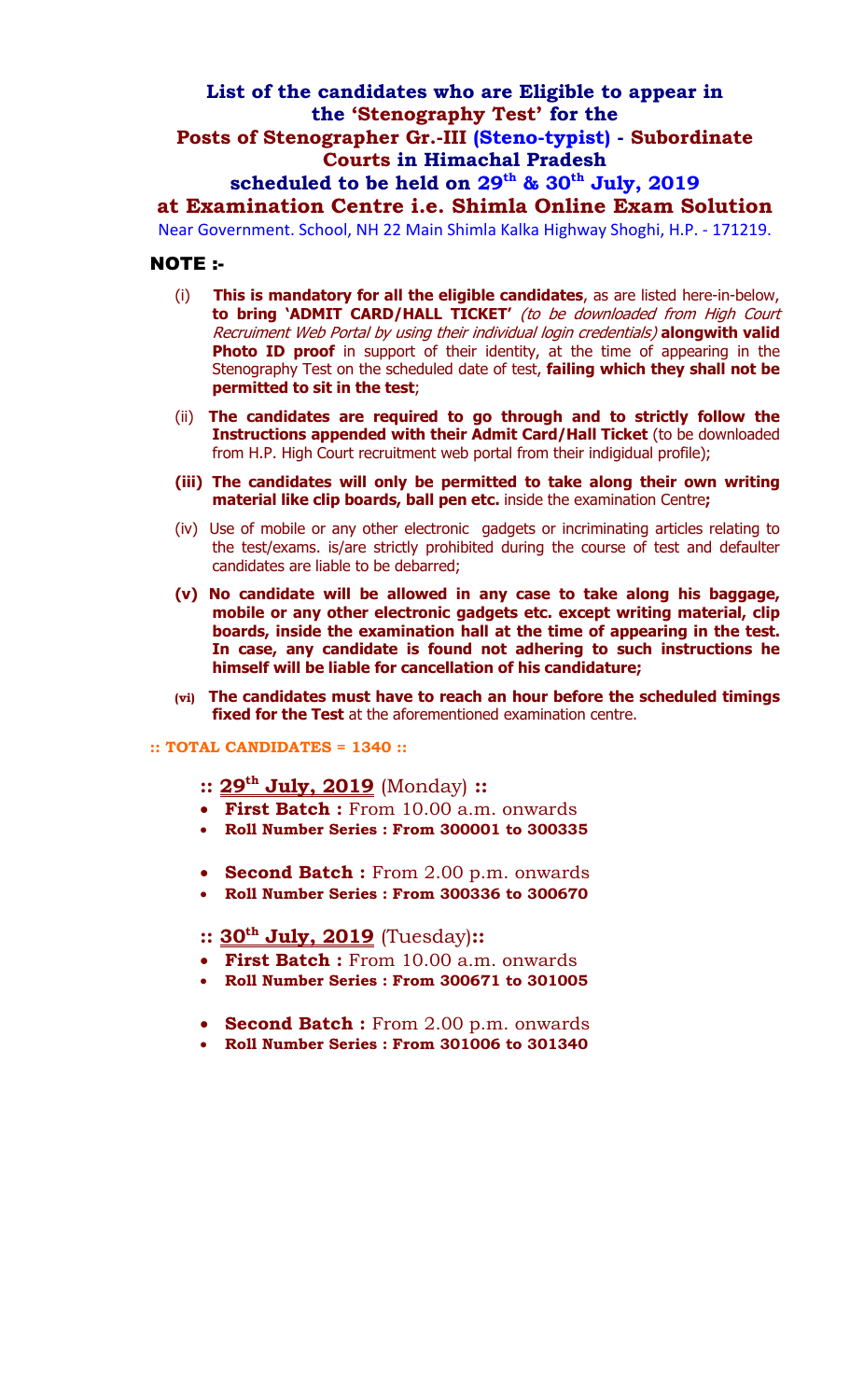# **List of the candidates who are Eligible to appear in the 'Stenography Test' for the**

### **Posts of Stenographer Gr.-III (Steno-typist) - Subordinate Courts in Himachal Pradesh**

## scheduled to be held on 29<sup>th</sup> & 30<sup>th</sup> July, 2019

## **at Examination Centre i.e. Shimla Online Exam Solution**

Near Government. School, NH 22 Main Shimla Kalka Highway Shoghi, H.P. - 171219.

#### NOTE :-

- (i) **This is mandatory for all the eligible candidates**, as are listed here-in-below, **to bring 'ADMIT CARD/HALL TICKET'** (to be downloaded from High Court Recruiment Web Portal by using their individual login credentials) **alongwith valid**  Photo ID proof in support of their identity, at the time of appearing in the Stenography Test on the scheduled date of test, **failing which they shall not be permitted to sit in the test**;
- (ii) **The candidates are required to go through and to strictly follow the Instructions appended with their Admit Card/Hall Ticket** (to be downloaded from H.P. High Court recruitment web portal from their indigidual profile);
- **(iii) The candidates will only be permitted to take along their own writing material like clip boards, ball pen etc.** inside the examination Centre**;**
- (iv) Use of mobile or any other electronic gadgets or incriminating articles relating to the test/exams. is/are strictly prohibited during the course of test and defaulter candidates are liable to be debarred;
- **(v) No candidate will be allowed in any case to take along his baggage, mobile or any other electronic gadgets etc. except writing material, clip boards, inside the examination hall at the time of appearing in the test. In case, any candidate is found not adhering to such instructions he himself will be liable for cancellation of his candidature;**
- **(vi) The candidates must have to reach an hour before the scheduled timings fixed for the Test** at the aforementioned examination centre.

#### **:: TOTAL CANDIDATES = 1340 ::**

- **:: 29th July, 2019** (Monday) **::**
- **First Batch :** From 10.00 a.m. onwards
- **Roll Number Series : From 300001 to 300335**
- **Second Batch :** From 2.00 p.m. onwards
- **Roll Number Series : From 300336 to 300670**

#### **:: 30th July, 2019** (Tuesday)**::**

- **First Batch :** From 10.00 a.m. onwards
- **Roll Number Series : From 300671 to 301005**
- **Second Batch :** From 2.00 p.m. onwards
- **Roll Number Series : From 301006 to 301340**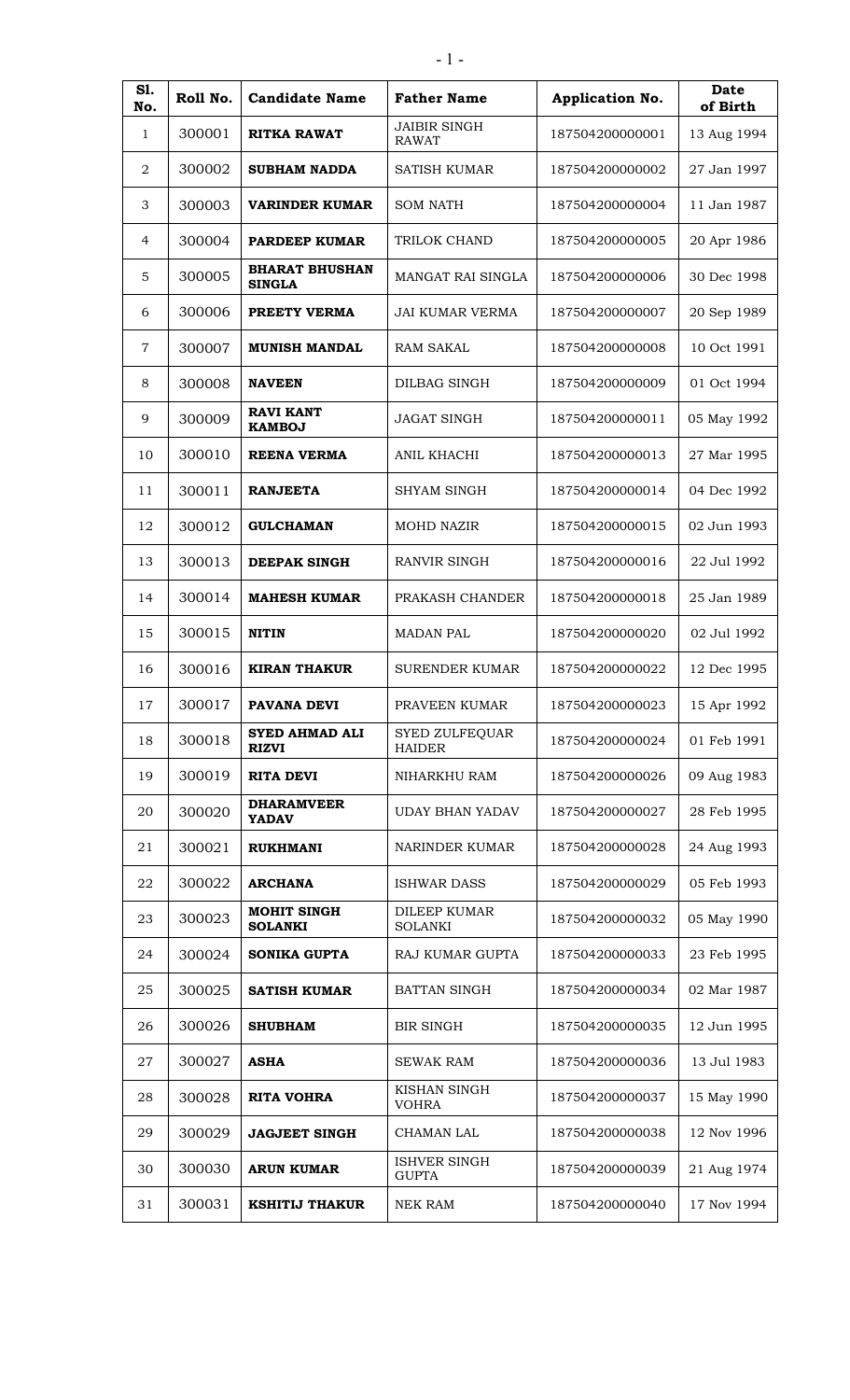| S1.<br>No.       | Roll No. | <b>Candidate Name</b>                  | <b>Father Name</b>                     | Application No. | Date<br>of Birth |
|------------------|----------|----------------------------------------|----------------------------------------|-----------------|------------------|
| 1                | 300001   | <b>RITKA RAWAT</b>                     | <b>JAIBIR SINGH</b><br><b>RAWAT</b>    | 187504200000001 | 13 Aug 1994      |
| $\boldsymbol{2}$ | 300002   | <b>SUBHAM NADDA</b>                    | SATISH KUMAR                           | 187504200000002 | 27 Jan 1997      |
| 3                | 300003   | VARINDER KUMAR                         | <b>SOM NATH</b>                        | 187504200000004 | 11 Jan 1987      |
| 4                | 300004   | <b>PARDEEP KUMAR</b>                   | TRILOK CHAND                           | 187504200000005 | 20 Apr 1986      |
| 5                | 300005   | <b>BHARAT BHUSHAN</b><br><b>SINGLA</b> | MANGAT RAI SINGLA                      | 187504200000006 | 30 Dec 1998      |
| 6                | 300006   | PREETY VERMA                           | <b>JAI KUMAR VERMA</b>                 | 187504200000007 | 20 Sep 1989      |
| 7                | 300007   | <b>MUNISH MANDAL</b>                   | <b>RAM SAKAL</b>                       | 187504200000008 | 10 Oct 1991      |
| 8                | 300008   | <b>NAVEEN</b>                          | DILBAG SINGH                           | 187504200000009 | 01 Oct 1994      |
| 9                | 300009   | <b>RAVI KANT</b><br><b>KAMBOJ</b>      | <b>JAGAT SINGH</b>                     | 187504200000011 | 05 May 1992      |
| 10               | 300010   | <b>REENA VERMA</b>                     | ANIL KHACHI                            | 187504200000013 | 27 Mar 1995      |
| 11               | 300011   | <b>RANJEETA</b>                        | <b>SHYAM SINGH</b>                     | 187504200000014 | 04 Dec 1992      |
| 12               | 300012   | <b>GULCHAMAN</b>                       | <b>MOHD NAZIR</b>                      | 187504200000015 | 02 Jun 1993      |
| 13               | 300013   | <b>DEEPAK SINGH</b>                    | RANVIR SINGH                           | 187504200000016 | 22 Jul 1992      |
| 14               | 300014   | <b>MAHESH KUMAR</b>                    | PRAKASH CHANDER                        | 187504200000018 | 25 Jan 1989      |
| 15               | 300015   | <b>NITIN</b>                           | <b>MADAN PAL</b>                       | 187504200000020 | 02 Jul 1992      |
| 16               | 300016   | <b>KIRAN THAKUR</b>                    | <b>SURENDER KUMAR</b>                  | 187504200000022 | 12 Dec 1995      |
| 17               | 300017   | <b>PAVANA DEVI</b>                     | PRAVEEN KUMAR                          | 187504200000023 | 15 Apr 1992      |
| 18               | 300018   | <b>SYED AHMAD ALI</b><br><b>RIZVI</b>  | <b>SYED ZULFEQUAR</b><br><b>HAIDER</b> | 187504200000024 | 01 Feb 1991      |
| 19               | 300019   | <b>RITA DEVI</b>                       | NIHARKHU RAM                           | 187504200000026 | 09 Aug 1983      |
| 20               | 300020   | <b>DHARAMVEER</b><br><b>YADAV</b>      | <b>UDAY BHAN YADAV</b>                 | 187504200000027 | 28 Feb 1995      |
| 21               | 300021   | <b>RUKHMANI</b>                        | NARINDER KUMAR                         | 187504200000028 | 24 Aug 1993      |
| 22               | 300022   | <b>ARCHANA</b>                         | <b>ISHWAR DASS</b>                     | 187504200000029 | 05 Feb 1993      |
| 23               | 300023   | <b>MOHIT SINGH</b><br><b>SOLANKI</b>   | <b>DILEEP KUMAR</b><br><b>SOLANKI</b>  | 187504200000032 | 05 May 1990      |
| 24               | 300024   | <b>SONIKA GUPTA</b>                    | RAJ KUMAR GUPTA                        | 187504200000033 | 23 Feb 1995      |
| 25               | 300025   | <b>SATISH KUMAR</b>                    | <b>BATTAN SINGH</b>                    | 187504200000034 | 02 Mar 1987      |
| 26               | 300026   | <b>SHUBHAM</b>                         | <b>BIR SINGH</b>                       | 187504200000035 | 12 Jun 1995      |
| 27               | 300027   | <b>ASHA</b>                            | <b>SEWAK RAM</b>                       | 187504200000036 | 13 Jul 1983      |
| 28               | 300028   | <b>RITA VOHRA</b>                      | KISHAN SINGH<br><b>VOHRA</b>           | 187504200000037 | 15 May 1990      |
| 29               | 300029   | <b>JAGJEET SINGH</b>                   | CHAMAN LAL                             | 187504200000038 | 12 Nov 1996      |
| 30               | 300030   | <b>ARUN KUMAR</b>                      | ISHVER SINGH<br><b>GUPTA</b>           | 187504200000039 | 21 Aug 1974      |
| 31               | 300031   | <b>KSHITIJ THAKUR</b>                  | <b>NEK RAM</b>                         | 187504200000040 | 17 Nov 1994      |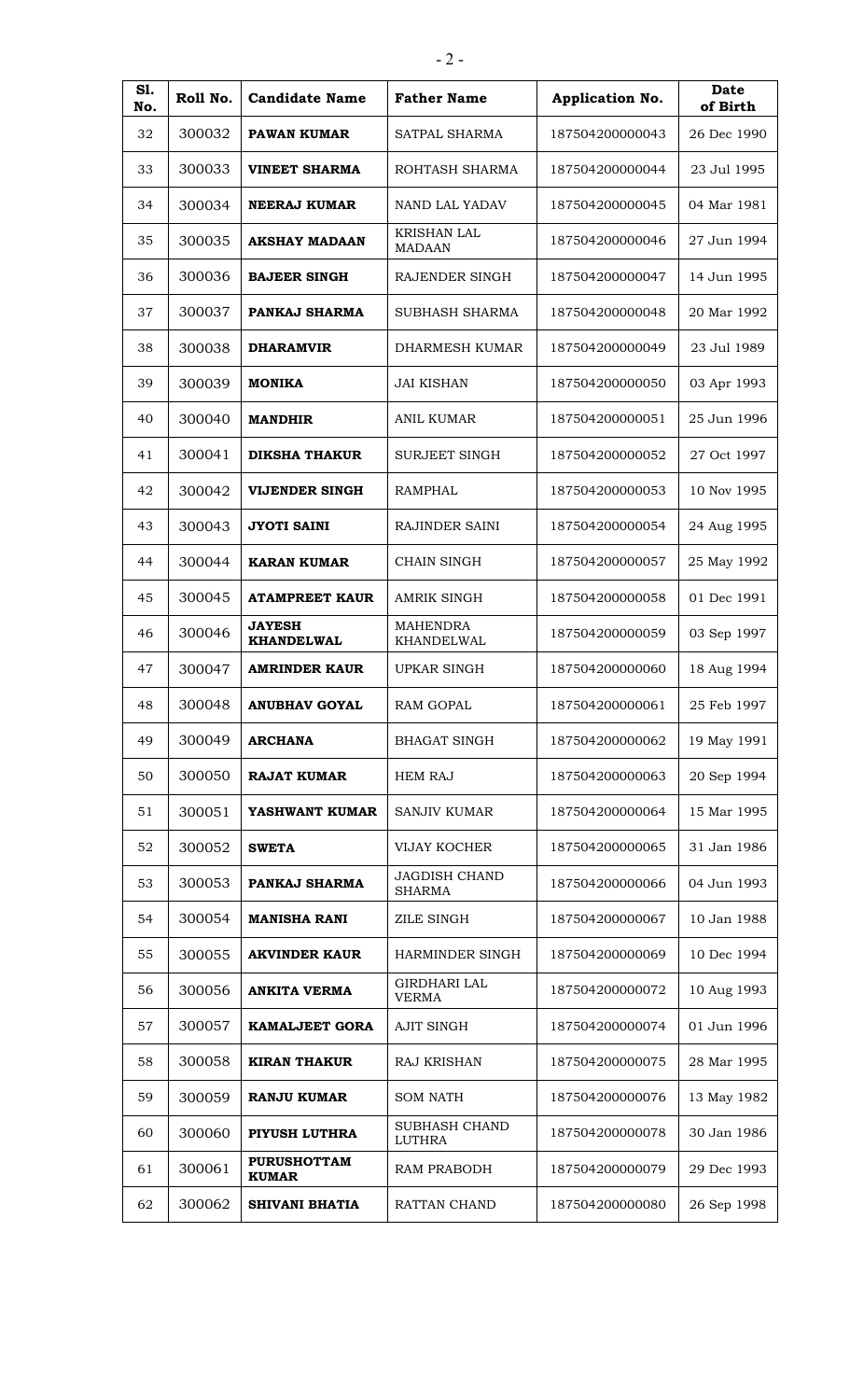| S1.<br>No. | Roll No. | <b>Candidate Name</b>              | <b>Father Name</b>                    | Application No. | Date<br>of Birth |
|------------|----------|------------------------------------|---------------------------------------|-----------------|------------------|
| 32         | 300032   | <b>PAWAN KUMAR</b>                 | SATPAL SHARMA                         | 187504200000043 | 26 Dec 1990      |
| 33         | 300033   | <b>VINEET SHARMA</b>               | ROHTASH SHARMA                        | 187504200000044 | 23 Jul 1995      |
| 34         | 300034   | NEERAJ KUMAR                       | NAND LAL YADAV                        | 187504200000045 | 04 Mar 1981      |
| 35         | 300035   | <b>AKSHAY MADAAN</b>               | <b>KRISHAN LAL</b><br><b>MADAAN</b>   | 187504200000046 | 27 Jun 1994      |
| 36         | 300036   | <b>BAJEER SINGH</b>                | RAJENDER SINGH                        | 187504200000047 | 14 Jun 1995      |
| 37         | 300037   | PANKAJ SHARMA                      | SUBHASH SHARMA                        | 187504200000048 | 20 Mar 1992      |
| 38         | 300038   | <b>DHARAMVIR</b>                   | DHARMESH KUMAR                        | 187504200000049 | 23 Jul 1989      |
| 39         | 300039   | <b>MONIKA</b>                      | <b>JAI KISHAN</b>                     | 187504200000050 | 03 Apr 1993      |
| 40         | 300040   | <b>MANDHIR</b>                     | <b>ANIL KUMAR</b>                     | 187504200000051 | 25 Jun 1996      |
| 41         | 300041   | <b>DIKSHA THAKUR</b>               | <b>SURJEET SINGH</b>                  | 187504200000052 | 27 Oct 1997      |
| 42         | 300042   | <b>VIJENDER SINGH</b>              | <b>RAMPHAL</b>                        | 187504200000053 | 10 Nov 1995      |
| 43         | 300043   | <b>JYOTI SAINI</b>                 | RAJINDER SAINI                        | 187504200000054 | 24 Aug 1995      |
| 44         | 300044   | <b>KARAN KUMAR</b>                 | <b>CHAIN SINGH</b>                    | 187504200000057 | 25 May 1992      |
| 45         | 300045   | <b>ATAMPREET KAUR</b>              | <b>AMRIK SINGH</b>                    | 187504200000058 | 01 Dec 1991      |
| 46         | 300046   | <b>JAYESH</b><br><b>KHANDELWAL</b> | <b>MAHENDRA</b><br>KHANDELWAL         | 187504200000059 | 03 Sep 1997      |
| 47         | 300047   | <b>AMRINDER KAUR</b>               | <b>UPKAR SINGH</b>                    | 187504200000060 | 18 Aug 1994      |
| 48         | 300048   | ANUBHAV GOYAL                      | <b>RAM GOPAL</b>                      | 187504200000061 | 25 Feb 1997      |
| 49         | 300049   | <b>ARCHANA</b>                     | <b>BHAGAT SINGH</b>                   | 187504200000062 | 19 May 1991      |
| 50         | 300050   | <b>RAJAT KUMAR</b>                 | <b>HEM RAJ</b>                        | 187504200000063 | 20 Sep 1994      |
| 51         | 300051   | YASHWANT KUMAR                     | <b>SANJIV KUMAR</b>                   | 187504200000064 | 15 Mar 1995      |
| 52         | 300052   | <b>SWETA</b>                       | <b>VIJAY KOCHER</b>                   | 187504200000065 | 31 Jan 1986      |
| 53         | 300053   | PANKAJ SHARMA                      | <b>JAGDISH CHAND</b><br><b>SHARMA</b> | 187504200000066 | 04 Jun 1993      |
| 54         | 300054   | <b>MANISHA RANI</b>                | <b>ZILE SINGH</b>                     | 187504200000067 | 10 Jan 1988      |
| 55         | 300055   | <b>AKVINDER KAUR</b>               | HARMINDER SINGH                       | 187504200000069 | 10 Dec 1994      |
| 56         | 300056   | <b>ANKITA VERMA</b>                | <b>GIRDHARI LAL</b><br><b>VERMA</b>   | 187504200000072 | 10 Aug 1993      |
| 57         | 300057   | <b>KAMALJEET GORA</b>              | <b>AJIT SINGH</b>                     | 187504200000074 | 01 Jun 1996      |
| 58         | 300058   | <b>KIRAN THAKUR</b>                | RAJ KRISHAN                           | 187504200000075 | 28 Mar 1995      |
| 59         | 300059   | <b>RANJU KUMAR</b>                 | <b>SOM NATH</b>                       | 187504200000076 | 13 May 1982      |
| 60         | 300060   | PIYUSH LUTHRA                      | SUBHASH CHAND<br><b>LUTHRA</b>        | 187504200000078 | 30 Jan 1986      |
| 61         | 300061   | <b>PURUSHOTTAM</b><br><b>KUMAR</b> | RAM PRABODH                           | 187504200000079 | 29 Dec 1993      |
| 62         | 300062   | <b>SHIVANI BHATIA</b>              | RATTAN CHAND                          | 187504200000080 | 26 Sep 1998      |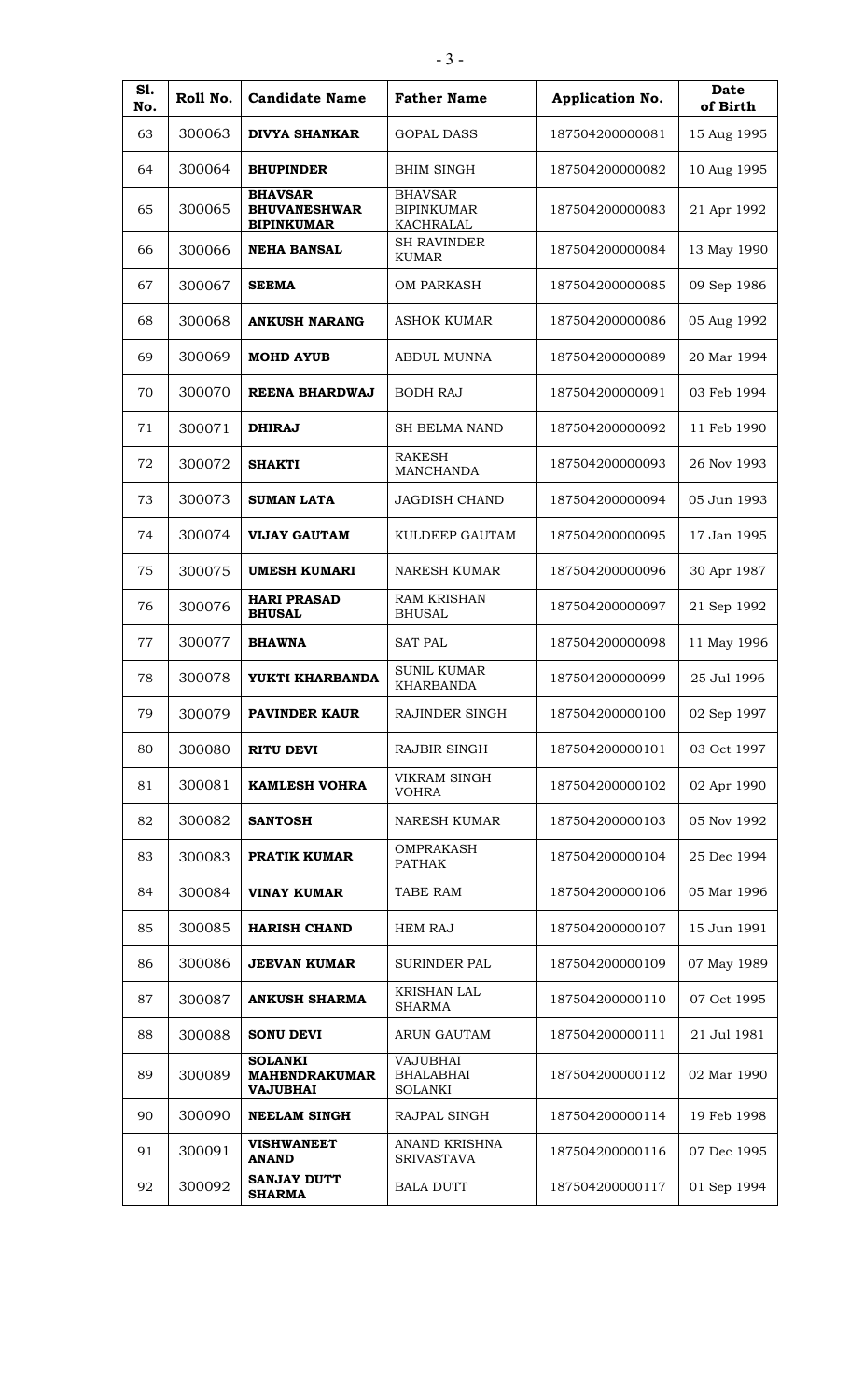| S1.<br>No. | Roll No. | <b>Candidate Name</b>                                      | <b>Father Name</b>                                    | Application No. | <b>Date</b><br>of Birth |
|------------|----------|------------------------------------------------------------|-------------------------------------------------------|-----------------|-------------------------|
| 63         | 300063   | <b>DIVYA SHANKAR</b>                                       | <b>GOPAL DASS</b>                                     | 187504200000081 | 15 Aug 1995             |
| 64         | 300064   | <b>BHUPINDER</b>                                           | <b>BHIM SINGH</b>                                     | 187504200000082 | 10 Aug 1995             |
| 65         | 300065   | <b>BHAVSAR</b><br><b>BHUVANESHWAR</b><br><b>BIPINKUMAR</b> | <b>BHAVSAR</b><br><b>BIPINKUMAR</b><br>KACHRALAL      | 187504200000083 | 21 Apr 1992             |
| 66         | 300066   | <b>NEHA BANSAL</b>                                         | <b>SH RAVINDER</b><br><b>KUMAR</b>                    | 187504200000084 | 13 May 1990             |
| 67         | 300067   | <b>SEEMA</b>                                               | <b>OM PARKASH</b>                                     | 187504200000085 | 09 Sep 1986             |
| 68         | 300068   | <b>ANKUSH NARANG</b>                                       | <b>ASHOK KUMAR</b>                                    | 187504200000086 | 05 Aug 1992             |
| 69         | 300069   | <b>MOHD AYUB</b>                                           | <b>ABDUL MUNNA</b>                                    | 187504200000089 | 20 Mar 1994             |
| 70         | 300070   | <b>REENA BHARDWAJ</b>                                      | <b>BODH RAJ</b>                                       | 187504200000091 | 03 Feb 1994             |
| 71         | 300071   | <b>DHIRAJ</b>                                              | <b>SH BELMA NAND</b>                                  | 187504200000092 | 11 Feb 1990             |
| 72         | 300072   | <b>SHAKTI</b>                                              | <b>RAKESH</b><br><b>MANCHANDA</b>                     | 187504200000093 | 26 Nov 1993             |
| 73         | 300073   | <b>SUMAN LATA</b>                                          | <b>JAGDISH CHAND</b>                                  | 187504200000094 | 05 Jun 1993             |
| 74         | 300074   | <b>VIJAY GAUTAM</b>                                        | KULDEEP GAUTAM                                        | 187504200000095 | 17 Jan 1995             |
| 75         | 300075   | <b>UMESH KUMARI</b>                                        | <b>NARESH KUMAR</b>                                   | 187504200000096 | 30 Apr 1987             |
| 76         | 300076   | <b>HARI PRASAD</b><br><b>BHUSAL</b>                        | <b>RAM KRISHAN</b><br><b>BHUSAL</b>                   | 187504200000097 | 21 Sep 1992             |
| 77         | 300077   | <b>BHAWNA</b>                                              | <b>SAT PAL</b>                                        | 187504200000098 | 11 May 1996             |
| 78         | 300078   | YUKTI KHARBANDA                                            | <b>SUNIL KUMAR</b><br><b>KHARBANDA</b>                | 187504200000099 | 25 Jul 1996             |
| 79         | 300079   | <b>PAVINDER KAUR</b>                                       | RAJINDER SINGH                                        | 187504200000100 | 02 Sep 1997             |
| 80         | 300080   | <b>RITU DEVI</b>                                           | <b>RAJBIR SINGH</b>                                   | 187504200000101 | 03 Oct 1997             |
| 81         | 300081   | <b>KAMLESH VOHRA</b>                                       | VIKRAM SINGH<br><b>VOHRA</b>                          | 187504200000102 | 02 Apr 1990             |
| 82         | 300082   | <b>SANTOSH</b>                                             | <b>NARESH KUMAR</b>                                   | 187504200000103 | 05 Nov 1992             |
| 83         | 300083   | <b>PRATIK KUMAR</b>                                        | <b>OMPRAKASH</b><br>PATHAK                            | 187504200000104 | 25 Dec 1994             |
| 84         | 300084   | <b>VINAY KUMAR</b>                                         | TABE RAM                                              | 187504200000106 | 05 Mar 1996             |
| 85         | 300085   | <b>HARISH CHAND</b>                                        | <b>HEM RAJ</b>                                        | 187504200000107 | 15 Jun 1991             |
| 86         | 300086   | <b>JEEVAN KUMAR</b>                                        | <b>SURINDER PAL</b>                                   | 187504200000109 | 07 May 1989             |
| 87         | 300087   | <b>ANKUSH SHARMA</b>                                       | <b>KRISHAN LAL</b><br><b>SHARMA</b>                   | 187504200000110 | 07 Oct 1995             |
| 88         | 300088   | <b>SONU DEVI</b>                                           | <b>ARUN GAUTAM</b>                                    | 187504200000111 | 21 Jul 1981             |
| 89         | 300089   | <b>SOLANKI</b><br><b>MAHENDRAKUMAR</b><br><b>VAJUBHAI</b>  | <b>VAJUBHAI</b><br><b>BHALABHAI</b><br><b>SOLANKI</b> | 187504200000112 | 02 Mar 1990             |
| 90         | 300090   | <b>NEELAM SINGH</b>                                        | RAJPAL SINGH                                          | 187504200000114 | 19 Feb 1998             |
| 91         | 300091   | <b>VISHWANEET</b><br><b>ANAND</b>                          | ANAND KRISHNA<br><b>SRIVASTAVA</b>                    | 187504200000116 | 07 Dec 1995             |
| 92         | 300092   | <b>SANJAY DUTT</b><br><b>SHARMA</b>                        | <b>BALA DUTT</b>                                      | 187504200000117 | 01 Sep 1994             |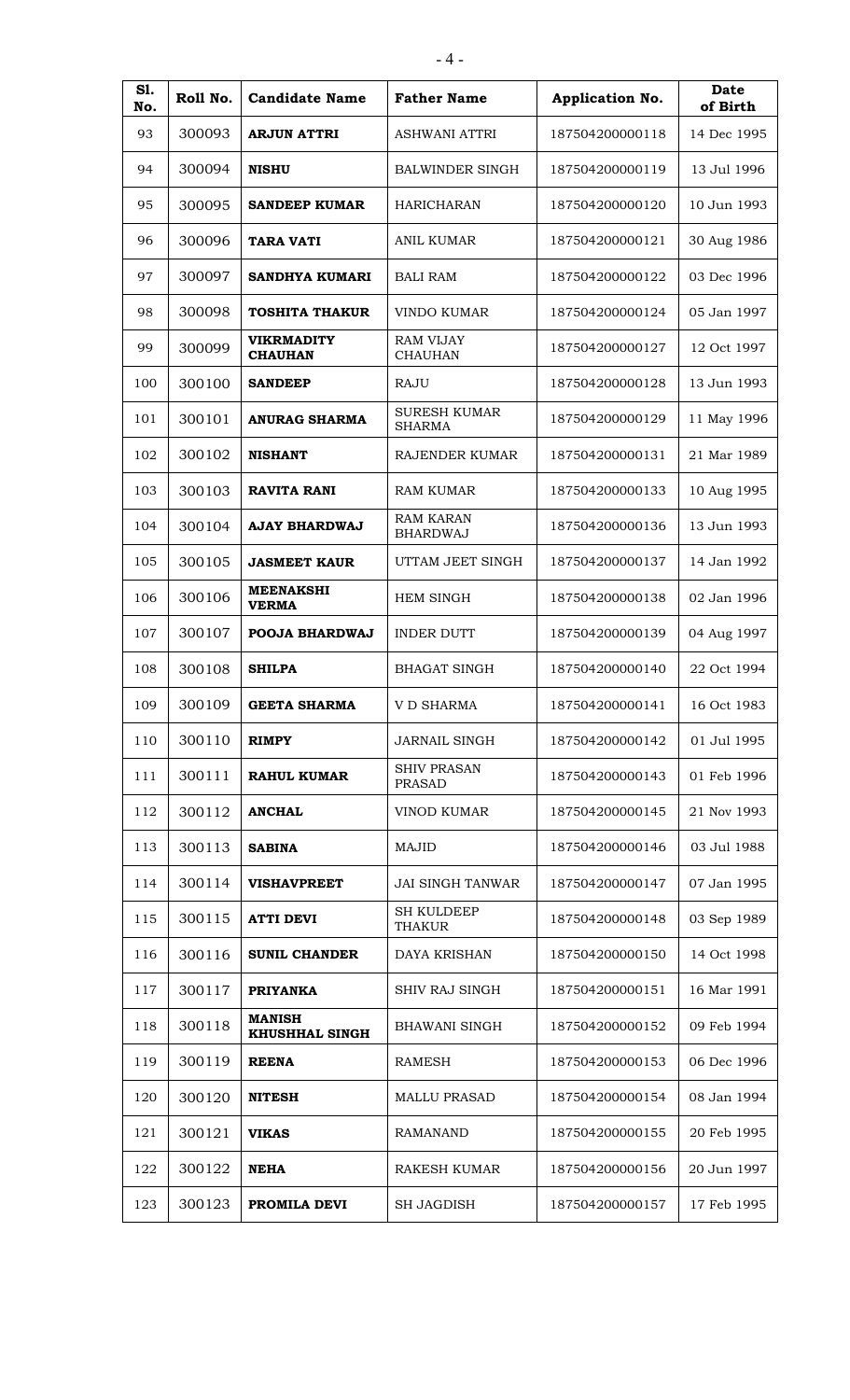| S1.<br>No. | Roll No. | <b>Candidate Name</b>                  | <b>Father Name</b>                   | Application No. | Date<br>of Birth |
|------------|----------|----------------------------------------|--------------------------------------|-----------------|------------------|
| 93         | 300093   | <b>ARJUN ATTRI</b>                     | ASHWANI ATTRI                        | 187504200000118 | 14 Dec 1995      |
| 94         | 300094   | <b>NISHU</b>                           | <b>BALWINDER SINGH</b>               | 187504200000119 | 13 Jul 1996      |
| 95         | 300095   | <b>SANDEEP KUMAR</b>                   | HARICHARAN                           | 187504200000120 | 10 Jun 1993      |
| 96         | 300096   | <b>TARA VATI</b>                       | <b>ANIL KUMAR</b>                    | 187504200000121 | 30 Aug 1986      |
| 97         | 300097   | <b>SANDHYA KUMARI</b>                  | <b>BALI RAM</b>                      | 187504200000122 | 03 Dec 1996      |
| 98         | 300098   | <b>TOSHITA THAKUR</b>                  | VINDO KUMAR                          | 187504200000124 | 05 Jan 1997      |
| 99         | 300099   | <b>VIKRMADITY</b><br><b>CHAUHAN</b>    | <b>RAM VIJAY</b><br><b>CHAUHAN</b>   | 187504200000127 | 12 Oct 1997      |
| 100        | 300100   | <b>SANDEEP</b>                         | <b>RAJU</b>                          | 187504200000128 | 13 Jun 1993      |
| 101        | 300101   | <b>ANURAG SHARMA</b>                   | <b>SURESH KUMAR</b><br><b>SHARMA</b> | 187504200000129 | 11 May 1996      |
| 102        | 300102   | <b>NISHANT</b>                         | <b>RAJENDER KUMAR</b>                | 187504200000131 | 21 Mar 1989      |
| 103        | 300103   | <b>RAVITA RANI</b>                     | <b>RAM KUMAR</b>                     | 187504200000133 | 10 Aug 1995      |
| 104        | 300104   | <b>AJAY BHARDWAJ</b>                   | <b>RAM KARAN</b><br><b>BHARDWAJ</b>  | 187504200000136 | 13 Jun 1993      |
| 105        | 300105   | <b>JASMEET KAUR</b>                    | UTTAM JEET SINGH                     | 187504200000137 | 14 Jan 1992      |
| 106        | 300106   | <b>MEENAKSHI</b><br><b>VERMA</b>       | <b>HEM SINGH</b>                     | 187504200000138 | 02 Jan 1996      |
| 107        | 300107   | POOJA BHARDWAJ                         | <b>INDER DUTT</b>                    | 187504200000139 | 04 Aug 1997      |
| 108        | 300108   | <b>SHILPA</b>                          | <b>BHAGAT SINGH</b>                  | 187504200000140 | 22 Oct 1994      |
| 109        | 300109   | <b>GEETA SHARMA</b>                    | V D SHARMA                           | 187504200000141 | 16 Oct 1983      |
| 110        | 300110   | <b>RIMPY</b>                           | <b>JARNAIL SINGH</b>                 | 187504200000142 | 01 Jul 1995      |
| 111        | 300111   | <b>RAHUL KUMAR</b>                     | <b>SHIV PRASAN</b><br><b>PRASAD</b>  | 187504200000143 | 01 Feb 1996      |
| 112        | 300112   | <b>ANCHAL</b>                          | VINOD KUMAR                          | 187504200000145 | 21 Nov 1993      |
| 113        | 300113   | <b>SABINA</b>                          | MAJID                                | 187504200000146 | 03 Jul 1988      |
| 114        | 300114   | <b>VISHAVPREET</b>                     | <b>JAI SINGH TANWAR</b>              | 187504200000147 | 07 Jan 1995      |
| 115        | 300115   | <b>ATTI DEVI</b>                       | <b>SH KULDEEP</b><br>THAKUR          | 187504200000148 | 03 Sep 1989      |
| 116        | 300116   | <b>SUNIL CHANDER</b>                   | DAYA KRISHAN                         | 187504200000150 | 14 Oct 1998      |
| 117        | 300117   | <b>PRIYANKA</b>                        | SHIV RAJ SINGH                       | 187504200000151 | 16 Mar 1991      |
| 118        | 300118   | <b>MANISH</b><br><b>KHUSHHAL SINGH</b> | <b>BHAWANI SINGH</b>                 | 187504200000152 | 09 Feb 1994      |
| 119        | 300119   | <b>REENA</b>                           | <b>RAMESH</b>                        | 187504200000153 | 06 Dec 1996      |
| 120        | 300120   | <b>NITESH</b>                          | <b>MALLU PRASAD</b>                  | 187504200000154 | 08 Jan 1994      |
| 121        | 300121   | <b>VIKAS</b>                           | <b>RAMANAND</b>                      | 187504200000155 | 20 Feb 1995      |
| 122        | 300122   | <b>NEHA</b>                            | RAKESH KUMAR                         | 187504200000156 | 20 Jun 1997      |
| 123        | 300123   | PROMILA DEVI                           | <b>SH JAGDISH</b>                    | 187504200000157 | 17 Feb 1995      |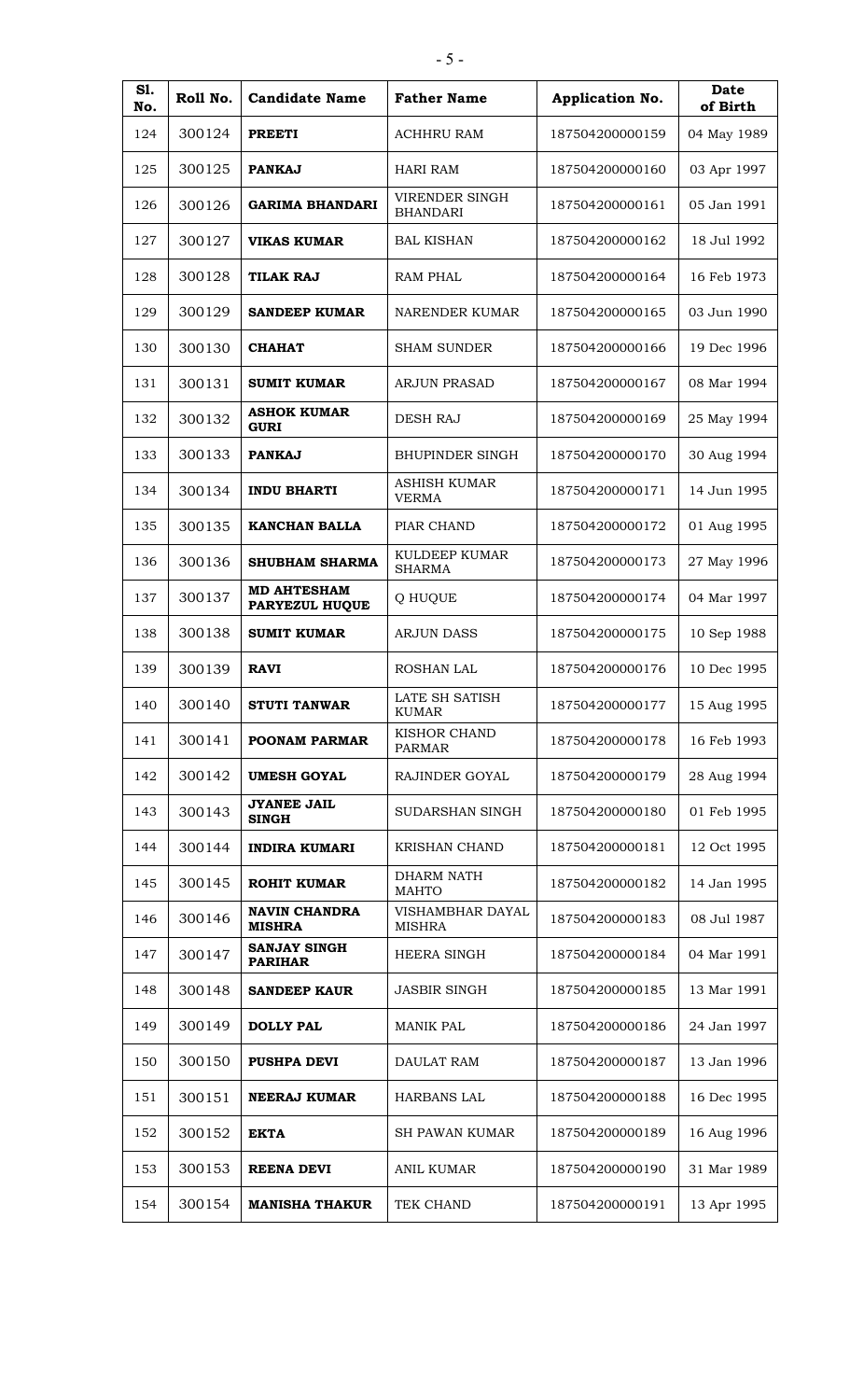| S1.<br>No. | Roll No. | <b>Candidate Name</b>                 | <b>Father Name</b>                  | Application No. | <b>Date</b><br>of Birth |
|------------|----------|---------------------------------------|-------------------------------------|-----------------|-------------------------|
| 124        | 300124   | <b>PREETI</b>                         | <b>ACHHRU RAM</b>                   | 187504200000159 | 04 May 1989             |
| 125        | 300125   | <b>PANKAJ</b>                         | <b>HARI RAM</b>                     | 187504200000160 | 03 Apr 1997             |
| 126        | 300126   | <b>GARIMA BHANDARI</b>                | VIRENDER SINGH<br><b>BHANDARI</b>   | 187504200000161 | 05 Jan 1991             |
| 127        | 300127   | <b>VIKAS KUMAR</b>                    | <b>BAL KISHAN</b>                   | 187504200000162 | 18 Jul 1992             |
| 128        | 300128   | <b>TILAK RAJ</b>                      | <b>RAM PHAL</b>                     | 187504200000164 | 16 Feb 1973             |
| 129        | 300129   | <b>SANDEEP KUMAR</b>                  | NARENDER KUMAR                      | 187504200000165 | 03 Jun 1990             |
| 130        | 300130   | <b>CHAHAT</b>                         | <b>SHAM SUNDER</b>                  | 187504200000166 | 19 Dec 1996             |
| 131        | 300131   | <b>SUMIT KUMAR</b>                    | <b>ARJUN PRASAD</b>                 | 187504200000167 | 08 Mar 1994             |
| 132        | 300132   | <b>ASHOK KUMAR</b><br><b>GURI</b>     | <b>DESH RAJ</b>                     | 187504200000169 | 25 May 1994             |
| 133        | 300133   | <b>PANKAJ</b>                         | <b>BHUPINDER SINGH</b>              | 187504200000170 | 30 Aug 1994             |
| 134        | 300134   | <b>INDU BHARTI</b>                    | <b>ASHISH KUMAR</b><br><b>VERMA</b> | 187504200000171 | 14 Jun 1995             |
| 135        | 300135   | <b>KANCHAN BALLA</b>                  | PIAR CHAND                          | 187504200000172 | 01 Aug 1995             |
| 136        | 300136   | <b>SHUBHAM SHARMA</b>                 | KULDEEP KUMAR<br><b>SHARMA</b>      | 187504200000173 | 27 May 1996             |
| 137        | 300137   | <b>MD AHTESHAM</b><br>PARYEZUL HUQUE  | Q HUQUE                             | 187504200000174 | 04 Mar 1997             |
| 138        | 300138   | <b>SUMIT KUMAR</b>                    | <b>ARJUN DASS</b>                   | 187504200000175 | 10 Sep 1988             |
| 139        | 300139   | <b>RAVI</b>                           | <b>ROSHAN LAL</b>                   | 187504200000176 | 10 Dec 1995             |
| 140        | 300140   | STUTI TANWAR                          | LATE SH SATISH<br><b>KUMAR</b>      | 187504200000177 | 15 Aug 1995             |
| 141        | 300141   | <b>POONAM PARMAR</b>                  | KISHOR CHAND<br>PARMAR              | 187504200000178 | 16 Feb 1993             |
| 142        | 300142   | <b>UMESH GOYAL</b>                    | RAJINDER GOYAL                      | 187504200000179 | 28 Aug 1994             |
| 143        | 300143   | <b>JYANEE JAIL</b><br><b>SINGH</b>    | SUDARSHAN SINGH                     | 187504200000180 | 01 Feb 1995             |
| 144        | 300144   | <b>INDIRA KUMARI</b>                  | <b>KRISHAN CHAND</b>                | 187504200000181 | 12 Oct 1995             |
| 145        | 300145   | <b>ROHIT KUMAR</b>                    | <b>DHARM NATH</b><br><b>MAHTO</b>   | 187504200000182 | 14 Jan 1995             |
| 146        | 300146   | <b>NAVIN CHANDRA</b><br><b>MISHRA</b> | VISHAMBHAR DAYAL<br><b>MISHRA</b>   | 187504200000183 | 08 Jul 1987             |
| 147        | 300147   | <b>SANJAY SINGH</b><br><b>PARIHAR</b> | <b>HEERA SINGH</b>                  | 187504200000184 | 04 Mar 1991             |
| 148        | 300148   | <b>SANDEEP KAUR</b>                   | <b>JASBIR SINGH</b>                 | 187504200000185 | 13 Mar 1991             |
| 149        | 300149   | <b>DOLLY PAL</b>                      | <b>MANIK PAL</b>                    | 187504200000186 | 24 Jan 1997             |
| 150        | 300150   | <b>PUSHPA DEVI</b>                    | <b>DAULAT RAM</b>                   | 187504200000187 | 13 Jan 1996             |
| 151        | 300151   | <b>NEERAJ KUMAR</b>                   | <b>HARBANS LAL</b>                  | 187504200000188 | 16 Dec 1995             |
| 152        | 300152   | <b>EKTA</b>                           | <b>SH PAWAN KUMAR</b>               | 187504200000189 | 16 Aug 1996             |
| 153        | 300153   | <b>REENA DEVI</b>                     | <b>ANIL KUMAR</b>                   | 187504200000190 | 31 Mar 1989             |
| 154        | 300154   | <b>MANISHA THAKUR</b>                 | TEK CHAND                           | 187504200000191 | 13 Apr 1995             |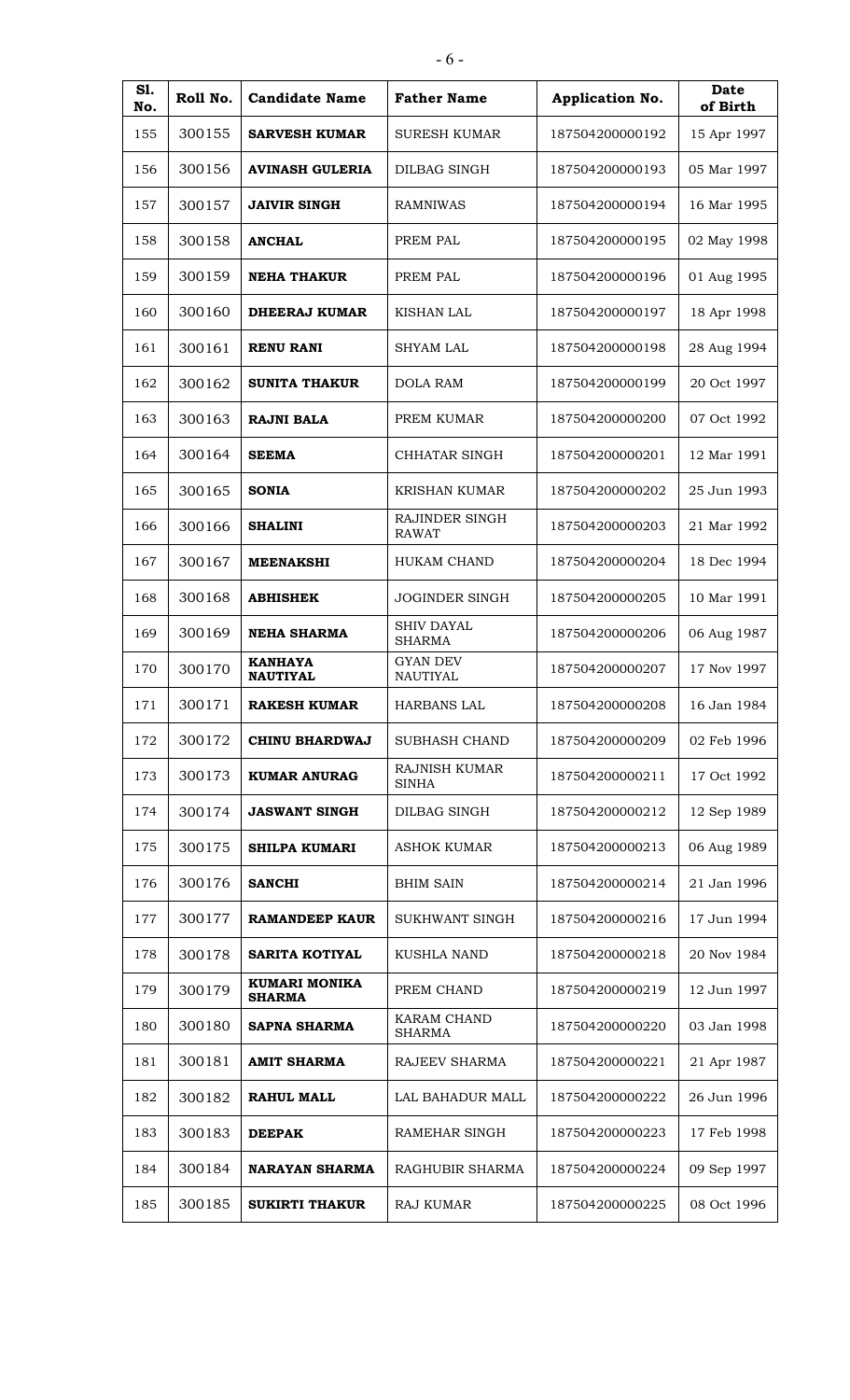| S1.<br>No. | Roll No. | <b>Candidate Name</b>                 | <b>Father Name</b>                 | Application No. | Date<br>of Birth |
|------------|----------|---------------------------------------|------------------------------------|-----------------|------------------|
| 155        | 300155   | <b>SARVESH KUMAR</b>                  | <b>SURESH KUMAR</b>                | 187504200000192 | 15 Apr 1997      |
| 156        | 300156   | <b>AVINASH GULERIA</b>                | DILBAG SINGH                       | 187504200000193 | 05 Mar 1997      |
| 157        | 300157   | <b>JAIVIR SINGH</b>                   | <b>RAMNIWAS</b>                    | 187504200000194 | 16 Mar 1995      |
| 158        | 300158   | <b>ANCHAL</b>                         | PREM PAL                           | 187504200000195 | 02 May 1998      |
| 159        | 300159   | <b>NEHA THAKUR</b>                    | PREM PAL                           | 187504200000196 | 01 Aug 1995      |
| 160        | 300160   | DHEERAJ KUMAR                         | <b>KISHAN LAL</b>                  | 187504200000197 | 18 Apr 1998      |
| 161        | 300161   | <b>RENU RANI</b>                      | <b>SHYAM LAL</b>                   | 187504200000198 | 28 Aug 1994      |
| 162        | 300162   | <b>SUNITA THAKUR</b>                  | <b>DOLA RAM</b>                    | 187504200000199 | 20 Oct 1997      |
| 163        | 300163   | <b>RAJNI BALA</b>                     | PREM KUMAR                         | 187504200000200 | 07 Oct 1992      |
| 164        | 300164   | <b>SEEMA</b>                          | CHHATAR SINGH                      | 187504200000201 | 12 Mar 1991      |
| 165        | 300165   | <b>SONIA</b>                          | <b>KRISHAN KUMAR</b>               | 187504200000202 | 25 Jun 1993      |
| 166        | 300166   | <b>SHALINI</b>                        | RAJINDER SINGH<br><b>RAWAT</b>     | 187504200000203 | 21 Mar 1992      |
| 167        | 300167   | <b>MEENAKSHI</b>                      | <b>HUKAM CHAND</b>                 | 187504200000204 | 18 Dec 1994      |
| 168        | 300168   | <b>ABHISHEK</b>                       | <b>JOGINDER SINGH</b>              | 187504200000205 | 10 Mar 1991      |
| 169        | 300169   | <b>NEHA SHARMA</b>                    | <b>SHIV DAYAL</b><br><b>SHARMA</b> | 187504200000206 | 06 Aug 1987      |
| 170        | 300170   | <b>KANHAYA</b><br><b>NAUTIYAL</b>     | <b>GYAN DEV</b><br><b>NAUTIYAL</b> | 187504200000207 | 17 Nov 1997      |
| 171        | 300171   | <b>RAKESH KUMAR</b>                   | HARBANS LAL                        | 187504200000208 | 16 Jan 1984      |
| 172        | 300172   | CHINU BHARDWAJ                        | <b>SUBHASH CHAND</b>               | 187504200000209 | 02 Feb 1996      |
| 173        | 300173   | <b>KUMAR ANURAG</b>                   | RAJNISH KUMAR<br><b>SINHA</b>      | 187504200000211 | 17 Oct 1992      |
| 174        | 300174   | <b>JASWANT SINGH</b>                  | DILBAG SINGH                       | 187504200000212 | 12 Sep 1989      |
| 175        | 300175   | SHILPA KUMARI                         | <b>ASHOK KUMAR</b>                 | 187504200000213 | 06 Aug 1989      |
| 176        | 300176   | <b>SANCHI</b>                         | <b>BHIM SAIN</b>                   | 187504200000214 | 21 Jan 1996      |
| 177        | 300177   | <b>RAMANDEEP KAUR</b>                 | SUKHWANT SINGH                     | 187504200000216 | 17 Jun 1994      |
| 178        | 300178   | <b>SARITA KOTIYAL</b>                 | <b>KUSHLA NAND</b>                 | 187504200000218 | 20 Nov 1984      |
| 179        | 300179   | <b>KUMARI MONIKA</b><br><b>SHARMA</b> | PREM CHAND                         | 187504200000219 | 12 Jun 1997      |
| 180        | 300180   | <b>SAPNA SHARMA</b>                   | KARAM CHAND<br>SHARMA              | 187504200000220 | 03 Jan 1998      |
| 181        | 300181   | <b>AMIT SHARMA</b>                    | RAJEEV SHARMA                      | 187504200000221 | 21 Apr 1987      |
| 182        | 300182   | <b>RAHUL MALL</b>                     | LAL BAHADUR MALL                   | 187504200000222 | 26 Jun 1996      |
| 183        | 300183   | <b>DEEPAK</b>                         | RAMEHAR SINGH                      | 187504200000223 | 17 Feb 1998      |
| 184        | 300184   | <b>NARAYAN SHARMA</b>                 | RAGHUBIR SHARMA                    | 187504200000224 | 09 Sep 1997      |
| 185        | 300185   | <b>SUKIRTI THAKUR</b>                 | <b>RAJ KUMAR</b>                   | 187504200000225 | 08 Oct 1996      |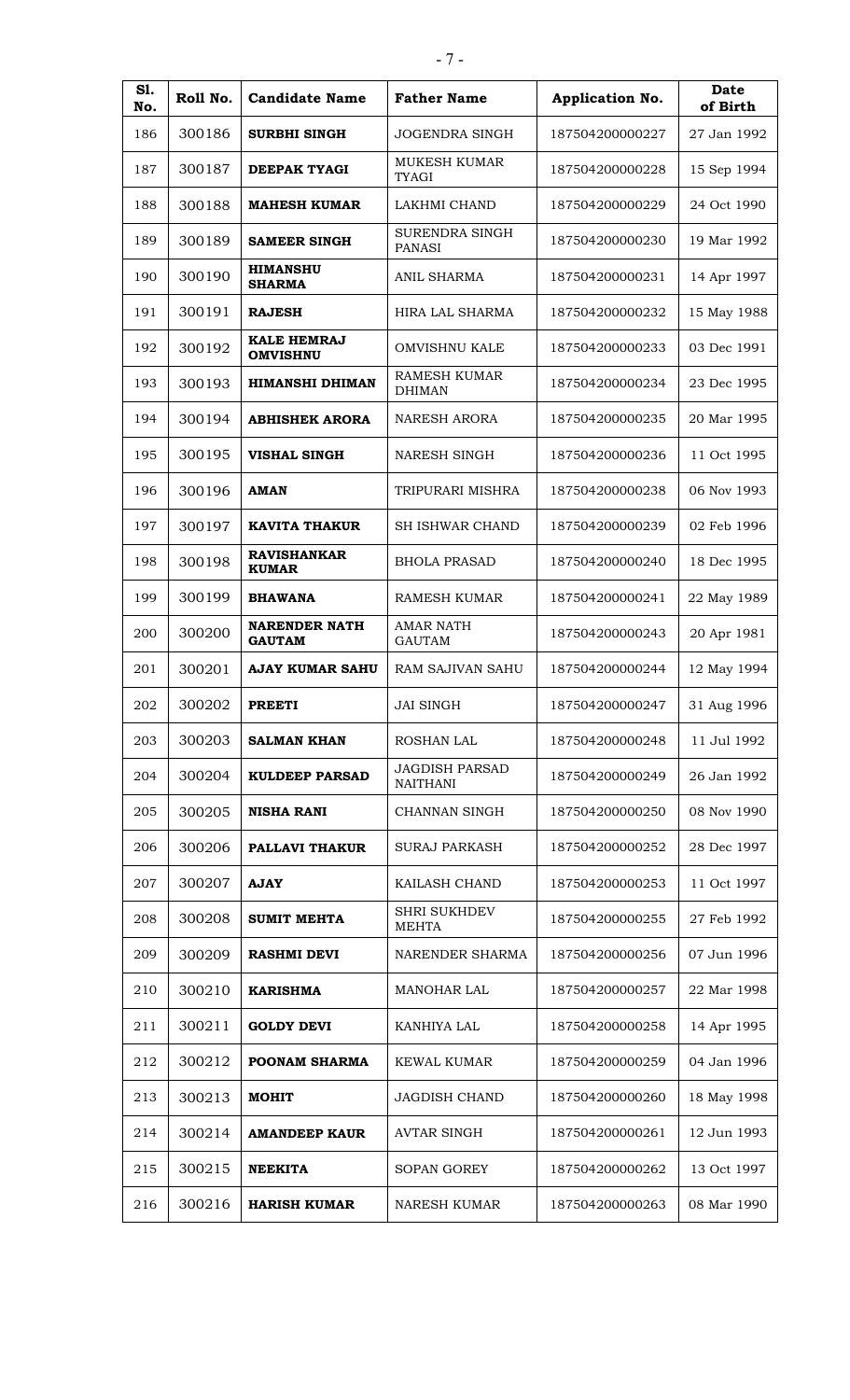| S1.<br>No. | Roll No. | <b>Candidate Name</b>                 | <b>Father Name</b>                   | Application No. | Date<br>of Birth |
|------------|----------|---------------------------------------|--------------------------------------|-----------------|------------------|
| 186        | 300186   | <b>SURBHI SINGH</b>                   | <b>JOGENDRA SINGH</b>                | 187504200000227 | 27 Jan 1992      |
| 187        | 300187   | <b>DEEPAK TYAGI</b>                   | MUKESH KUMAR<br><b>TYAGI</b>         | 187504200000228 | 15 Sep 1994      |
| 188        | 300188   | <b>MAHESH KUMAR</b>                   | LAKHMI CHAND                         | 187504200000229 | 24 Oct 1990      |
| 189        | 300189   | <b>SAMEER SINGH</b>                   | SURENDRA SINGH<br><b>PANASI</b>      | 187504200000230 | 19 Mar 1992      |
| 190        | 300190   | <b>HIMANSHU</b><br><b>SHARMA</b>      | <b>ANIL SHARMA</b>                   | 187504200000231 | 14 Apr 1997      |
| 191        | 300191   | <b>RAJESH</b>                         | HIRA LAL SHARMA                      | 187504200000232 | 15 May 1988      |
| 192        | 300192   | <b>KALE HEMRAJ</b><br><b>OMVISHNU</b> | <b>OMVISHNU KALE</b>                 | 187504200000233 | 03 Dec 1991      |
| 193        | 300193   | <b>HIMANSHI DHIMAN</b>                | <b>RAMESH KUMAR</b><br><b>DHIMAN</b> | 187504200000234 | 23 Dec 1995      |
| 194        | 300194   | <b>ABHISHEK ARORA</b>                 | <b>NARESH ARORA</b>                  | 187504200000235 | 20 Mar 1995      |
| 195        | 300195   | <b>VISHAL SINGH</b>                   | NARESH SINGH                         | 187504200000236 | 11 Oct 1995      |
| 196        | 300196   | AMAN                                  | TRIPURARI MISHRA                     | 187504200000238 | 06 Nov 1993      |
| 197        | 300197   | <b>KAVITA THAKUR</b>                  | <b>SH ISHWAR CHAND</b>               | 187504200000239 | 02 Feb 1996      |
| 198        | 300198   | <b>RAVISHANKAR</b><br><b>KUMAR</b>    | <b>BHOLA PRASAD</b>                  | 187504200000240 | 18 Dec 1995      |
| 199        | 300199   | <b>BHAWANA</b>                        | <b>RAMESH KUMAR</b>                  | 187504200000241 | 22 May 1989      |
| 200        | 300200   | <b>NARENDER NATH</b><br><b>GAUTAM</b> | <b>AMAR NATH</b><br><b>GAUTAM</b>    | 187504200000243 | 20 Apr 1981      |
| 201        | 300201   | <b>AJAY KUMAR SAHU</b>                | <b>RAM SAJIVAN SAHU</b>              | 187504200000244 | 12 May 1994      |
| 202        | 300202   | <b>PREETI</b>                         | JAI SINGH                            | 187504200000247 | 31 Aug 1996      |
| 203        | 300203   | <b>SALMAN KHAN</b>                    | ROSHAN LAL                           | 187504200000248 | 11 Jul 1992      |
| 204        | 300204   | <b>KULDEEP PARSAD</b>                 | JAGDISH PARSAD<br><b>NAITHANI</b>    | 187504200000249 | 26 Jan 1992      |
| 205        | 300205   | <b>NISHA RANI</b>                     | <b>CHANNAN SINGH</b>                 | 187504200000250 | 08 Nov 1990      |
| 206        | 300206   | <b>PALLAVI THAKUR</b>                 | <b>SURAJ PARKASH</b>                 | 187504200000252 | 28 Dec 1997      |
| 207        | 300207   | <b>AJAY</b>                           | KAILASH CHAND                        | 187504200000253 | 11 Oct 1997      |
| 208        | 300208   | <b>SUMIT MEHTA</b>                    | <b>SHRI SUKHDEV</b><br><b>MEHTA</b>  | 187504200000255 | 27 Feb 1992      |
| 209        | 300209   | <b>RASHMI DEVI</b>                    | NARENDER SHARMA                      | 187504200000256 | 07 Jun 1996      |
| 210        | 300210   | <b>KARISHMA</b>                       | <b>MANOHAR LAL</b>                   | 187504200000257 | 22 Mar 1998      |
| 211        | 300211   | <b>GOLDY DEVI</b>                     | KANHIYA LAL                          | 187504200000258 | 14 Apr 1995      |
| 212        | 300212   | POONAM SHARMA                         | <b>KEWAL KUMAR</b>                   | 187504200000259 | 04 Jan 1996      |
| 213        | 300213   | <b>MOHIT</b>                          | <b>JAGDISH CHAND</b>                 | 187504200000260 | 18 May 1998      |
| 214        | 300214   | <b>AMANDEEP KAUR</b>                  | <b>AVTAR SINGH</b>                   | 187504200000261 | 12 Jun 1993      |
| 215        | 300215   | <b>NEEKITA</b>                        | <b>SOPAN GOREY</b>                   | 187504200000262 | 13 Oct 1997      |
| 216        | 300216   | <b>HARISH KUMAR</b>                   | <b>NARESH KUMAR</b>                  | 187504200000263 | 08 Mar 1990      |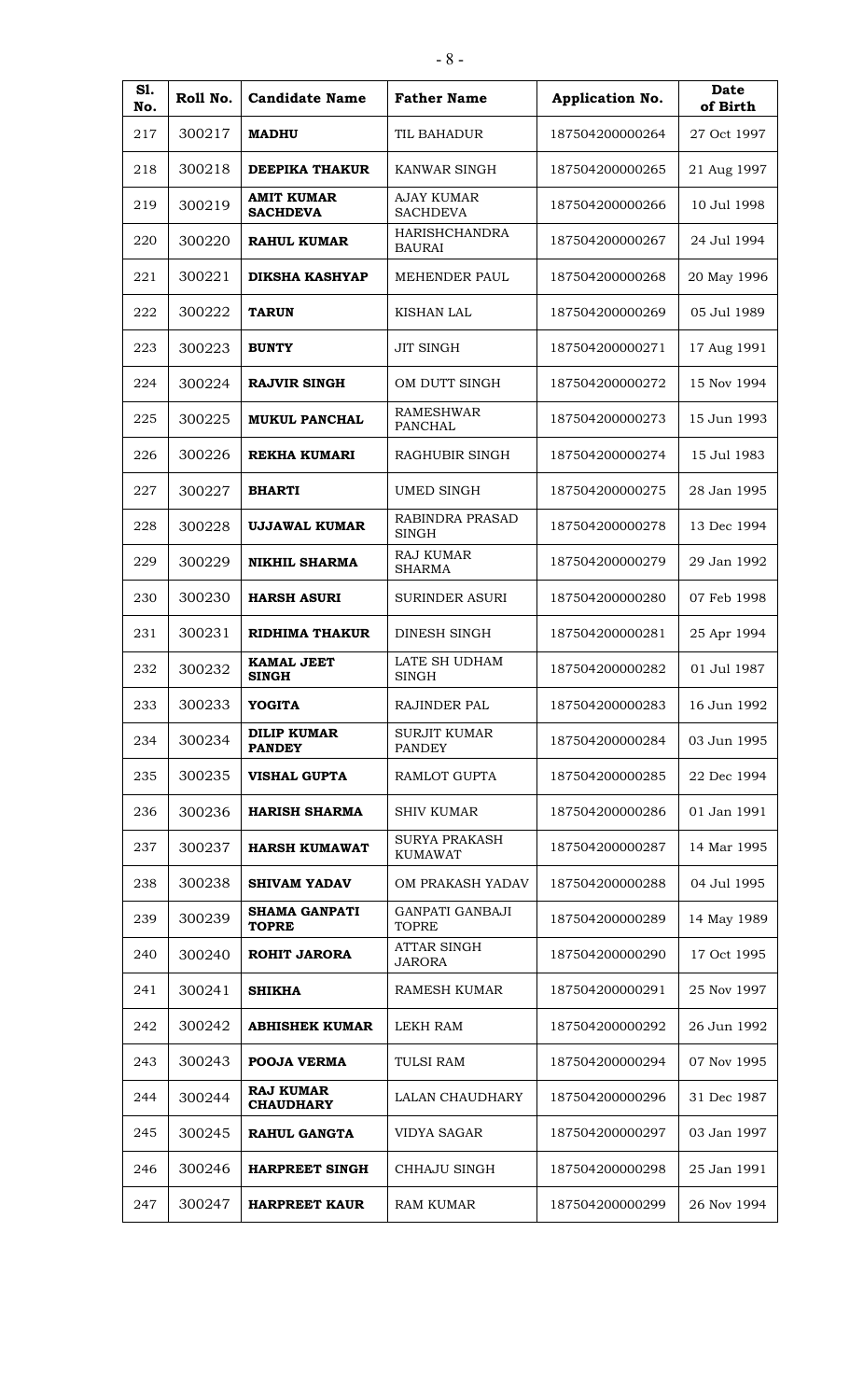| S1.<br>No. | Roll No. | <b>Candidate Name</b>                | <b>Father Name</b>                     | Application No. | Date<br>of Birth |
|------------|----------|--------------------------------------|----------------------------------------|-----------------|------------------|
| 217        | 300217   | <b>MADHU</b>                         | TIL BAHADUR                            | 187504200000264 | 27 Oct 1997      |
| 218        | 300218   | <b>DEEPIKA THAKUR</b>                | KANWAR SINGH                           | 187504200000265 | 21 Aug 1997      |
| 219        | 300219   | <b>AMIT KUMAR</b><br><b>SACHDEVA</b> | <b>AJAY KUMAR</b><br><b>SACHDEVA</b>   | 187504200000266 | 10 Jul 1998      |
| 220        | 300220   | <b>RAHUL KUMAR</b>                   | <b>HARISHCHANDRA</b><br><b>BAURAI</b>  | 187504200000267 | 24 Jul 1994      |
| 221        | 300221   | DIKSHA KASHYAP                       | <b>MEHENDER PAUL</b>                   | 187504200000268 | 20 May 1996      |
| 222        | 300222   | <b>TARUN</b>                         | KISHAN LAL                             | 187504200000269 | 05 Jul 1989      |
| 223        | 300223   | <b>BUNTY</b>                         | <b>JIT SINGH</b>                       | 187504200000271 | 17 Aug 1991      |
| 224        | 300224   | <b>RAJVIR SINGH</b>                  | OM DUTT SINGH                          | 187504200000272 | 15 Nov 1994      |
| 225        | 300225   | <b>MUKUL PANCHAL</b>                 | <b>RAMESHWAR</b><br>PANCHAL            | 187504200000273 | 15 Jun 1993      |
| 226        | 300226   | <b>REKHA KUMARI</b>                  | RAGHUBIR SINGH                         | 187504200000274 | 15 Jul 1983      |
| 227        | 300227   | <b>BHARTI</b>                        | <b>UMED SINGH</b>                      | 187504200000275 | 28 Jan 1995      |
| 228        | 300228   | UJJAWAL KUMAR                        | RABINDRA PRASAD<br><b>SINGH</b>        | 187504200000278 | 13 Dec 1994      |
| 229        | 300229   | <b>NIKHIL SHARMA</b>                 | <b>RAJ KUMAR</b><br><b>SHARMA</b>      | 187504200000279 | 29 Jan 1992      |
| 230        | 300230   | <b>HARSH ASURI</b>                   | <b>SURINDER ASURI</b>                  | 187504200000280 | 07 Feb 1998      |
| 231        | 300231   | RIDHIMA THAKUR                       | DINESH SINGH                           | 187504200000281 | 25 Apr 1994      |
| 232        | 300232   | <b>KAMAL JEET</b><br><b>SINGH</b>    | LATE SH UDHAM<br><b>SINGH</b>          | 187504200000282 | 01 Jul 1987      |
| 233        | 300233   | YOGITA                               | <b>RAJINDER PAL</b>                    | 187504200000283 | 16 Jun 1992      |
| 234        | 300234   | <b>DILIP KUMAR</b><br><b>PANDEY</b>  | <b>SURJIT KUMAR</b><br><b>PANDEY</b>   | 187504200000284 | 03 Jun 1995      |
| 235        | 300235   | <b>VISHAL GUPTA</b>                  | RAMLOT GUPTA                           | 187504200000285 | 22 Dec 1994      |
| 236        | 300236   | <b>HARISH SHARMA</b>                 | SHIV KUMAR                             | 187504200000286 | 01 Jan 1991      |
| 237        | 300237   | <b>HARSH KUMAWAT</b>                 | <b>SURYA PRAKASH</b><br><b>KUMAWAT</b> | 187504200000287 | 14 Mar 1995      |
| 238        | 300238   | <b>SHIVAM YADAV</b>                  | OM PRAKASH YADAV                       | 187504200000288 | 04 Jul 1995      |
| 239        | 300239   | <b>SHAMA GANPATI</b><br><b>TOPRE</b> | <b>GANPATI GANBAJI</b><br><b>TOPRE</b> | 187504200000289 | 14 May 1989      |
| 240        | 300240   | <b>ROHIT JARORA</b>                  | <b>ATTAR SINGH</b><br><b>JARORA</b>    | 187504200000290 | 17 Oct 1995      |
| 241        | 300241   | <b>SHIKHA</b>                        | <b>RAMESH KUMAR</b>                    | 187504200000291 | 25 Nov 1997      |
| 242        | 300242   | <b>ABHISHEK KUMAR</b>                | LEKH RAM                               | 187504200000292 | 26 Jun 1992      |
| 243        | 300243   | <b>POOJA VERMA</b>                   | <b>TULSI RAM</b>                       | 187504200000294 | 07 Nov 1995      |
| 244        | 300244   | <b>RAJ KUMAR</b><br><b>CHAUDHARY</b> | LALAN CHAUDHARY                        | 187504200000296 | 31 Dec 1987      |
| 245        | 300245   | <b>RAHUL GANGTA</b>                  | <b>VIDYA SAGAR</b>                     | 187504200000297 | 03 Jan 1997      |
| 246        | 300246   | <b>HARPREET SINGH</b>                | CHHAJU SINGH                           | 187504200000298 | 25 Jan 1991      |
| 247        | 300247   | <b>HARPREET KAUR</b>                 | <b>RAM KUMAR</b>                       | 187504200000299 | 26 Nov 1994      |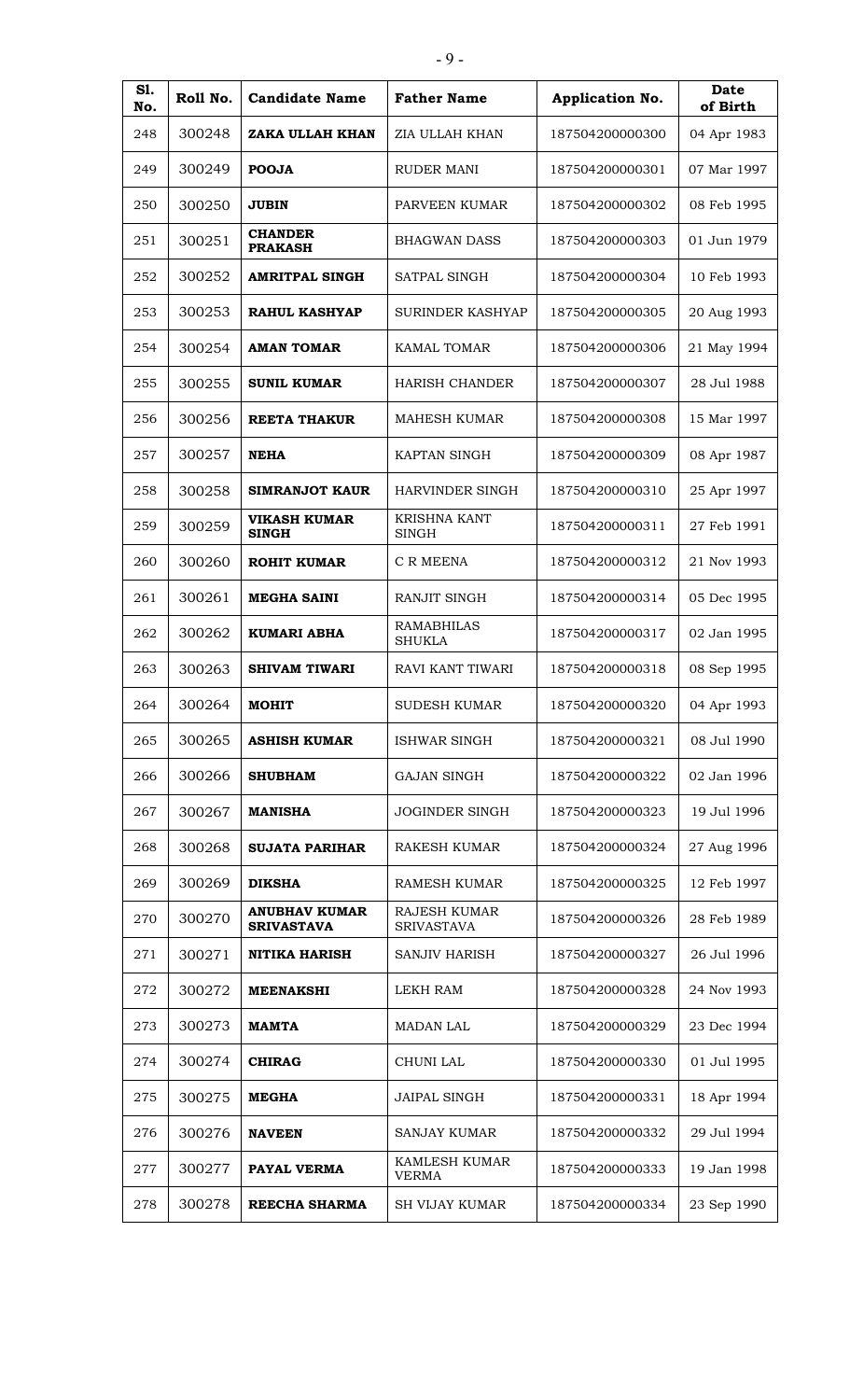| S1.<br>No. | Roll No. | <b>Candidate Name</b>                     | <b>Father Name</b>                       | <b>Application No.</b> | <b>Date</b><br>of Birth |
|------------|----------|-------------------------------------------|------------------------------------------|------------------------|-------------------------|
| 248        | 300248   | ZAKA ULLAH KHAN                           | ZIA ULLAH KHAN                           | 187504200000300        | 04 Apr 1983             |
| 249        | 300249   | <b>POOJA</b>                              | <b>RUDER MANI</b>                        | 187504200000301        | 07 Mar 1997             |
| 250        | 300250   | <b>JUBIN</b>                              | PARVEEN KUMAR                            | 187504200000302        | 08 Feb 1995             |
| 251        | 300251   | <b>CHANDER</b><br><b>PRAKASH</b>          | <b>BHAGWAN DASS</b>                      | 187504200000303        | 01 Jun 1979             |
| 252        | 300252   | <b>AMRITPAL SINGH</b>                     | <b>SATPAL SINGH</b>                      | 187504200000304        | 10 Feb 1993             |
| 253        | 300253   | <b>RAHUL KASHYAP</b>                      | <b>SURINDER KASHYAP</b>                  | 187504200000305        | 20 Aug 1993             |
| 254        | 300254   | <b>AMAN TOMAR</b>                         | <b>KAMAL TOMAR</b>                       | 187504200000306        | 21 May 1994             |
| 255        | 300255   | <b>SUNIL KUMAR</b>                        | <b>HARISH CHANDER</b>                    | 187504200000307        | 28 Jul 1988             |
| 256        | 300256   | <b>REETA THAKUR</b>                       | <b>MAHESH KUMAR</b>                      | 187504200000308        | 15 Mar 1997             |
| 257        | 300257   | <b>NEHA</b>                               | KAPTAN SINGH                             | 187504200000309        | 08 Apr 1987             |
| 258        | 300258   | <b>SIMRANJOT KAUR</b>                     | <b>HARVINDER SINGH</b>                   | 187504200000310        | 25 Apr 1997             |
| 259        | 300259   | <b>VIKASH KUMAR</b><br><b>SINGH</b>       | <b>KRISHNA KANT</b><br><b>SINGH</b>      | 187504200000311        | 27 Feb 1991             |
| 260        | 300260   | <b>ROHIT KUMAR</b>                        | C R MEENA                                | 187504200000312        | 21 Nov 1993             |
| 261        | 300261   | <b>MEGHA SAINI</b>                        | <b>RANJIT SINGH</b>                      | 187504200000314        | 05 Dec 1995             |
| 262        | 300262   | <b>KUMARI ABHA</b>                        | <b>RAMABHILAS</b><br><b>SHUKLA</b>       | 187504200000317        | 02 Jan 1995             |
| 263        | 300263   | <b>SHIVAM TIWARI</b>                      | RAVI KANT TIWARI                         | 187504200000318        | 08 Sep 1995             |
| 264        | 300264   | <b>MOHIT</b>                              | SUDESH KUMAR                             | 187504200000320        | 04 Apr 1993             |
| 265        | 300265   | <b>ASHISH KUMAR</b>                       | <b>ISHWAR SINGH</b>                      | 187504200000321        | 08 Jul 1990             |
| 266        | 300266   | <b>SHUBHAM</b>                            | <b>GAJAN SINGH</b>                       | 187504200000322        | 02 Jan 1996             |
| 267        | 300267   | <b>MANISHA</b>                            | <b>JOGINDER SINGH</b>                    | 187504200000323        | 19 Jul 1996             |
| 268        | 300268   | <b>SUJATA PARIHAR</b>                     | RAKESH KUMAR                             | 187504200000324        | 27 Aug 1996             |
| 269        | 300269   | <b>DIKSHA</b>                             | <b>RAMESH KUMAR</b>                      | 187504200000325        | 12 Feb 1997             |
| 270        | 300270   | <b>ANUBHAV KUMAR</b><br><b>SRIVASTAVA</b> | <b>RAJESH KUMAR</b><br><b>SRIVASTAVA</b> | 187504200000326        | 28 Feb 1989             |
| 271        | 300271   | <b>NITIKA HARISH</b>                      | <b>SANJIV HARISH</b>                     | 187504200000327        | 26 Jul 1996             |
| 272        | 300272   | <b>MEENAKSHI</b>                          | LEKH RAM                                 | 187504200000328        | 24 Nov 1993             |
| 273        | 300273   | <b>MAMTA</b>                              | <b>MADAN LAL</b>                         | 187504200000329        | 23 Dec 1994             |
| 274        | 300274   | <b>CHIRAG</b>                             | CHUNI LAL                                | 187504200000330        | 01 Jul 1995             |
| 275        | 300275   | <b>MEGHA</b>                              | <b>JAIPAL SINGH</b>                      | 187504200000331        | 18 Apr 1994             |
| 276        | 300276   | <b>NAVEEN</b>                             | <b>SANJAY KUMAR</b>                      | 187504200000332        | 29 Jul 1994             |
| 277        | 300277   | PAYAL VERMA                               | <b>KAMLESH KUMAR</b><br><b>VERMA</b>     | 187504200000333        | 19 Jan 1998             |
| 278        | 300278   | REECHA SHARMA                             | <b>SH VIJAY KUMAR</b>                    | 187504200000334        | 23 Sep 1990             |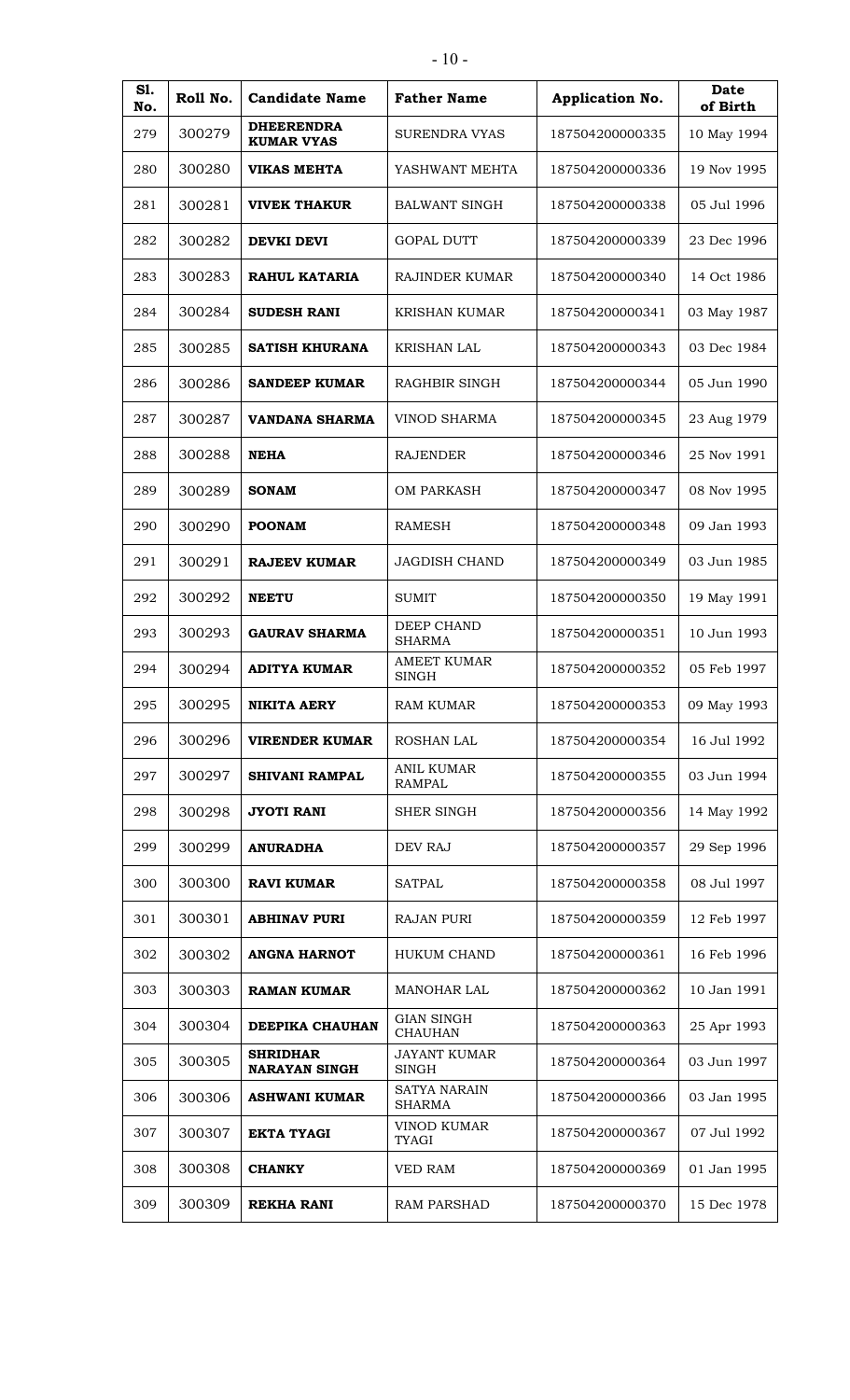| S1.<br>No. | Roll No. | <b>Candidate Name</b>                   | <b>Father Name</b>                   | Application No. | <b>Date</b><br>of Birth |
|------------|----------|-----------------------------------------|--------------------------------------|-----------------|-------------------------|
| 279        | 300279   | <b>DHEERENDRA</b><br><b>KUMAR VYAS</b>  | <b>SURENDRA VYAS</b>                 | 187504200000335 | 10 May 1994             |
| 280        | 300280   | <b>VIKAS MEHTA</b>                      | YASHWANT MEHTA                       | 187504200000336 | 19 Nov 1995             |
| 281        | 300281   | <b>VIVEK THAKUR</b>                     | <b>BALWANT SINGH</b>                 | 187504200000338 | 05 Jul 1996             |
| 282        | 300282   | <b>DEVKI DEVI</b>                       | <b>GOPAL DUTT</b>                    | 187504200000339 | 23 Dec 1996             |
| 283        | 300283   | RAHUL KATARIA                           | <b>RAJINDER KUMAR</b>                | 187504200000340 | 14 Oct 1986             |
| 284        | 300284   | <b>SUDESH RANI</b>                      | <b>KRISHAN KUMAR</b>                 | 187504200000341 | 03 May 1987             |
| 285        | 300285   | <b>SATISH KHURANA</b>                   | KRISHAN LAL                          | 187504200000343 | 03 Dec 1984             |
| 286        | 300286   | <b>SANDEEP KUMAR</b>                    | RAGHBIR SINGH                        | 187504200000344 | 05 Jun 1990             |
| 287        | 300287   | VANDANA SHARMA                          | <b>VINOD SHARMA</b>                  | 187504200000345 | 23 Aug 1979             |
| 288        | 300288   | <b>NEHA</b>                             | <b>RAJENDER</b>                      | 187504200000346 | 25 Nov 1991             |
| 289        | 300289   | <b>SONAM</b>                            | <b>OM PARKASH</b>                    | 187504200000347 | 08 Nov 1995             |
| 290        | 300290   | <b>POONAM</b>                           | <b>RAMESH</b>                        | 187504200000348 | 09 Jan 1993             |
| 291        | 300291   | <b>RAJEEV KUMAR</b>                     | <b>JAGDISH CHAND</b>                 | 187504200000349 | 03 Jun 1985             |
| 292        | 300292   | <b>NEETU</b>                            | SUMIT                                | 187504200000350 | 19 May 1991             |
| 293        | 300293   | <b>GAURAV SHARMA</b>                    | <b>DEEP CHAND</b><br><b>SHARMA</b>   | 187504200000351 | 10 Jun 1993             |
| 294        | 300294   | <b>ADITYA KUMAR</b>                     | <b>AMEET KUMAR</b><br>SINGH          | 187504200000352 | 05 Feb 1997             |
| 295        | 300295   | <b>NIKITA AERY</b>                      | <b>RAM KUMAR</b>                     | 187504200000353 | 09 May 1993             |
| 296        | 300296   | <b>VIRENDER KUMAR</b>                   | <b>ROSHAN LAL</b>                    | 187504200000354 | 16 Jul 1992             |
| 297        | 300297   | <b>SHIVANI RAMPAL</b>                   | <b>ANIL KUMAR</b><br><b>RAMPAL</b>   | 187504200000355 | 03 Jun 1994             |
| 298        | 300298   | <b>JYOTI RANI</b>                       | <b>SHER SINGH</b>                    | 187504200000356 | 14 May 1992             |
| 299        | 300299   | <b>ANURADHA</b>                         | DEV RAJ                              | 187504200000357 | 29 Sep 1996             |
| 300        | 300300   | <b>RAVI KUMAR</b>                       | <b>SATPAL</b>                        | 187504200000358 | 08 Jul 1997             |
| 301        | 300301   | <b>ABHINAV PURI</b>                     | <b>RAJAN PURI</b>                    | 187504200000359 | 12 Feb 1997             |
| 302        | 300302   | <b>ANGNA HARNOT</b>                     | <b>HUKUM CHAND</b>                   | 187504200000361 | 16 Feb 1996             |
| 303        | 300303   | <b>RAMAN KUMAR</b>                      | <b>MANOHAR LAL</b>                   | 187504200000362 | 10 Jan 1991             |
| 304        | 300304   | DEEPIKA CHAUHAN                         | <b>GIAN SINGH</b><br><b>CHAUHAN</b>  | 187504200000363 | 25 Apr 1993             |
| 305        | 300305   | <b>SHRIDHAR</b><br><b>NARAYAN SINGH</b> | JAYANT KUMAR<br>SINGH                | 187504200000364 | 03 Jun 1997             |
| 306        | 300306   | <b>ASHWANI KUMAR</b>                    | <b>SATYA NARAIN</b><br><b>SHARMA</b> | 187504200000366 | 03 Jan 1995             |
| 307        | 300307   | <b>EKTA TYAGI</b>                       | <b>VINOD KUMAR</b><br><b>TYAGI</b>   | 187504200000367 | 07 Jul 1992             |
| 308        | 300308   | <b>CHANKY</b>                           | <b>VED RAM</b>                       | 187504200000369 | 01 Jan 1995             |
| 309        | 300309   | <b>REKHA RANI</b>                       | <b>RAM PARSHAD</b>                   | 187504200000370 | 15 Dec 1978             |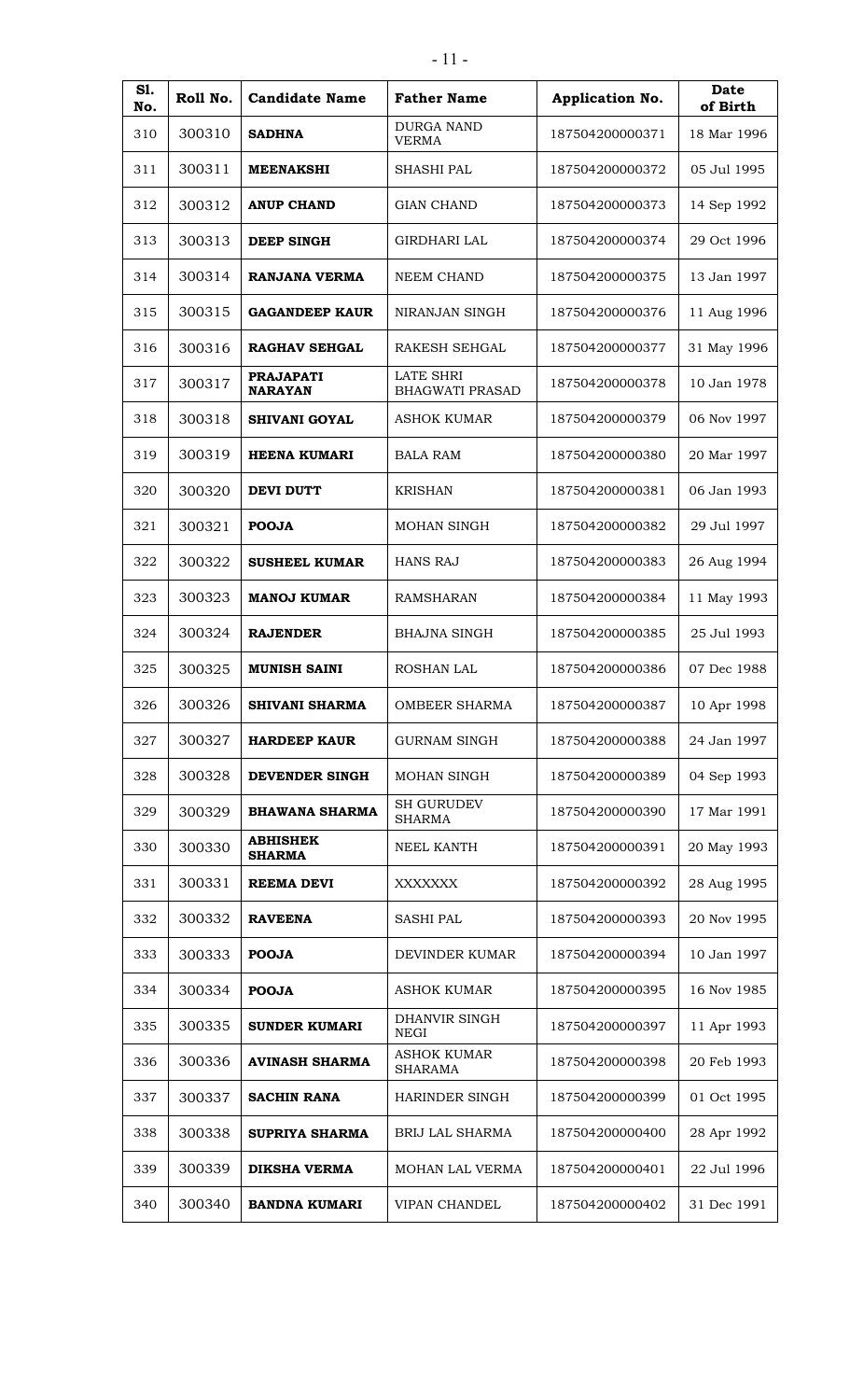| S1.<br>No. | Roll No. | <b>Candidate Name</b>              | <b>Father Name</b>                         | Application No. | Date<br>of Birth |
|------------|----------|------------------------------------|--------------------------------------------|-----------------|------------------|
| 310        | 300310   | <b>SADHNA</b>                      | <b>DURGA NAND</b><br><b>VERMA</b>          | 187504200000371 | 18 Mar 1996      |
| 311        | 300311   | <b>MEENAKSHI</b>                   | <b>SHASHI PAL</b>                          | 187504200000372 | 05 Jul 1995      |
| 312        | 300312   | <b>ANUP CHAND</b>                  | <b>GIAN CHAND</b>                          | 187504200000373 | 14 Sep 1992      |
| 313        | 300313   | <b>DEEP SINGH</b>                  | <b>GIRDHARI LAL</b>                        | 187504200000374 | 29 Oct 1996      |
| 314        | 300314   | RANJANA VERMA                      | <b>NEEM CHAND</b>                          | 187504200000375 | 13 Jan 1997      |
| 315        | 300315   | <b>GAGANDEEP KAUR</b>              | NIRANJAN SINGH                             | 187504200000376 | 11 Aug 1996      |
| 316        | 300316   | <b>RAGHAV SEHGAL</b>               | <b>RAKESH SEHGAL</b>                       | 187504200000377 | 31 May 1996      |
| 317        | 300317   | <b>PRAJAPATI</b><br><b>NARAYAN</b> | <b>LATE SHRI</b><br><b>BHAGWATI PRASAD</b> | 187504200000378 | 10 Jan 1978      |
| 318        | 300318   | <b>SHIVANI GOYAL</b>               | <b>ASHOK KUMAR</b>                         | 187504200000379 | 06 Nov 1997      |
| 319        | 300319   | <b>HEENA KUMARI</b>                | <b>BALA RAM</b>                            | 187504200000380 | 20 Mar 1997      |
| 320        | 300320   | <b>DEVI DUTT</b>                   | <b>KRISHAN</b>                             | 187504200000381 | 06 Jan 1993      |
| 321        | 300321   | <b>POOJA</b>                       | <b>MOHAN SINGH</b>                         | 187504200000382 | 29 Jul 1997      |
| 322        | 300322   | <b>SUSHEEL KUMAR</b>               | <b>HANS RAJ</b>                            | 187504200000383 | 26 Aug 1994      |
| 323        | 300323   | <b>MANOJ KUMAR</b>                 | <b>RAMSHARAN</b>                           | 187504200000384 | 11 May 1993      |
| 324        | 300324   | <b>RAJENDER</b>                    | <b>BHAJNA SINGH</b>                        | 187504200000385 | 25 Jul 1993      |
| 325        | 300325   | <b>MUNISH SAINI</b>                | <b>ROSHAN LAL</b>                          | 187504200000386 | 07 Dec 1988      |
| 326        | 300326   | <b>SHIVANI SHARMA</b>              | <b>OMBEER SHARMA</b>                       | 187504200000387 | 10 Apr 1998      |
| 327        | 300327   | <b>HARDEEP KAUR</b>                | <b>GURNAM SINGH</b>                        | 187504200000388 | 24 Jan 1997      |
| 328        | 300328   | DEVENDER SINGH                     | <b>MOHAN SINGH</b>                         | 187504200000389 | 04 Sep 1993      |
| 329        | 300329   | <b>BHAWANA SHARMA</b>              | <b>SH GURUDEV</b><br><b>SHARMA</b>         | 187504200000390 | 17 Mar 1991      |
| 330        | 300330   | <b>ABHISHEK</b><br><b>SHARMA</b>   | NEEL KANTH                                 | 187504200000391 | 20 May 1993      |
| 331        | 300331   | <b>REEMA DEVI</b>                  | <b>XXXXXXX</b>                             | 187504200000392 | 28 Aug 1995      |
| 332        | 300332   | <b>RAVEENA</b>                     | <b>SASHI PAL</b>                           | 187504200000393 | 20 Nov 1995      |
| 333        | 300333   | <b>POOJA</b>                       | DEVINDER KUMAR                             | 187504200000394 | 10 Jan 1997      |
| 334        | 300334   | <b>POOJA</b>                       | <b>ASHOK KUMAR</b>                         | 187504200000395 | 16 Nov 1985      |
| 335        | 300335   | <b>SUNDER KUMARI</b>               | DHANVIR SINGH<br>NEGI                      | 187504200000397 | 11 Apr 1993      |
| 336        | 300336   | <b>AVINASH SHARMA</b>              | <b>ASHOK KUMAR</b><br><b>SHARAMA</b>       | 187504200000398 | 20 Feb 1993      |
| 337        | 300337   | <b>SACHIN RANA</b>                 | HARINDER SINGH                             | 187504200000399 | 01 Oct 1995      |
| 338        | 300338   | <b>SUPRIYA SHARMA</b>              | <b>BRIJ LAL SHARMA</b>                     | 187504200000400 | 28 Apr 1992      |
| 339        | 300339   | <b>DIKSHA VERMA</b>                | MOHAN LAL VERMA                            | 187504200000401 | 22 Jul 1996      |
| 340        | 300340   | <b>BANDNA KUMARI</b>               | <b>VIPAN CHANDEL</b>                       | 187504200000402 | 31 Dec 1991      |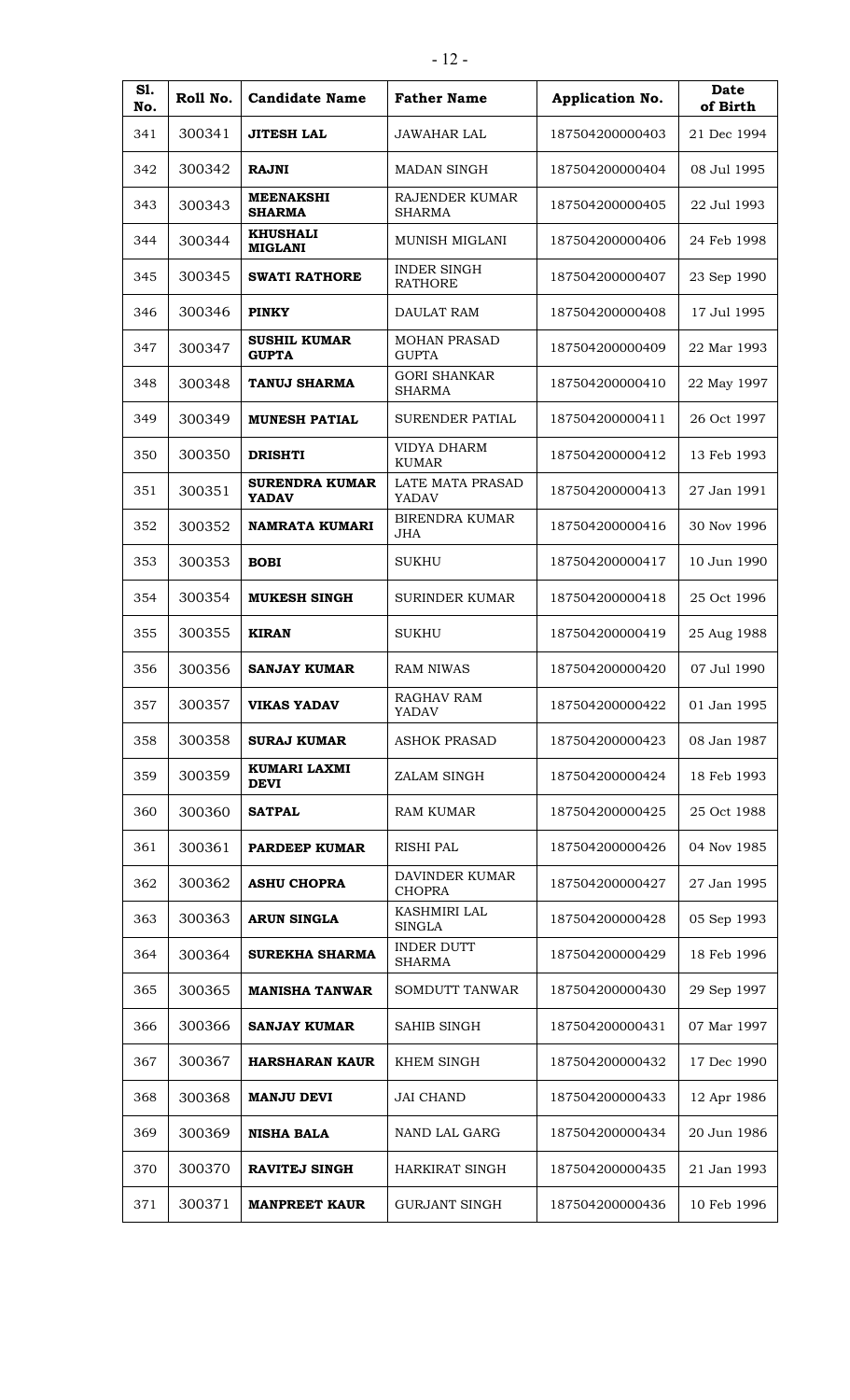| S1.<br>No. | Roll No. | <b>Candidate Name</b>                 | <b>Father Name</b>                     | Application No. | Date<br>of Birth |
|------------|----------|---------------------------------------|----------------------------------------|-----------------|------------------|
| 341        | 300341   | <b>JITESH LAL</b>                     | <b>JAWAHAR LAL</b>                     | 187504200000403 | 21 Dec 1994      |
| 342        | 300342   | <b>RAJNI</b>                          | <b>MADAN SINGH</b>                     | 187504200000404 | 08 Jul 1995      |
| 343        | 300343   | <b>MEENAKSHI</b><br><b>SHARMA</b>     | RAJENDER KUMAR<br><b>SHARMA</b>        | 187504200000405 | 22 Jul 1993      |
| 344        | 300344   | <b>KHUSHALI</b><br><b>MIGLANI</b>     | MUNISH MIGLANI                         | 187504200000406 | 24 Feb 1998      |
| 345        | 300345   | <b>SWATI RATHORE</b>                  | <b>INDER SINGH</b><br><b>RATHORE</b>   | 187504200000407 | 23 Sep 1990      |
| 346        | 300346   | <b>PINKY</b>                          | DAULAT RAM                             | 187504200000408 | 17 Jul 1995      |
| 347        | 300347   | <b>SUSHIL KUMAR</b><br><b>GUPTA</b>   | <b>MOHAN PRASAD</b><br><b>GUPTA</b>    | 187504200000409 | 22 Mar 1993      |
| 348        | 300348   | <b>TANUJ SHARMA</b>                   | <b>GORI SHANKAR</b><br><b>SHARMA</b>   | 187504200000410 | 22 May 1997      |
| 349        | 300349   | <b>MUNESH PATIAL</b>                  | <b>SURENDER PATIAL</b>                 | 187504200000411 | 26 Oct 1997      |
| 350        | 300350   | <b>DRISHTI</b>                        | VIDYA DHARM<br><b>KUMAR</b>            | 187504200000412 | 13 Feb 1993      |
| 351        | 300351   | <b>SURENDRA KUMAR</b><br><b>YADAV</b> | LATE MATA PRASAD<br>YADAV              | 187504200000413 | 27 Jan 1991      |
| 352        | 300352   | NAMRATA KUMARI                        | <b>BIRENDRA KUMAR</b><br><b>JHA</b>    | 187504200000416 | 30 Nov 1996      |
| 353        | 300353   | <b>BOBI</b>                           | <b>SUKHU</b>                           | 187504200000417 | 10 Jun 1990      |
| 354        | 300354   | <b>MUKESH SINGH</b>                   | <b>SURINDER KUMAR</b>                  | 187504200000418 | 25 Oct 1996      |
| 355        | 300355   | <b>KIRAN</b>                          | <b>SUKHU</b>                           | 187504200000419 | 25 Aug 1988      |
| 356        | 300356   | <b>SANJAY KUMAR</b>                   | <b>RAM NIWAS</b>                       | 187504200000420 | 07 Jul 1990      |
| 357        | 300357   | <b>VIKAS YADAV</b>                    | RAGHAV RAM<br><b>YADAV</b>             | 187504200000422 | 01 Jan 1995      |
| 358        | 300358   | <b>SURAJ KUMAR</b>                    | <b>ASHOK PRASAD</b>                    | 187504200000423 | 08 Jan 1987      |
| 359        | 300359   | KUMARI LAXMI<br><b>DEVI</b>           | ZALAM SINGH                            | 187504200000424 | 18 Feb 1993      |
| 360        | 300360   | <b>SATPAL</b>                         | <b>RAM KUMAR</b>                       | 187504200000425 | 25 Oct 1988      |
| 361        | 300361   | <b>PARDEEP KUMAR</b>                  | <b>RISHI PAL</b>                       | 187504200000426 | 04 Nov 1985      |
| 362        | 300362   | <b>ASHU CHOPRA</b>                    | <b>DAVINDER KUMAR</b><br><b>CHOPRA</b> | 187504200000427 | 27 Jan 1995      |
| 363        | 300363   | <b>ARUN SINGLA</b>                    | <b>KASHMIRI LAL</b><br><b>SINGLA</b>   | 187504200000428 | 05 Sep 1993      |
| 364        | 300364   | <b>SUREKHA SHARMA</b>                 | <b>INDER DUTT</b><br><b>SHARMA</b>     | 187504200000429 | 18 Feb 1996      |
| 365        | 300365   | <b>MANISHA TANWAR</b>                 | <b>SOMDUTT TANWAR</b>                  | 187504200000430 | 29 Sep 1997      |
| 366        | 300366   | <b>SANJAY KUMAR</b>                   | SAHIB SINGH                            | 187504200000431 | 07 Mar 1997      |
| 367        | 300367   | <b>HARSHARAN KAUR</b>                 | KHEM SINGH                             | 187504200000432 | 17 Dec 1990      |
| 368        | 300368   | <b>MANJU DEVI</b>                     | <b>JAI CHAND</b>                       | 187504200000433 | 12 Apr 1986      |
| 369        | 300369   | <b>NISHA BALA</b>                     | NAND LAL GARG                          | 187504200000434 | 20 Jun 1986      |
| 370        | 300370   | <b>RAVITEJ SINGH</b>                  | <b>HARKIRAT SINGH</b>                  | 187504200000435 | 21 Jan 1993      |
| 371        | 300371   | <b>MANPREET KAUR</b>                  | <b>GURJANT SINGH</b>                   | 187504200000436 | 10 Feb 1996      |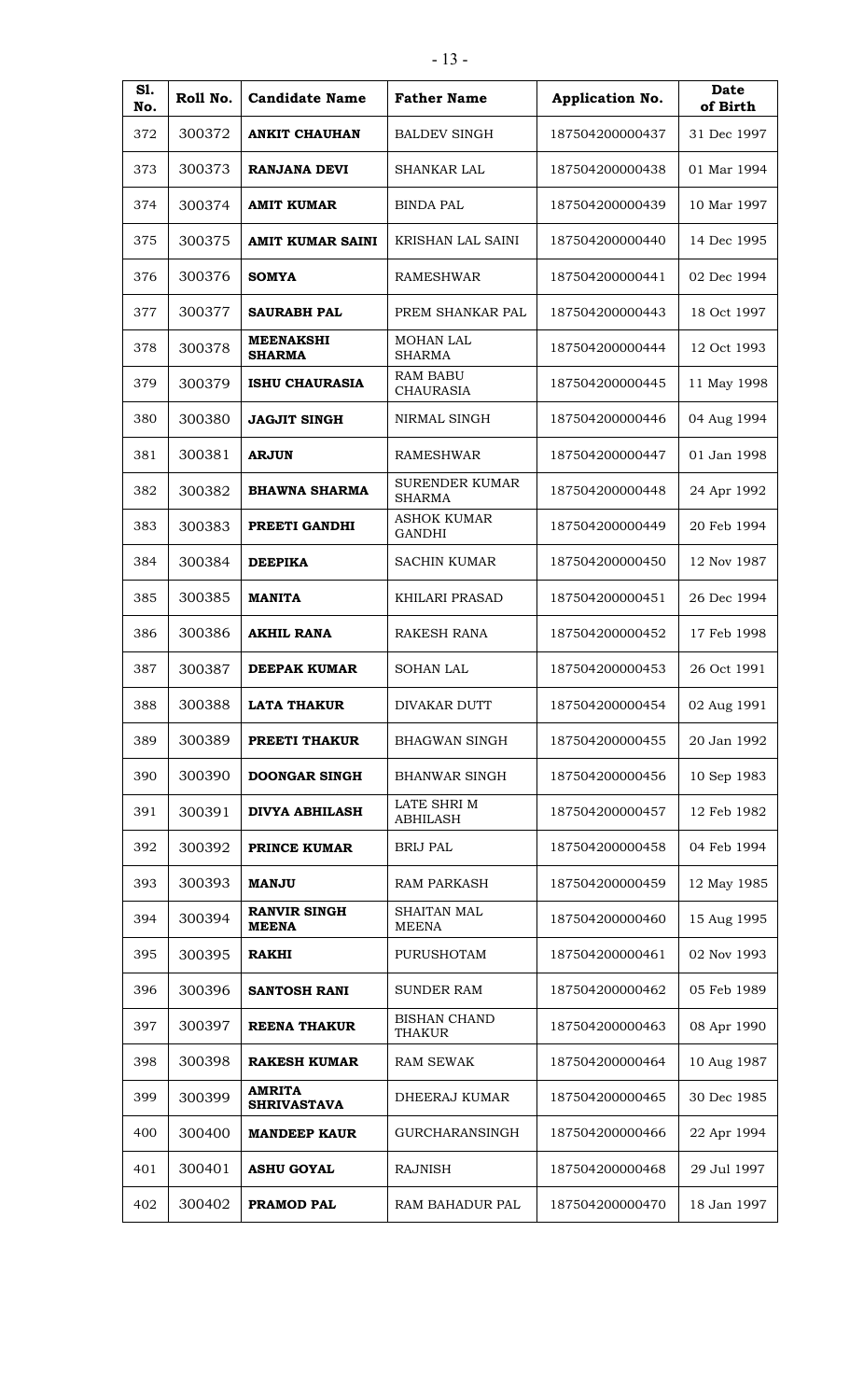| <b>S1.</b><br>No. | Roll No. | <b>Candidate Name</b>               | <b>Father Name</b>                  | Application No. | <b>Date</b><br>of Birth |
|-------------------|----------|-------------------------------------|-------------------------------------|-----------------|-------------------------|
| 372               | 300372   | <b>ANKIT CHAUHAN</b>                | <b>BALDEV SINGH</b>                 | 187504200000437 | 31 Dec 1997             |
| 373               | 300373   | <b>RANJANA DEVI</b>                 | SHANKAR LAL                         | 187504200000438 | 01 Mar 1994             |
| 374               | 300374   | <b>AMIT KUMAR</b>                   | <b>BINDA PAL</b>                    | 187504200000439 | 10 Mar 1997             |
| 375               | 300375   | AMIT KUMAR SAINI                    | KRISHAN LAL SAINI                   | 187504200000440 | 14 Dec 1995             |
| 376               | 300376   | <b>SOMYA</b>                        | <b>RAMESHWAR</b>                    | 187504200000441 | 02 Dec 1994             |
| 377               | 300377   | <b>SAURABH PAL</b>                  | PREM SHANKAR PAL                    | 187504200000443 | 18 Oct 1997             |
| 378               | 300378   | <b>MEENAKSHI</b><br><b>SHARMA</b>   | <b>MOHAN LAL</b><br><b>SHARMA</b>   | 187504200000444 | 12 Oct 1993             |
| 379               | 300379   | <b>ISHU CHAURASIA</b>               | <b>RAM BABU</b><br><b>CHAURASIA</b> | 187504200000445 | 11 May 1998             |
| 380               | 300380   | <b>JAGJIT SINGH</b>                 | NIRMAL SINGH                        | 187504200000446 | 04 Aug 1994             |
| 381               | 300381   | <b>ARJUN</b>                        | <b>RAMESHWAR</b>                    | 187504200000447 | 01 Jan 1998             |
| 382               | 300382   | <b>BHAWNA SHARMA</b>                | <b>SURENDER KUMAR</b><br>SHARMA     | 187504200000448 | 24 Apr 1992             |
| 383               | 300383   | PREETI GANDHI                       | ASHOK KUMAR<br><b>GANDHI</b>        | 187504200000449 | 20 Feb 1994             |
| 384               | 300384   | <b>DEEPIKA</b>                      | <b>SACHIN KUMAR</b>                 | 187504200000450 | 12 Nov 1987             |
| 385               | 300385   | <b>MANITA</b>                       | <b>KHILARI PRASAD</b>               | 187504200000451 | 26 Dec 1994             |
| 386               | 300386   | <b>AKHIL RANA</b>                   | RAKESH RANA                         | 187504200000452 | 17 Feb 1998             |
| 387               | 300387   | <b>DEEPAK KUMAR</b>                 | <b>SOHAN LAL</b>                    | 187504200000453 | 26 Oct 1991             |
| 388               | 300388   | <b>LATA THAKUR</b>                  | DIVAKAR DUTT                        | 187504200000454 | 02 Aug 1991             |
| 389               | 300389   | PREETI THAKUR                       | <b>BHAGWAN SINGH</b>                | 187504200000455 | 20 Jan 1992             |
| 390               | 300390   | <b>DOONGAR SINGH</b>                | <b>BHANWAR SINGH</b>                | 187504200000456 | 10 Sep 1983             |
| 391               | 300391   | <b>DIVYA ABHILASH</b>               | LATE SHRI M<br><b>ABHILASH</b>      | 187504200000457 | 12 Feb 1982             |
| 392               | 300392   | PRINCE KUMAR                        | <b>BRIJ PAL</b>                     | 187504200000458 | 04 Feb 1994             |
| 393               | 300393   | <b>MANJU</b>                        | <b>RAM PARKASH</b>                  | 187504200000459 | 12 May 1985             |
| 394               | 300394   | <b>RANVIR SINGH</b><br><b>MEENA</b> | SHAITAN MAL<br><b>MEENA</b>         | 187504200000460 | 15 Aug 1995             |
| 395               | 300395   | <b>RAKHI</b>                        | PURUSHOTAM                          | 187504200000461 | 02 Nov 1993             |
| 396               | 300396   | <b>SANTOSH RANI</b>                 | <b>SUNDER RAM</b>                   | 187504200000462 | 05 Feb 1989             |
| 397               | 300397   | <b>REENA THAKUR</b>                 | <b>BISHAN CHAND</b><br>THAKUR       | 187504200000463 | 08 Apr 1990             |
| 398               | 300398   | <b>RAKESH KUMAR</b>                 | <b>RAM SEWAK</b>                    | 187504200000464 | 10 Aug 1987             |
| 399               | 300399   | <b>AMRITA</b><br><b>SHRIVASTAVA</b> | DHEERAJ KUMAR                       | 187504200000465 | 30 Dec 1985             |
| 400               | 300400   | <b>MANDEEP KAUR</b>                 | <b>GURCHARANSINGH</b>               | 187504200000466 | 22 Apr 1994             |
| 401               | 300401   | <b>ASHU GOYAL</b>                   | <b>RAJNISH</b>                      | 187504200000468 | 29 Jul 1997             |
| 402               | 300402   | PRAMOD PAL                          | RAM BAHADUR PAL                     | 187504200000470 | 18 Jan 1997             |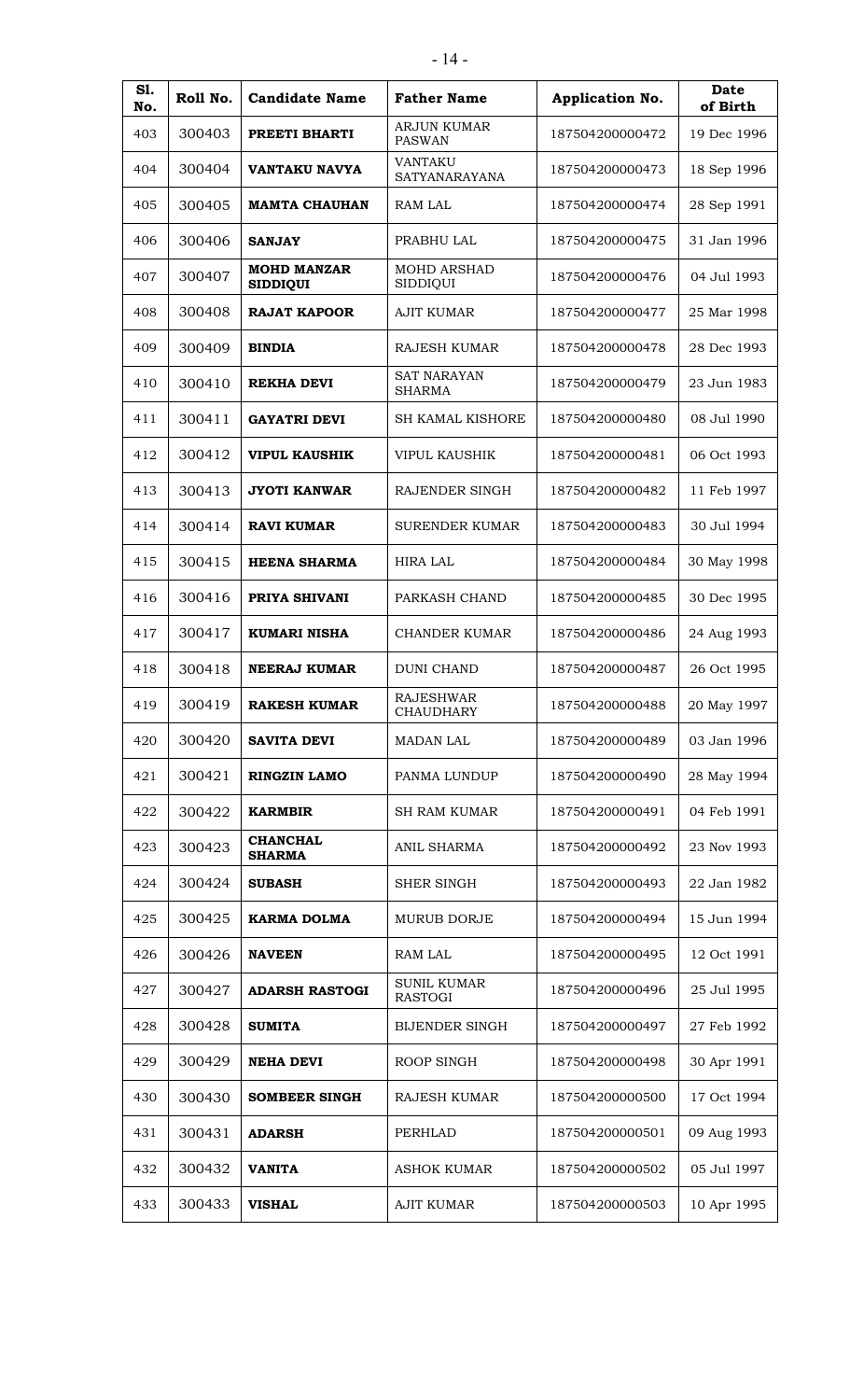| S1.<br>No. | Roll No. | <b>Candidate Name</b>                 | <b>Father Name</b>                   | <b>Application No.</b> | <b>Date</b><br>of Birth |
|------------|----------|---------------------------------------|--------------------------------------|------------------------|-------------------------|
| 403        | 300403   | PREETI BHARTI                         | ARJUN KUMAR<br><b>PASWAN</b>         | 187504200000472        | 19 Dec 1996             |
| 404        | 300404   | VANTAKU NAVYA                         | <b>VANTAKU</b><br>SATYANARAYANA      | 187504200000473        | 18 Sep 1996             |
| 405        | 300405   | <b>MAMTA CHAUHAN</b>                  | RAM LAL                              | 187504200000474        | 28 Sep 1991             |
| 406        | 300406   | <b>SANJAY</b>                         | PRABHU LAL                           | 187504200000475        | 31 Jan 1996             |
| 407        | 300407   | <b>MOHD MANZAR</b><br><b>SIDDIQUI</b> | <b>MOHD ARSHAD</b><br>SIDDIQUI       | 187504200000476        | 04 Jul 1993             |
| 408        | 300408   | <b>RAJAT KAPOOR</b>                   | <b>AJIT KUMAR</b>                    | 187504200000477        | 25 Mar 1998             |
| 409        | 300409   | <b>BINDIA</b>                         | <b>RAJESH KUMAR</b>                  | 187504200000478        | 28 Dec 1993             |
| 410        | 300410   | REKHA DEVI                            | <b>SAT NARAYAN</b><br><b>SHARMA</b>  | 187504200000479        | 23 Jun 1983             |
| 411        | 300411   | <b>GAYATRI DEVI</b>                   | <b>SH KAMAL KISHORE</b>              | 187504200000480        | 08 Jul 1990             |
| 412        | 300412   | <b>VIPUL KAUSHIK</b>                  | <b>VIPUL KAUSHIK</b>                 | 187504200000481        | 06 Oct 1993             |
| 413        | 300413   | <b>JYOTI KANWAR</b>                   | RAJENDER SINGH                       | 187504200000482        | 11 Feb 1997             |
| 414        | 300414   | <b>RAVI KUMAR</b>                     | <b>SURENDER KUMAR</b>                | 187504200000483        | 30 Jul 1994             |
| 415        | 300415   | <b>HEENA SHARMA</b>                   | <b>HIRA LAL</b>                      | 187504200000484        | 30 May 1998             |
| 416        | 300416   | PRIYA SHIVANI                         | PARKASH CHAND                        | 187504200000485        | 30 Dec 1995             |
| 417        | 300417   | <b>KUMARI NISHA</b>                   | <b>CHANDER KUMAR</b>                 | 187504200000486        | 24 Aug 1993             |
| 418        | 300418   | <b>NEERAJ KUMAR</b>                   | <b>DUNI CHAND</b>                    | 187504200000487        | 26 Oct 1995             |
| 419        | 300419   | <b>RAKESH KUMAR</b>                   | <b>RAJESHWAR</b><br><b>CHAUDHARY</b> | 187504200000488        | 20 May 1997             |
| 420        | 300420   | <b>SAVITA DEVI</b>                    | <b>MADAN LAL</b>                     | 187504200000489        | 03 Jan 1996             |
| 421        | 300421   | <b>RINGZIN LAMO</b>                   | PANMA LUNDUP                         | 187504200000490        | 28 May 1994             |
| 422        | 300422   | <b>KARMBIR</b>                        | <b>SH RAM KUMAR</b>                  | 187504200000491        | 04 Feb 1991             |
| 423        | 300423   | <b>CHANCHAL</b><br><b>SHARMA</b>      | <b>ANIL SHARMA</b>                   | 187504200000492        | 23 Nov 1993             |
| 424        | 300424   | <b>SUBASH</b>                         | SHER SINGH                           | 187504200000493        | 22 Jan 1982             |
| 425        | 300425   | <b>KARMA DOLMA</b>                    | MURUB DORJE                          | 187504200000494        | 15 Jun 1994             |
| 426        | 300426   | <b>NAVEEN</b>                         | RAM LAL                              | 187504200000495        | 12 Oct 1991             |
| 427        | 300427   | <b>ADARSH RASTOGI</b>                 | <b>SUNIL KUMAR</b><br><b>RASTOGI</b> | 187504200000496        | 25 Jul 1995             |
| 428        | 300428   | <b>SUMITA</b>                         | <b>BIJENDER SINGH</b>                | 187504200000497        | 27 Feb 1992             |
| 429        | 300429   | <b>NEHA DEVI</b>                      | ROOP SINGH                           | 187504200000498        | 30 Apr 1991             |
| 430        | 300430   | <b>SOMBEER SINGH</b>                  | RAJESH KUMAR                         | 187504200000500        | 17 Oct 1994             |
| 431        | 300431   | <b>ADARSH</b>                         | PERHLAD                              | 187504200000501        | 09 Aug 1993             |
| 432        | 300432   | <b>VANITA</b>                         | <b>ASHOK KUMAR</b>                   | 187504200000502        | 05 Jul 1997             |
| 433        | 300433   | <b>VISHAL</b>                         | <b>AJIT KUMAR</b>                    | 187504200000503        | 10 Apr 1995             |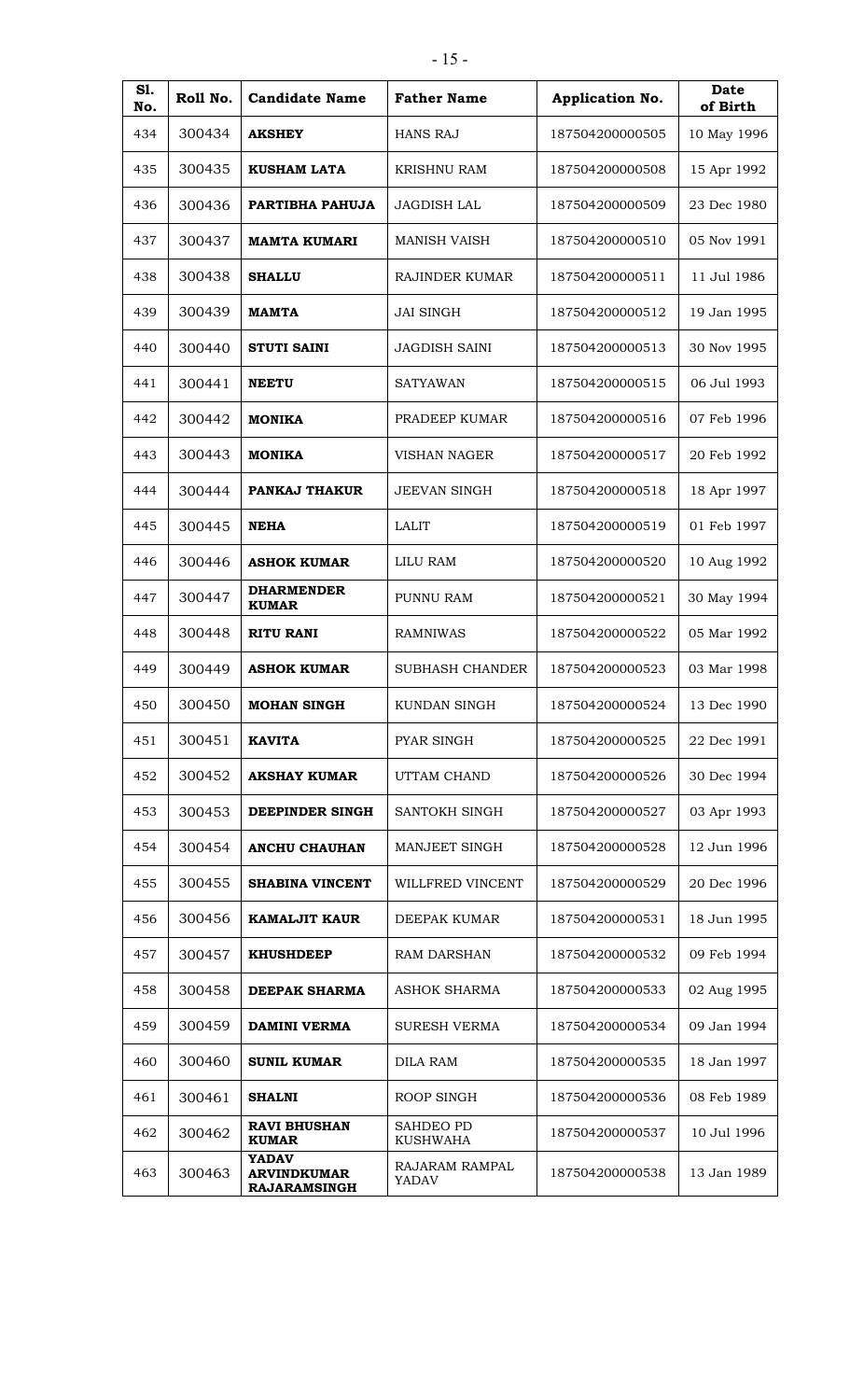| S1.        | Roll No. | <b>Candidate Name</b>                                     | <b>Father Name</b>      | Application No. | <b>Date</b>             |
|------------|----------|-----------------------------------------------------------|-------------------------|-----------------|-------------------------|
| No.<br>434 | 300434   | <b>AKSHEY</b>                                             | HANS RAJ                | 187504200000505 | of Birth<br>10 May 1996 |
| 435        | 300435   | <b>KUSHAM LATA</b>                                        | <b>KRISHNU RAM</b>      | 187504200000508 | 15 Apr 1992             |
| 436        | 300436   | PARTIBHA PAHUJA                                           | JAGDISH LAL             | 187504200000509 | 23 Dec 1980             |
| 437        | 300437   | <b>MAMTA KUMARI</b>                                       | <b>MANISH VAISH</b>     | 187504200000510 | 05 Nov 1991             |
| 438        | 300438   | <b>SHALLU</b>                                             | <b>RAJINDER KUMAR</b>   | 187504200000511 | 11 Jul 1986             |
| 439        | 300439   | <b>MAMTA</b>                                              | <b>JAI SINGH</b>        | 187504200000512 | 19 Jan 1995             |
| 440        | 300440   | <b>STUTI SAINI</b>                                        | <b>JAGDISH SAINI</b>    | 187504200000513 | 30 Nov 1995             |
| 441        | 300441   | <b>NEETU</b>                                              | SATYAWAN                | 187504200000515 | 06 Jul 1993             |
| 442        | 300442   | <b>MONIKA</b>                                             | PRADEEP KUMAR           | 187504200000516 | 07 Feb 1996             |
| 443        | 300443   | <b>MONIKA</b>                                             | <b>VISHAN NAGER</b>     | 187504200000517 | 20 Feb 1992             |
| 444        | 300444   | PANKAJ THAKUR                                             | <b>JEEVAN SINGH</b>     | 187504200000518 | 18 Apr 1997             |
| 445        | 300445   | <b>NEHA</b>                                               | LALIT                   | 187504200000519 | 01 Feb 1997             |
|            |          |                                                           |                         |                 |                         |
| 446        | 300446   | <b>ASHOK KUMAR</b><br><b>DHARMENDER</b>                   | <b>LILU RAM</b>         | 187504200000520 | 10 Aug 1992             |
| 447        | 300447   | <b>KUMAR</b>                                              | PUNNU RAM               | 187504200000521 | 30 May 1994             |
| 448        | 300448   | <b>RITU RANI</b>                                          | <b>RAMNIWAS</b>         | 187504200000522 | 05 Mar 1992             |
| 449        | 300449   | <b>ASHOK KUMAR</b>                                        | <b>SUBHASH CHANDER</b>  | 187504200000523 | 03 Mar 1998             |
| 450        | 300450   | <b>MOHAN SINGH</b>                                        | KUNDAN SINGH            | 187504200000524 | 13 Dec 1990             |
| 451        | 300451   | <b>KAVITA</b>                                             | <b>PYAR SINGH</b>       | 187504200000525 | 22 Dec 1991             |
| 452        | 300452   | <b>AKSHAY KUMAR</b>                                       | UTTAM CHAND             | 187504200000526 | 30 Dec 1994             |
| 453        | 300453   | DEEPINDER SINGH                                           | SANTOKH SINGH           | 187504200000527 | 03 Apr 1993             |
| 454        | 300454   | <b>ANCHU CHAUHAN</b>                                      | MANJEET SINGH           | 187504200000528 | 12 Jun 1996             |
| 455        | 300455   | <b>SHABINA VINCENT</b>                                    | WILLFRED VINCENT        | 187504200000529 | 20 Dec 1996             |
| 456        | 300456   | <b>KAMALJIT KAUR</b>                                      | DEEPAK KUMAR            | 187504200000531 | 18 Jun 1995             |
| 457        | 300457   | <b>KHUSHDEEP</b>                                          | <b>RAM DARSHAN</b>      | 187504200000532 | 09 Feb 1994             |
| 458        | 300458   | <b>DEEPAK SHARMA</b>                                      | <b>ASHOK SHARMA</b>     | 187504200000533 | 02 Aug 1995             |
| 459        | 300459   | <b>DAMINI VERMA</b>                                       | <b>SURESH VERMA</b>     | 187504200000534 | 09 Jan 1994             |
| 460        | 300460   | <b>SUNIL KUMAR</b>                                        | <b>DILA RAM</b>         | 187504200000535 | 18 Jan 1997             |
| 461        | 300461   | <b>SHALNI</b>                                             | ROOP SINGH              | 187504200000536 | 08 Feb 1989             |
| 462        | 300462   | <b>RAVI BHUSHAN</b><br><b>KUMAR</b>                       | SAHDEO PD<br>KUSHWAHA   | 187504200000537 | 10 Jul 1996             |
| 463        | 300463   | <b>YADAV</b><br><b>ARVINDKUMAR</b><br><b>RAJARAMSINGH</b> | RAJARAM RAMPAL<br>YADAV | 187504200000538 | 13 Jan 1989             |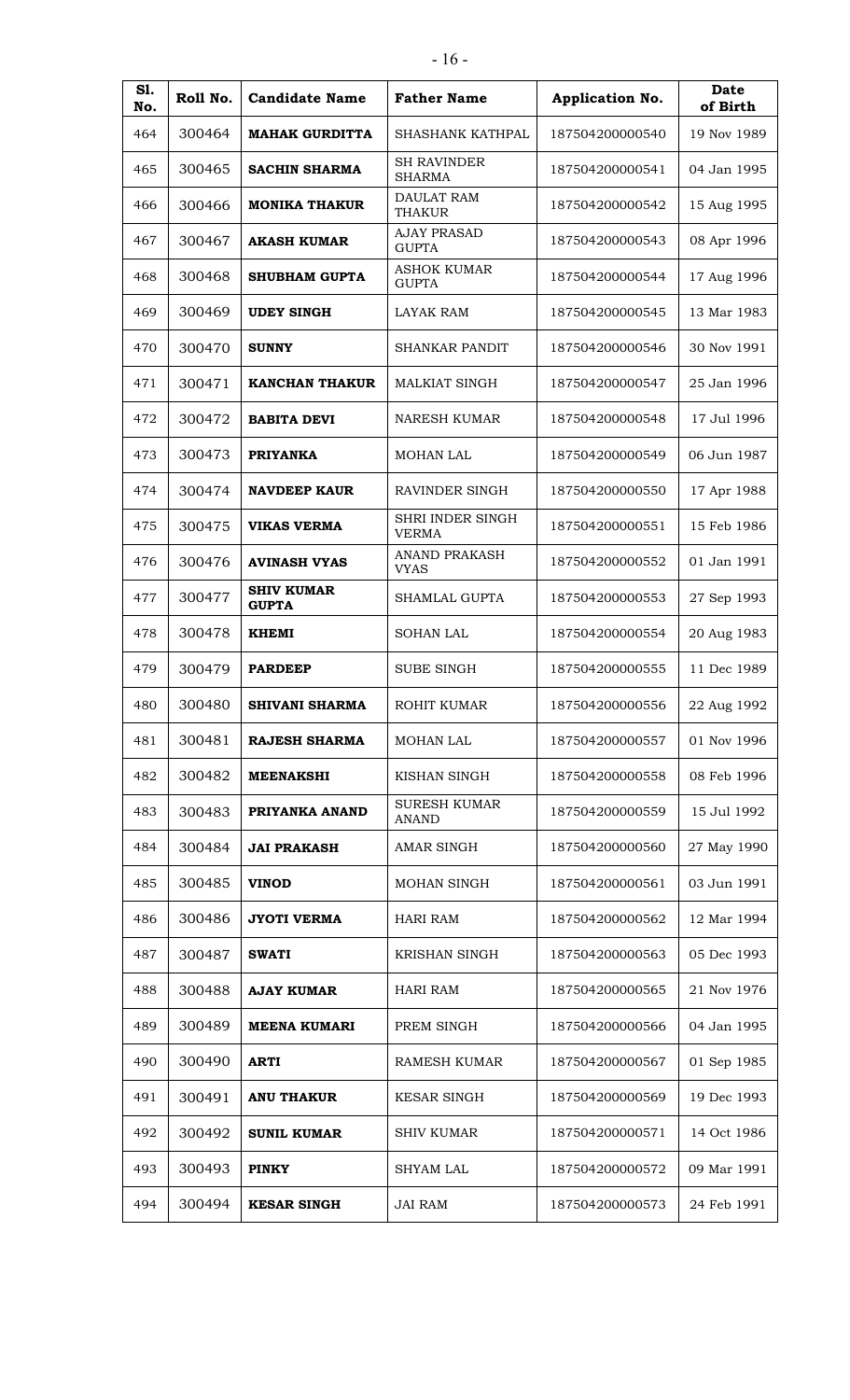| S1.        | Roll No. | <b>Candidate Name</b>             | <b>Father Name</b>                  | Application No. | <b>Date</b>             |
|------------|----------|-----------------------------------|-------------------------------------|-----------------|-------------------------|
| No.<br>464 | 300464   | <b>MAHAK GURDITTA</b>             | SHASHANK KATHPAL                    | 187504200000540 | of Birth<br>19 Nov 1989 |
| 465        | 300465   | SACHIN SHARMA                     | <b>SH RAVINDER</b><br><b>SHARMA</b> | 187504200000541 | 04 Jan 1995             |
| 466        | 300466   | <b>MONIKA THAKUR</b>              | <b>DAULAT RAM</b><br><b>THAKUR</b>  | 187504200000542 | 15 Aug 1995             |
| 467        | 300467   | <b>AKASH KUMAR</b>                | <b>AJAY PRASAD</b><br><b>GUPTA</b>  | 187504200000543 | 08 Apr 1996             |
| 468        | 300468   | <b>SHUBHAM GUPTA</b>              | <b>ASHOK KUMAR</b><br><b>GUPTA</b>  | 187504200000544 | 17 Aug 1996             |
| 469        | 300469   | <b>UDEY SINGH</b>                 | <b>LAYAK RAM</b>                    | 187504200000545 | 13 Mar 1983             |
| 470        | 300470   | <b>SUNNY</b>                      | SHANKAR PANDIT                      | 187504200000546 | 30 Nov 1991             |
| 471        | 300471   | <b>KANCHAN THAKUR</b>             | <b>MALKIAT SINGH</b>                | 187504200000547 | 25 Jan 1996             |
| 472        | 300472   | <b>BABITA DEVI</b>                | NARESH KUMAR                        | 187504200000548 | 17 Jul 1996             |
| 473        | 300473   | <b>PRIYANKA</b>                   | <b>MOHAN LAL</b>                    | 187504200000549 | 06 Jun 1987             |
| 474        | 300474   | <b>NAVDEEP KAUR</b>               | RAVINDER SINGH                      | 187504200000550 | 17 Apr 1988             |
| 475        | 300475   | <b>VIKAS VERMA</b>                | SHRI INDER SINGH<br><b>VERMA</b>    | 187504200000551 | 15 Feb 1986             |
| 476        | 300476   | <b>AVINASH VYAS</b>               | <b>ANAND PRAKASH</b><br><b>VYAS</b> | 187504200000552 | 01 Jan 1991             |
| 477        | 300477   | <b>SHIV KUMAR</b><br><b>GUPTA</b> | <b>SHAMLAL GUPTA</b>                | 187504200000553 | 27 Sep 1993             |
| 478        | 300478   | <b>KHEMI</b>                      | <b>SOHAN LAL</b>                    | 187504200000554 | 20 Aug 1983             |
| 479        | 300479   | <b>PARDEEP</b>                    | SUBE SINGH                          | 187504200000555 | 11 Dec 1989             |
| 480        | 300480   | <b>SHIVANI SHARMA</b>             | ROHIT KUMAR                         | 187504200000556 | 22 Aug 1992             |
| 481        | 300481   | <b>RAJESH SHARMA</b>              | MOHAN LAL                           | 187504200000557 | 01 Nov 1996             |
| 482        | 300482   | <b>MEENAKSHI</b>                  | KISHAN SINGH                        | 187504200000558 | 08 Feb 1996             |
| 483        | 300483   | PRIYANKA ANAND                    | <b>SURESH KUMAR</b><br>ANAND        | 187504200000559 | 15 Jul 1992             |
| 484        | 300484   | <b>JAI PRAKASH</b>                | <b>AMAR SINGH</b>                   | 187504200000560 | 27 May 1990             |
| 485        | 300485   | <b>VINOD</b>                      | MOHAN SINGH                         | 187504200000561 | 03 Jun 1991             |
| 486        | 300486   | JYOTI VERMA                       | <b>HARI RAM</b>                     | 187504200000562 | 12 Mar 1994             |
| 487        | 300487   | <b>SWATI</b>                      | KRISHAN SINGH                       | 187504200000563 | 05 Dec 1993             |
| 488        | 300488   | <b>AJAY KUMAR</b>                 | <b>HARI RAM</b>                     | 187504200000565 | 21 Nov 1976             |
| 489        | 300489   | <b>MEENA KUMARI</b>               | PREM SINGH                          | 187504200000566 | 04 Jan 1995             |
| 490        | 300490   | <b>ARTI</b>                       | <b>RAMESH KUMAR</b>                 | 187504200000567 | 01 Sep 1985             |
| 491        | 300491   | <b>ANU THAKUR</b>                 | <b>KESAR SINGH</b>                  | 187504200000569 | 19 Dec 1993             |
| 492        | 300492   | <b>SUNIL KUMAR</b>                | <b>SHIV KUMAR</b>                   | 187504200000571 | 14 Oct 1986             |
| 493        | 300493   | <b>PINKY</b>                      | <b>SHYAM LAL</b>                    | 187504200000572 | 09 Mar 1991             |
| 494        | 300494   | <b>KESAR SINGH</b>                | <b>JAI RAM</b>                      | 187504200000573 | 24 Feb 1991             |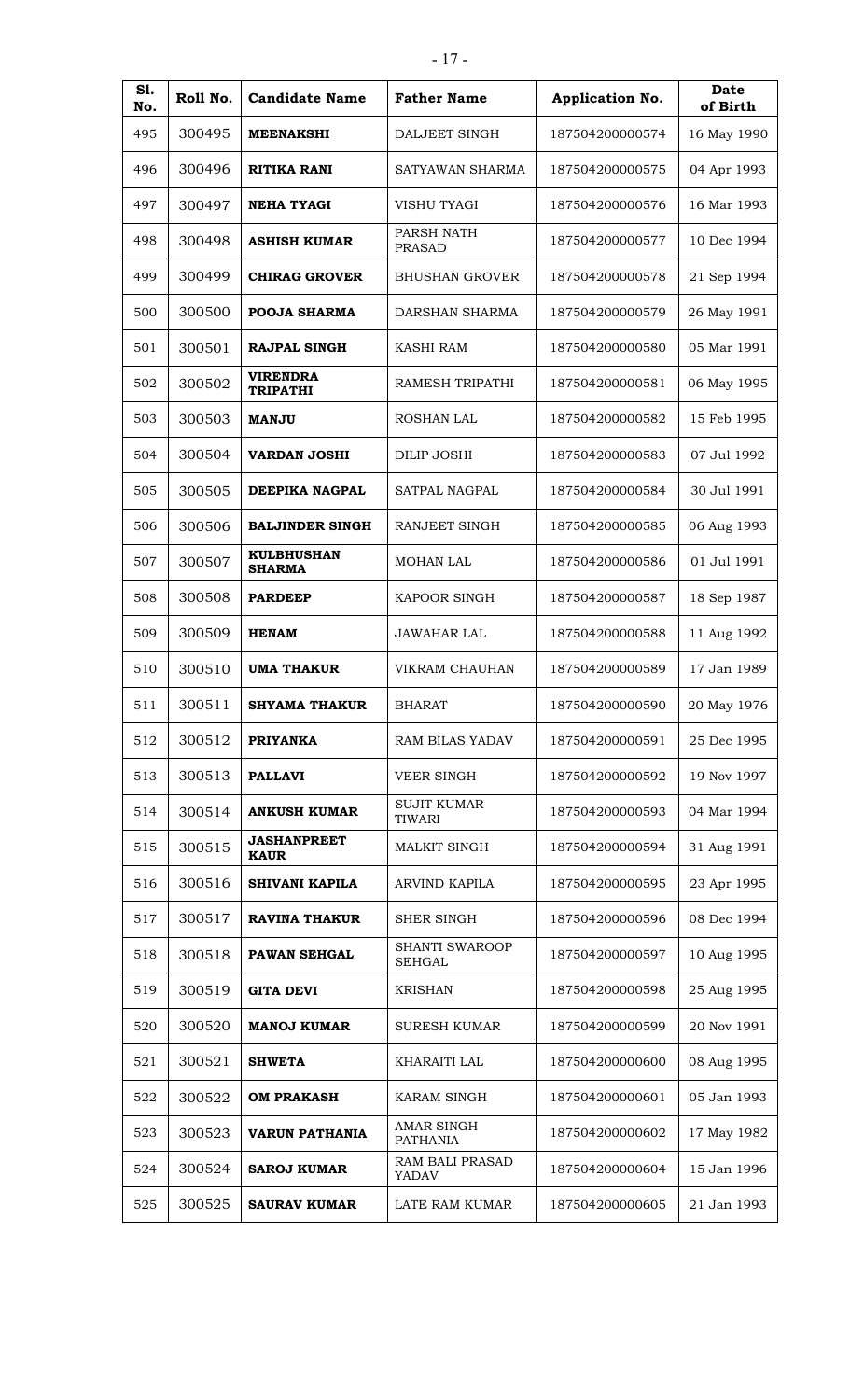| S1.<br>No. | Roll No. | <b>Candidate Name</b>              | <b>Father Name</b>                     | Application No. | Date<br>of Birth |
|------------|----------|------------------------------------|----------------------------------------|-----------------|------------------|
| 495        | 300495   | <b>MEENAKSHI</b>                   | DALJEET SINGH                          | 187504200000574 | 16 May 1990      |
| 496        | 300496   | RITIKA RANI                        | SATYAWAN SHARMA                        | 187504200000575 | 04 Apr 1993      |
| 497        | 300497   | <b>NEHA TYAGI</b>                  | <b>VISHU TYAGI</b>                     | 187504200000576 | 16 Mar 1993      |
| 498        | 300498   | <b>ASHISH KUMAR</b>                | PARSH NATH<br><b>PRASAD</b>            | 187504200000577 | 10 Dec 1994      |
| 499        | 300499   | <b>CHIRAG GROVER</b>               | <b>BHUSHAN GROVER</b>                  | 187504200000578 | 21 Sep 1994      |
| 500        | 300500   | <b>POOJA SHARMA</b>                | DARSHAN SHARMA                         | 187504200000579 | 26 May 1991      |
| 501        | 300501   | <b>RAJPAL SINGH</b>                | KASHI RAM                              | 187504200000580 | 05 Mar 1991      |
| 502        | 300502   | <b>VIRENDRA</b><br><b>TRIPATHI</b> | RAMESH TRIPATHI                        | 187504200000581 | 06 May 1995      |
| 503        | 300503   | <b>MANJU</b>                       | <b>ROSHAN LAL</b>                      | 187504200000582 | 15 Feb 1995      |
| 504        | 300504   | <b>VARDAN JOSHI</b>                | <b>DILIP JOSHI</b>                     | 187504200000583 | 07 Jul 1992      |
| 505        | 300505   | DEEPIKA NAGPAL                     | SATPAL NAGPAL                          | 187504200000584 | 30 Jul 1991      |
| 506        | 300506   | <b>BALJINDER SINGH</b>             | <b>RANJEET SINGH</b>                   | 187504200000585 | 06 Aug 1993      |
| 507        | 300507   | <b>KULBHUSHAN</b><br><b>SHARMA</b> | <b>MOHAN LAL</b>                       | 187504200000586 | 01 Jul 1991      |
| 508        | 300508   | <b>PARDEEP</b>                     | <b>KAPOOR SINGH</b>                    | 187504200000587 | 18 Sep 1987      |
| 509        | 300509   | <b>HENAM</b>                       | <b>JAWAHAR LAL</b>                     | 187504200000588 | 11 Aug 1992      |
| 510        | 300510   | <b>UMA THAKUR</b>                  | VIKRAM CHAUHAN                         | 187504200000589 | 17 Jan 1989      |
| 511        | 300511   | <b>SHYAMA THAKUR</b>               | <b>BHARAT</b>                          | 187504200000590 | 20 May 1976      |
| 512        | 300512   | <b>PRIYANKA</b>                    | <b>RAM BILAS YADAV</b>                 | 187504200000591 | 25 Dec 1995      |
| 513        | 300513   | <b>PALLAVI</b>                     | <b>VEER SINGH</b>                      | 187504200000592 | 19 Nov 1997      |
| 514        | 300514   | <b>ANKUSH KUMAR</b>                | <b>SUJIT KUMAR</b><br><b>TIWARI</b>    | 187504200000593 | 04 Mar 1994      |
| 515        | 300515   | <b>JASHANPREET</b><br><b>KAUR</b>  | MALKIT SINGH                           | 187504200000594 | 31 Aug 1991      |
| 516        | 300516   | SHIVANI KAPILA                     | ARVIND KAPILA                          | 187504200000595 | 23 Apr 1995      |
| 517        | 300517   | <b>RAVINA THAKUR</b>               | <b>SHER SINGH</b>                      | 187504200000596 | 08 Dec 1994      |
| 518        | 300518   | <b>PAWAN SEHGAL</b>                | <b>SHANTI SWAROOP</b><br><b>SEHGAL</b> | 187504200000597 | 10 Aug 1995      |
| 519        | 300519   | <b>GITA DEVI</b>                   | <b>KRISHAN</b>                         | 187504200000598 | 25 Aug 1995      |
| 520        | 300520   | <b>MANOJ KUMAR</b>                 | <b>SURESH KUMAR</b>                    | 187504200000599 | 20 Nov 1991      |
| 521        | 300521   | <b>SHWETA</b>                      | KHARAITI LAL                           | 187504200000600 | 08 Aug 1995      |
| 522        | 300522   | <b>OM PRAKASH</b>                  | KARAM SINGH                            | 187504200000601 | 05 Jan 1993      |
| 523        | 300523   | <b>VARUN PATHANIA</b>              | <b>AMAR SINGH</b><br><b>PATHANIA</b>   | 187504200000602 | 17 May 1982      |
| 524        | 300524   | <b>SAROJ KUMAR</b>                 | RAM BALI PRASAD<br>YADAV               | 187504200000604 | 15 Jan 1996      |
| 525        | 300525   | <b>SAURAV KUMAR</b>                | LATE RAM KUMAR                         | 187504200000605 | 21 Jan 1993      |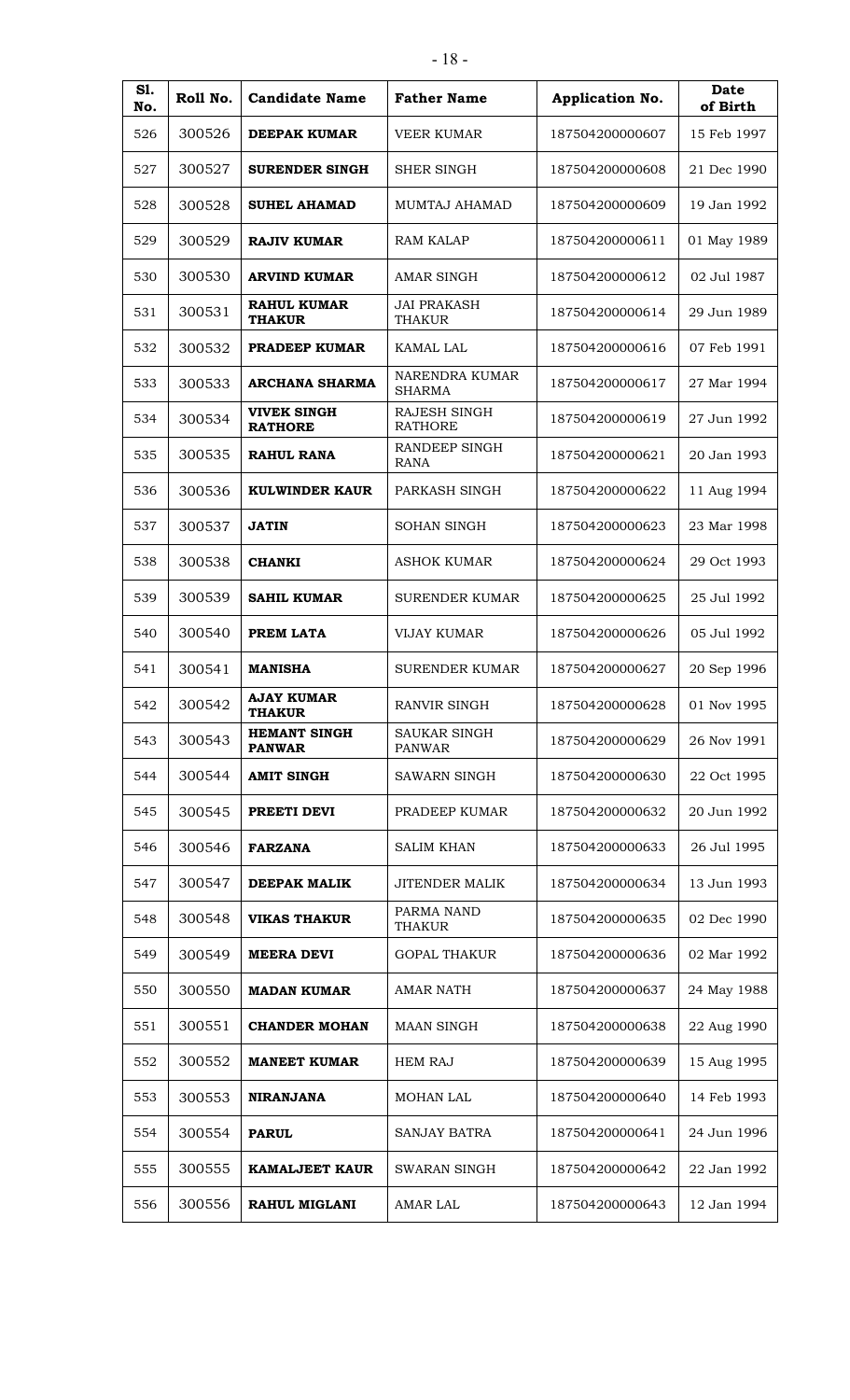| <b>S1.</b><br>No. | Roll No. | <b>Candidate Name</b>                | <b>Father Name</b>                  | Application No. | <b>Date</b><br>of Birth |
|-------------------|----------|--------------------------------------|-------------------------------------|-----------------|-------------------------|
| 526               | 300526   | DEEPAK KUMAR                         | VEER KUMAR                          | 187504200000607 | 15 Feb 1997             |
| 527               | 300527   | <b>SURENDER SINGH</b>                | SHER SINGH                          | 187504200000608 | 21 Dec 1990             |
| 528               | 300528   | <b>SUHEL AHAMAD</b>                  | MUMTAJ AHAMAD                       | 187504200000609 | 19 Jan 1992             |
| 529               | 300529   | <b>RAJIV KUMAR</b>                   | <b>RAM KALAP</b>                    | 187504200000611 | 01 May 1989             |
| 530               | 300530   | <b>ARVIND KUMAR</b>                  | <b>AMAR SINGH</b>                   | 187504200000612 | 02 Jul 1987             |
| 531               | 300531   | <b>RAHUL KUMAR</b><br><b>THAKUR</b>  | <b>JAI PRAKASH</b><br><b>THAKUR</b> | 187504200000614 | 29 Jun 1989             |
| 532               | 300532   | <b>PRADEEP KUMAR</b>                 | KAMAL LAL                           | 187504200000616 | 07 Feb 1991             |
| 533               | 300533   | ARCHANA SHARMA                       | NARENDRA KUMAR<br><b>SHARMA</b>     | 187504200000617 | 27 Mar 1994             |
| 534               | 300534   | <b>VIVEK SINGH</b><br><b>RATHORE</b> | RAJESH SINGH<br><b>RATHORE</b>      | 187504200000619 | 27 Jun 1992             |
| 535               | 300535   | RAHUL RANA                           | RANDEEP SINGH<br><b>RANA</b>        | 187504200000621 | 20 Jan 1993             |
| 536               | 300536   | <b>KULWINDER KAUR</b>                | PARKASH SINGH                       | 187504200000622 | 11 Aug 1994             |
| 537               | 300537   | <b>JATIN</b>                         | <b>SOHAN SINGH</b>                  | 187504200000623 | 23 Mar 1998             |
| 538               | 300538   | <b>CHANKI</b>                        | ASHOK KUMAR                         | 187504200000624 | 29 Oct 1993             |
| 539               | 300539   | <b>SAHIL KUMAR</b>                   | <b>SURENDER KUMAR</b>               | 187504200000625 | 25 Jul 1992             |
| 540               | 300540   | PREM LATA                            | <b>VIJAY KUMAR</b>                  | 187504200000626 | 05 Jul 1992             |
| 541               | 300541   | <b>MANISHA</b>                       | <b>SURENDER KUMAR</b>               | 187504200000627 | 20 Sep 1996             |
| 542               | 300542   | <b>AJAY KUMAR</b><br><b>THAKUR</b>   | <b>RANVIR SINGH</b>                 | 187504200000628 | 01 Nov 1995             |
| 543               | 300543   | <b>HEMANT SINGH</b><br><b>PANWAR</b> | SAUKAR SINGH<br><b>PANWAR</b>       | 187504200000629 | 26 Nov 1991             |
| 544               | 300544   | <b>AMIT SINGH</b>                    | SAWARN SINGH                        | 187504200000630 | 22 Oct 1995             |
| 545               | 300545   | PREETI DEVI                          | PRADEEP KUMAR                       | 187504200000632 | 20 Jun 1992             |
| 546               | 300546   | <b>FARZANA</b>                       | <b>SALIM KHAN</b>                   | 187504200000633 | 26 Jul 1995             |
| 547               | 300547   | <b>DEEPAK MALIK</b>                  | JITENDER MALIK                      | 187504200000634 | 13 Jun 1993             |
| 548               | 300548   | <b>VIKAS THAKUR</b>                  | PARMA NAND<br>THAKUR                | 187504200000635 | 02 Dec 1990             |
| 549               | 300549   | <b>MEERA DEVI</b>                    | <b>GOPAL THAKUR</b>                 | 187504200000636 | 02 Mar 1992             |
| 550               | 300550   | <b>MADAN KUMAR</b>                   | <b>AMAR NATH</b>                    | 187504200000637 | 24 May 1988             |
| 551               | 300551   | <b>CHANDER MOHAN</b>                 | <b>MAAN SINGH</b>                   | 187504200000638 | 22 Aug 1990             |
| 552               | 300552   | <b>MANEET KUMAR</b>                  | <b>HEM RAJ</b>                      | 187504200000639 | 15 Aug 1995             |
| 553               | 300553   | <b>NIRANJANA</b>                     | MOHAN LAL                           | 187504200000640 | 14 Feb 1993             |
| 554               | 300554   | <b>PARUL</b>                         | <b>SANJAY BATRA</b>                 | 187504200000641 | 24 Jun 1996             |
| 555               | 300555   | <b>KAMALJEET KAUR</b>                | SWARAN SINGH                        | 187504200000642 | 22 Jan 1992             |
| 556               | 300556   | <b>RAHUL MIGLANI</b>                 | AMAR LAL                            | 187504200000643 | 12 Jan 1994             |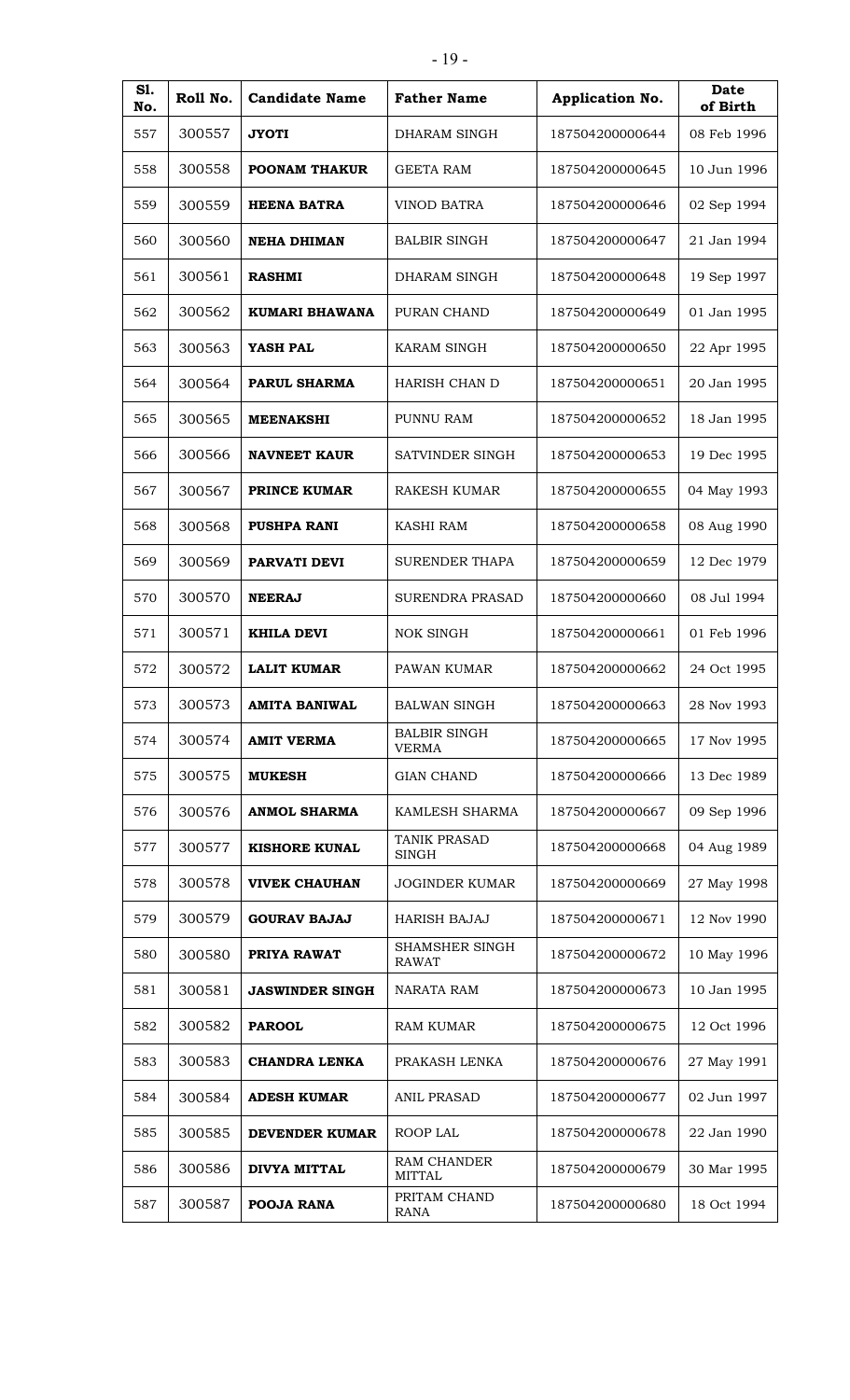| S1.<br>No. | Roll No. | <b>Candidate Name</b>  | <b>Father Name</b>                  | Application No. | <b>Date</b><br>of Birth |
|------------|----------|------------------------|-------------------------------------|-----------------|-------------------------|
| 557        | 300557   | <b>JYOTI</b>           | DHARAM SINGH                        | 187504200000644 | 08 Feb 1996             |
| 558        | 300558   | <b>POONAM THAKUR</b>   | GEETA RAM                           | 187504200000645 | 10 Jun 1996             |
| 559        | 300559   | <b>HEENA BATRA</b>     | <b>VINOD BATRA</b>                  | 187504200000646 | 02 Sep 1994             |
| 560        | 300560   | <b>NEHA DHIMAN</b>     | <b>BALBIR SINGH</b>                 | 187504200000647 | 21 Jan 1994             |
| 561        | 300561   | <b>RASHMI</b>          | DHARAM SINGH                        | 187504200000648 | 19 Sep 1997             |
| 562        | 300562   | KUMARI BHAWANA         | PURAN CHAND                         | 187504200000649 | 01 Jan 1995             |
| 563        | 300563   | YASH PAL               | <b>KARAM SINGH</b>                  | 187504200000650 | 22 Apr 1995             |
| 564        | 300564   | <b>PARUL SHARMA</b>    | <b>HARISH CHAN D</b>                | 187504200000651 | 20 Jan 1995             |
| 565        | 300565   | <b>MEENAKSHI</b>       | PUNNU RAM                           | 187504200000652 | 18 Jan 1995             |
| 566        | 300566   | <b>NAVNEET KAUR</b>    | SATVINDER SINGH                     | 187504200000653 | 19 Dec 1995             |
| 567        | 300567   | PRINCE KUMAR           | <b>RAKESH KUMAR</b>                 | 187504200000655 | 04 May 1993             |
| 568        | 300568   | <b>PUSHPA RANI</b>     | <b>KASHI RAM</b>                    | 187504200000658 | 08 Aug 1990             |
| 569        | 300569   | PARVATI DEVI           | <b>SURENDER THAPA</b>               | 187504200000659 | 12 Dec 1979             |
| 570        | 300570   | <b>NEERAJ</b>          | <b>SURENDRA PRASAD</b>              | 187504200000660 | 08 Jul 1994             |
| 571        | 300571   | <b>KHILA DEVI</b>      | <b>NOK SINGH</b>                    | 187504200000661 | 01 Feb 1996             |
| 572        | 300572   | <b>LALIT KUMAR</b>     | PAWAN KUMAR                         | 187504200000662 | 24 Oct 1995             |
| 573        | 300573   | <b>AMITA BANIWAL</b>   | <b>BALWAN SINGH</b>                 | 187504200000663 | 28 Nov 1993             |
| 574        | 300574   | <b>AMIT VERMA</b>      | <b>BALBIR SINGH</b><br><b>VERMA</b> | 187504200000665 | 17 Nov 1995             |
| 575        | 300575   | <b>MUKESH</b>          | <b>GIAN CHAND</b>                   | 187504200000666 | 13 Dec 1989             |
| 576        | 300576   | <b>ANMOL SHARMA</b>    | KAMLESH SHARMA                      | 187504200000667 | 09 Sep 1996             |
| 577        | 300577   | <b>KISHORE KUNAL</b>   | TANIK PRASAD<br><b>SINGH</b>        | 187504200000668 | 04 Aug 1989             |
| 578        | 300578   | <b>VIVEK CHAUHAN</b>   | <b>JOGINDER KUMAR</b>               | 187504200000669 | 27 May 1998             |
| 579        | 300579   | <b>GOURAV BAJAJ</b>    | <b>HARISH BAJAJ</b>                 | 187504200000671 | 12 Nov 1990             |
| 580        | 300580   | PRIYA RAWAT            | SHAMSHER SINGH<br><b>RAWAT</b>      | 187504200000672 | 10 May 1996             |
| 581        | 300581   | <b>JASWINDER SINGH</b> | NARATA RAM                          | 187504200000673 | 10 Jan 1995             |
| 582        | 300582   | <b>PAROOL</b>          | <b>RAM KUMAR</b>                    | 187504200000675 | 12 Oct 1996             |
| 583        | 300583   | <b>CHANDRA LENKA</b>   | PRAKASH LENKA                       | 187504200000676 | 27 May 1991             |
| 584        | 300584   | <b>ADESH KUMAR</b>     | <b>ANIL PRASAD</b>                  | 187504200000677 | 02 Jun 1997             |
| 585        | 300585   | DEVENDER KUMAR         | ROOP LAL                            | 187504200000678 | 22 Jan 1990             |
| 586        | 300586   | <b>DIVYA MITTAL</b>    | RAM CHANDER<br><b>MITTAL</b>        | 187504200000679 | 30 Mar 1995             |
| 587        | 300587   | POOJA RANA             | PRITAM CHAND<br><b>RANA</b>         | 187504200000680 | 18 Oct 1994             |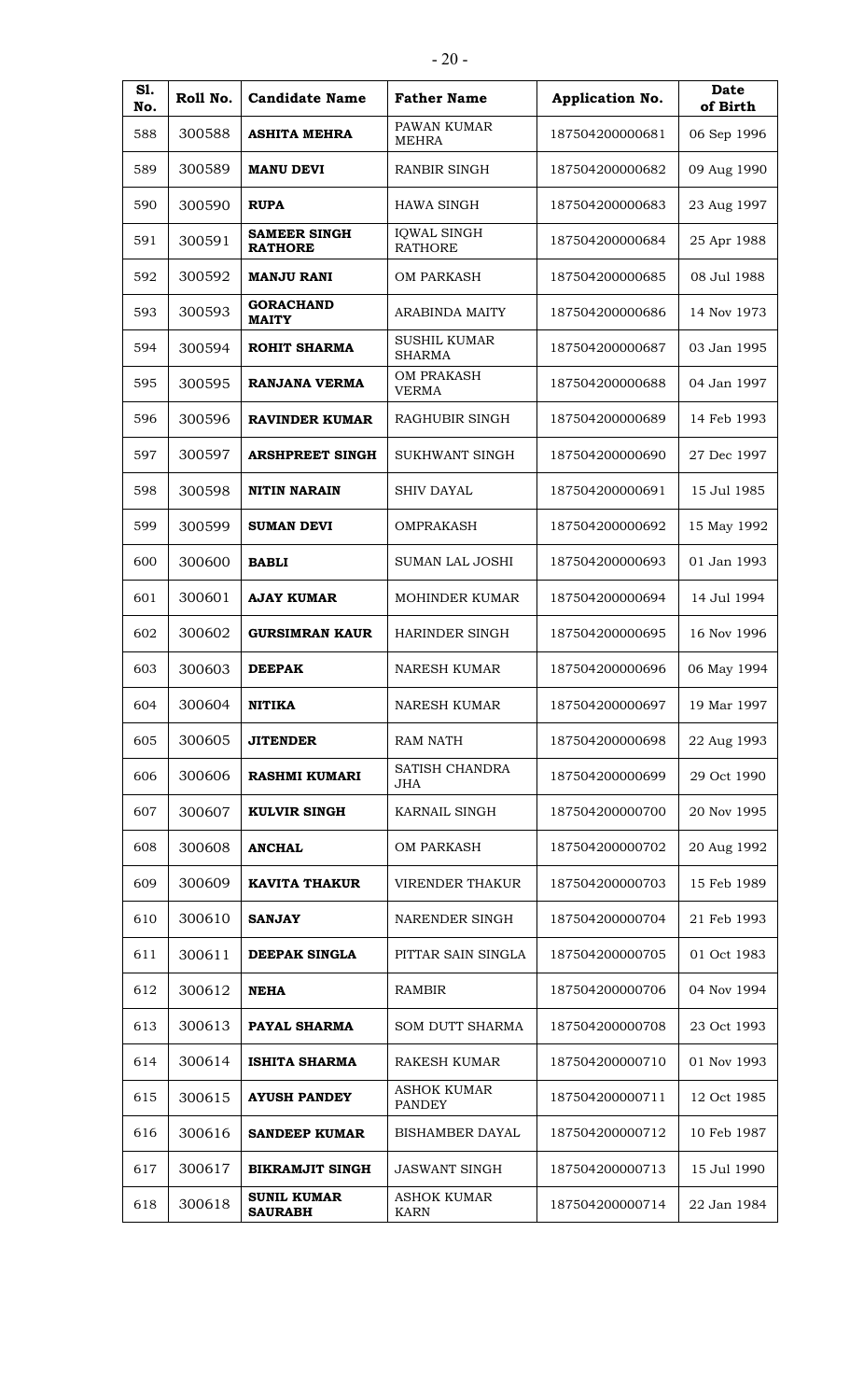| <b>S1.</b><br>No. | Roll No. | <b>Candidate Name</b>                 | <b>Father Name</b>                   | Application No. | Date<br>of Birth |
|-------------------|----------|---------------------------------------|--------------------------------------|-----------------|------------------|
| 588               | 300588   | <b>ASHITA MEHRA</b>                   | PAWAN KUMAR<br><b>MEHRA</b>          | 187504200000681 | 06 Sep 1996      |
| 589               | 300589   | <b>MANU DEVI</b>                      | <b>RANBIR SINGH</b>                  | 187504200000682 | 09 Aug 1990      |
| 590               | 300590   | <b>RUPA</b>                           | <b>HAWA SINGH</b>                    | 187504200000683 | 23 Aug 1997      |
| 591               | 300591   | <b>SAMEER SINGH</b><br><b>RATHORE</b> | <b>IQWAL SINGH</b><br><b>RATHORE</b> | 187504200000684 | 25 Apr 1988      |
| 592               | 300592   | <b>MANJU RANI</b>                     | <b>OM PARKASH</b>                    | 187504200000685 | 08 Jul 1988      |
| 593               | 300593   | <b>GORACHAND</b><br><b>MAITY</b>      | <b>ARABINDA MAITY</b>                | 187504200000686 | 14 Nov 1973      |
| 594               | 300594   | <b>ROHIT SHARMA</b>                   | <b>SUSHIL KUMAR</b><br><b>SHARMA</b> | 187504200000687 | 03 Jan 1995      |
| 595               | 300595   | <b>RANJANA VERMA</b>                  | <b>OM PRAKASH</b><br><b>VERMA</b>    | 187504200000688 | 04 Jan 1997      |
| 596               | 300596   | <b>RAVINDER KUMAR</b>                 | RAGHUBIR SINGH                       | 187504200000689 | 14 Feb 1993      |
| 597               | 300597   | <b>ARSHPREET SINGH</b>                | SUKHWANT SINGH                       | 187504200000690 | 27 Dec 1997      |
| 598               | 300598   | <b>NITIN NARAIN</b>                   | <b>SHIV DAYAL</b>                    | 187504200000691 | 15 Jul 1985      |
| 599               | 300599   | <b>SUMAN DEVI</b>                     | <b>OMPRAKASH</b>                     | 187504200000692 | 15 May 1992      |
| 600               | 300600   | <b>BABLI</b>                          | <b>SUMAN LAL JOSHI</b>               | 187504200000693 | 01 Jan 1993      |
| 601               | 300601   | <b>AJAY KUMAR</b>                     | <b>MOHINDER KUMAR</b>                | 187504200000694 | 14 Jul 1994      |
| 602               | 300602   | <b>GURSIMRAN KAUR</b>                 | <b>HARINDER SINGH</b>                | 187504200000695 | 16 Nov 1996      |
| 603               | 300603   | <b>DEEPAK</b>                         | <b>NARESH KUMAR</b>                  | 187504200000696 | 06 May 1994      |
| 604               | 300604   | <b>NITIKA</b>                         | <b>NARESH KUMAR</b>                  | 187504200000697 | 19 Mar 1997      |
| 605               | 300605   | <b>JITENDER</b>                       | <b>RAM NATH</b>                      | 187504200000698 | 22 Aug 1993      |
| 606               | 300606   | <b>RASHMI KUMARI</b>                  | SATISH CHANDRA<br><b>JHA</b>         | 187504200000699 | 29 Oct 1990      |
| 607               | 300607   | <b>KULVIR SINGH</b>                   | KARNAIL SINGH                        | 187504200000700 | 20 Nov 1995      |
| 608               | 300608   | <b>ANCHAL</b>                         | <b>OM PARKASH</b>                    | 187504200000702 | 20 Aug 1992      |
| 609               | 300609   | <b>KAVITA THAKUR</b>                  | <b>VIRENDER THAKUR</b>               | 187504200000703 | 15 Feb 1989      |
| 610               | 300610   | <b>SANJAY</b>                         | NARENDER SINGH                       | 187504200000704 | 21 Feb 1993      |
| 611               | 300611   | DEEPAK SINGLA                         | PITTAR SAIN SINGLA                   | 187504200000705 | 01 Oct 1983      |
| 612               | 300612   | <b>NEHA</b>                           | <b>RAMBIR</b>                        | 187504200000706 | 04 Nov 1994      |
| 613               | 300613   | PAYAL SHARMA                          | SOM DUTT SHARMA                      | 187504200000708 | 23 Oct 1993      |
| 614               | 300614   | <b>ISHITA SHARMA</b>                  | <b>RAKESH KUMAR</b>                  | 187504200000710 | 01 Nov 1993      |
| 615               | 300615   | <b>AYUSH PANDEY</b>                   | <b>ASHOK KUMAR</b><br><b>PANDEY</b>  | 187504200000711 | 12 Oct 1985      |
| 616               | 300616   | <b>SANDEEP KUMAR</b>                  | <b>BISHAMBER DAYAL</b>               | 187504200000712 | 10 Feb 1987      |
| 617               | 300617   | <b>BIKRAMJIT SINGH</b>                | <b>JASWANT SINGH</b>                 | 187504200000713 | 15 Jul 1990      |
| 618               | 300618   | <b>SUNIL KUMAR</b><br><b>SAURABH</b>  | <b>ASHOK KUMAR</b><br><b>KARN</b>    | 187504200000714 | 22 Jan 1984      |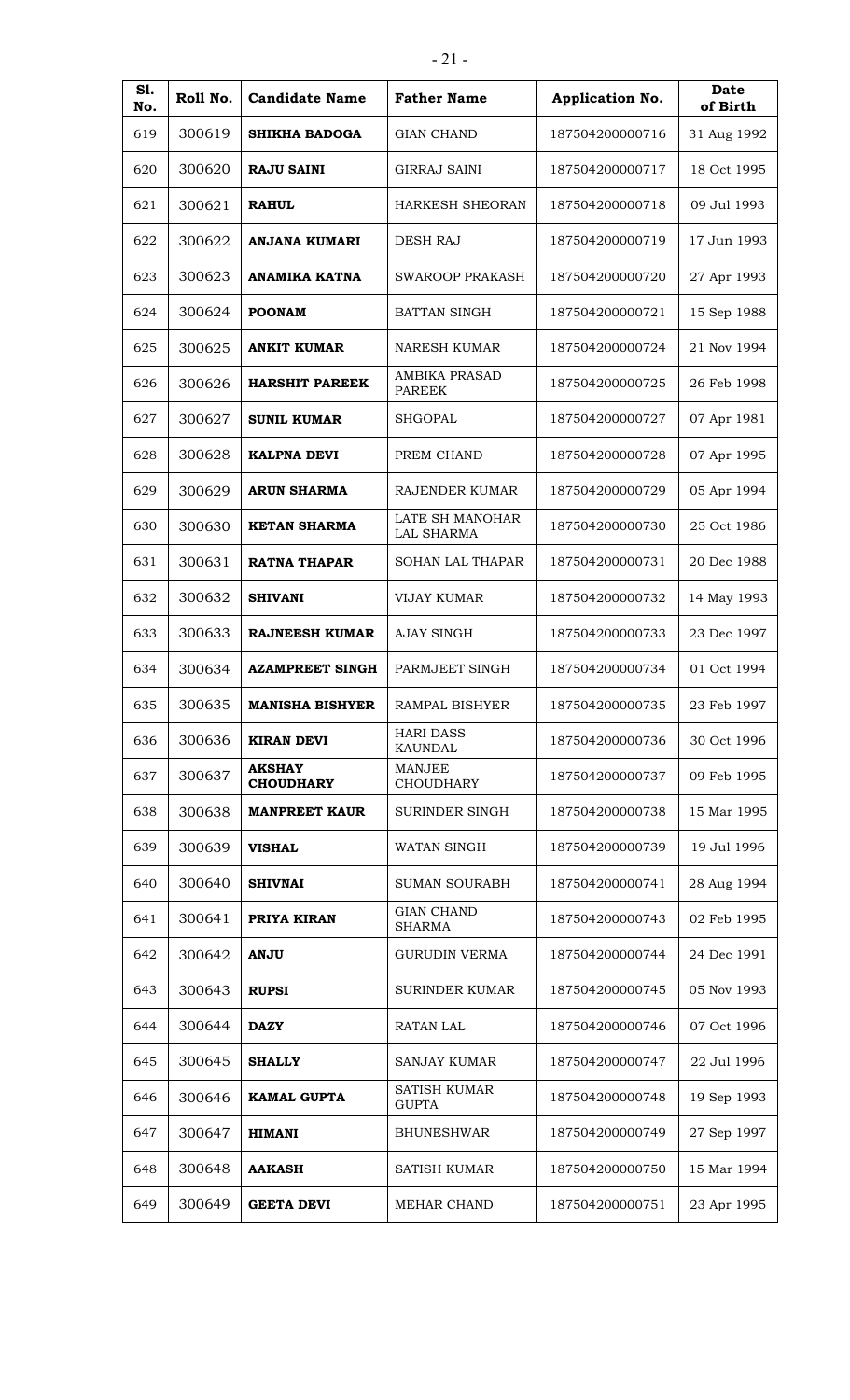| S1.<br>No. | Roll No. | <b>Candidate Name</b>             | <b>Father Name</b>                    | Application No. | <b>Date</b><br>of Birth |
|------------|----------|-----------------------------------|---------------------------------------|-----------------|-------------------------|
| 619        | 300619   | <b>SHIKHA BADOGA</b>              | <b>GIAN CHAND</b>                     | 187504200000716 | 31 Aug 1992             |
| 620        | 300620   | <b>RAJU SAINI</b>                 | <b>GIRRAJ SAINI</b>                   | 187504200000717 | 18 Oct 1995             |
| 621        | 300621   | <b>RAHUL</b>                      | HARKESH SHEORAN                       | 187504200000718 | 09 Jul 1993             |
| 622        | 300622   | <b>ANJANA KUMARI</b>              | <b>DESH RAJ</b>                       | 187504200000719 | 17 Jun 1993             |
| 623        | 300623   | <b>ANAMIKA KATNA</b>              | <b>SWAROOP PRAKASH</b>                | 187504200000720 | 27 Apr 1993             |
| 624        | 300624   | <b>POONAM</b>                     | <b>BATTAN SINGH</b>                   | 187504200000721 | 15 Sep 1988             |
| 625        | 300625   | <b>ANKIT KUMAR</b>                | <b>NARESH KUMAR</b>                   | 187504200000724 | 21 Nov 1994             |
| 626        | 300626   | <b>HARSHIT PAREEK</b>             | <b>AMBIKA PRASAD</b><br><b>PAREEK</b> | 187504200000725 | 26 Feb 1998             |
| 627        | 300627   | <b>SUNIL KUMAR</b>                | <b>SHGOPAL</b>                        | 187504200000727 | 07 Apr 1981             |
| 628        | 300628   | <b>KALPNA DEVI</b>                | PREM CHAND                            | 187504200000728 | 07 Apr 1995             |
| 629        | 300629   | <b>ARUN SHARMA</b>                | RAJENDER KUMAR                        | 187504200000729 | 05 Apr 1994             |
| 630        | 300630   | <b>KETAN SHARMA</b>               | LATE SH MANOHAR<br><b>LAL SHARMA</b>  | 187504200000730 | 25 Oct 1986             |
| 631        | 300631   | <b>RATNA THAPAR</b>               | SOHAN LAL THAPAR                      | 187504200000731 | 20 Dec 1988             |
| 632        | 300632   | <b>SHIVANI</b>                    | <b>VIJAY KUMAR</b>                    | 187504200000732 | 14 May 1993             |
| 633        | 300633   | <b>RAJNEESH KUMAR</b>             | <b>AJAY SINGH</b>                     | 187504200000733 | 23 Dec 1997             |
| 634        | 300634   | <b>AZAMPREET SINGH</b>            | PARMJEET SINGH                        | 187504200000734 | 01 Oct 1994             |
| 635        | 300635   | <b>MANISHA BISHYER</b>            | <b>RAMPAL BISHYER</b>                 | 187504200000735 | 23 Feb 1997             |
| 636        | 300636   | <b>KIRAN DEVI</b>                 | <b>HARI DASS</b><br><b>KAUNDAL</b>    | 187504200000736 | 30 Oct 1996             |
| 637        | 300637   | <b>AKSHAY</b><br><b>CHOUDHARY</b> | <b>MANJEE</b><br><b>CHOUDHARY</b>     | 187504200000737 | 09 Feb 1995             |
| 638        | 300638   | <b>MANPREET KAUR</b>              | <b>SURINDER SINGH</b>                 | 187504200000738 | 15 Mar 1995             |
| 639        | 300639   | <b>VISHAL</b>                     | WATAN SINGH                           | 187504200000739 | 19 Jul 1996             |
| 640        | 300640   | <b>SHIVNAI</b>                    | <b>SUMAN SOURABH</b>                  | 187504200000741 | 28 Aug 1994             |
| 641        | 300641   | PRIYA KIRAN                       | <b>GIAN CHAND</b><br><b>SHARMA</b>    | 187504200000743 | 02 Feb 1995             |
| 642        | 300642   | <b>ANJU</b>                       | <b>GURUDIN VERMA</b>                  | 187504200000744 | 24 Dec 1991             |
| 643        | 300643   | <b>RUPSI</b>                      | <b>SURINDER KUMAR</b>                 | 187504200000745 | 05 Nov 1993             |
| 644        | 300644   | <b>DAZY</b>                       | <b>RATAN LAL</b>                      | 187504200000746 | 07 Oct 1996             |
| 645        | 300645   | <b>SHALLY</b>                     | <b>SANJAY KUMAR</b>                   | 187504200000747 | 22 Jul 1996             |
| 646        | 300646   | <b>KAMAL GUPTA</b>                | <b>SATISH KUMAR</b><br><b>GUPTA</b>   | 187504200000748 | 19 Sep 1993             |
| 647        | 300647   | <b>HIMANI</b>                     | <b>BHUNESHWAR</b>                     | 187504200000749 | 27 Sep 1997             |
| 648        | 300648   | <b>AAKASH</b>                     | <b>SATISH KUMAR</b>                   | 187504200000750 | 15 Mar 1994             |
| 649        | 300649   | <b>GEETA DEVI</b>                 | MEHAR CHAND                           | 187504200000751 | 23 Apr 1995             |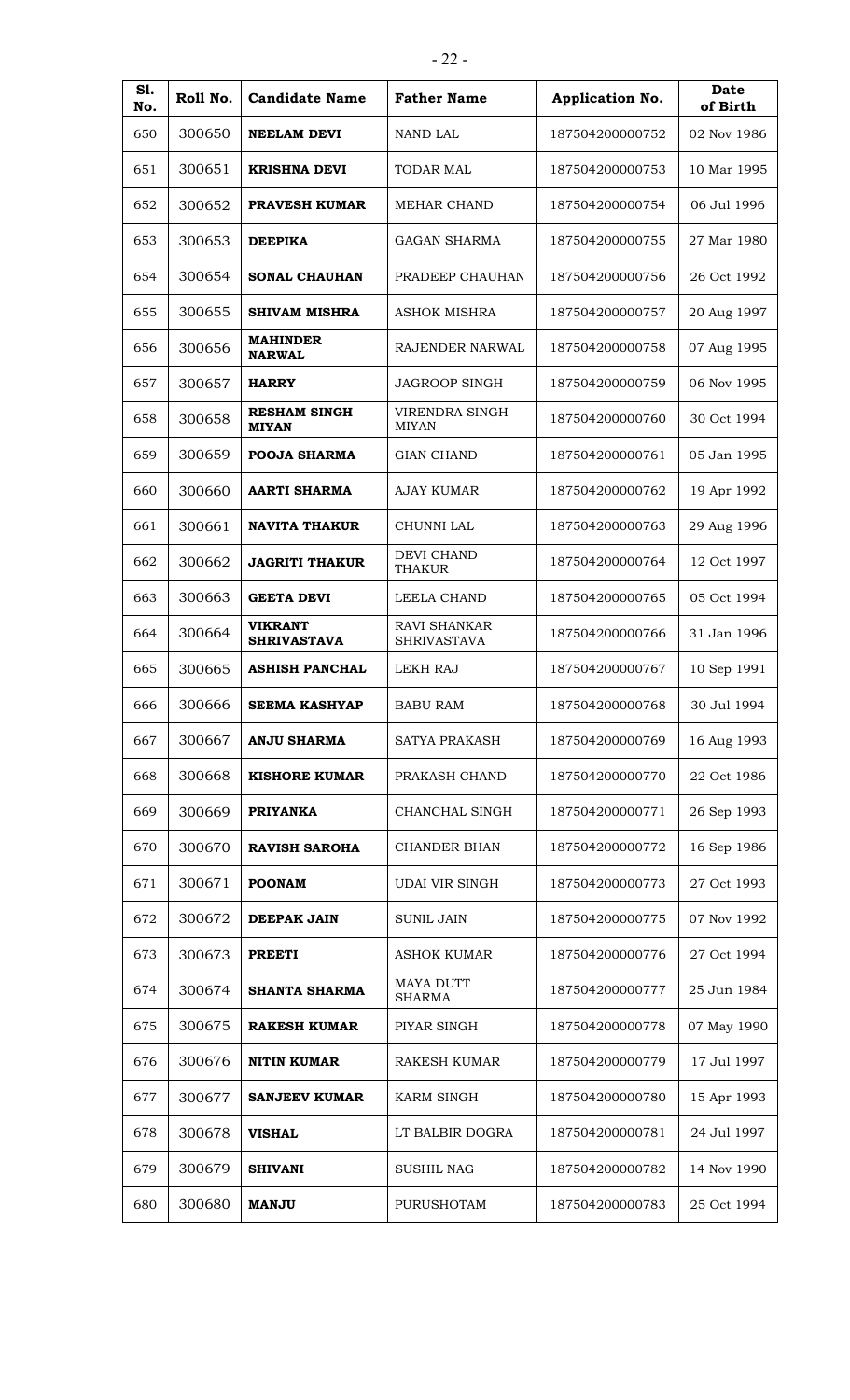| S1.<br>No. | Roll No. | <b>Candidate Name</b>                | <b>Father Name</b>                        | Application No. | Date<br>of Birth |
|------------|----------|--------------------------------------|-------------------------------------------|-----------------|------------------|
| 650        | 300650   | <b>NEELAM DEVI</b>                   | NAND LAL                                  | 187504200000752 | 02 Nov 1986      |
| 651        | 300651   | <b>KRISHNA DEVI</b>                  | <b>TODAR MAL</b>                          | 187504200000753 | 10 Mar 1995      |
| 652        | 300652   | <b>PRAVESH KUMAR</b>                 | MEHAR CHAND                               | 187504200000754 | 06 Jul 1996      |
| 653        | 300653   | <b>DEEPIKA</b>                       | GAGAN SHARMA                              | 187504200000755 | 27 Mar 1980      |
| 654        | 300654   | <b>SONAL CHAUHAN</b>                 | PRADEEP CHAUHAN                           | 187504200000756 | 26 Oct 1992      |
| 655        | 300655   | <b>SHIVAM MISHRA</b>                 | <b>ASHOK MISHRA</b>                       | 187504200000757 | 20 Aug 1997      |
| 656        | 300656   | <b>MAHINDER</b><br><b>NARWAL</b>     | RAJENDER NARWAL                           | 187504200000758 | 07 Aug 1995      |
| 657        | 300657   | <b>HARRY</b>                         | <b>JAGROOP SINGH</b>                      | 187504200000759 | 06 Nov 1995      |
| 658        | 300658   | <b>RESHAM SINGH</b><br><b>MIYAN</b>  | VIRENDRA SINGH<br><b>MIYAN</b>            | 187504200000760 | 30 Oct 1994      |
| 659        | 300659   | <b>POOJA SHARMA</b>                  | <b>GIAN CHAND</b>                         | 187504200000761 | 05 Jan 1995      |
| 660        | 300660   | <b>AARTI SHARMA</b>                  | <b>AJAY KUMAR</b>                         | 187504200000762 | 19 Apr 1992      |
| 661        | 300661   | <b>NAVITA THAKUR</b>                 | CHUNNI LAL                                | 187504200000763 | 29 Aug 1996      |
| 662        | 300662   | <b>JAGRITI THAKUR</b>                | <b>DEVI CHAND</b><br><b>THAKUR</b>        | 187504200000764 | 12 Oct 1997      |
| 663        | 300663   | <b>GEETA DEVI</b>                    | LEELA CHAND                               | 187504200000765 | 05 Oct 1994      |
| 664        | 300664   | <b>VIKRANT</b><br><b>SHRIVASTAVA</b> | <b>RAVI SHANKAR</b><br><b>SHRIVASTAVA</b> | 187504200000766 | 31 Jan 1996      |
| 665        | 300665   | <b>ASHISH PANCHAL</b>                | <b>LEKH RAJ</b>                           | 187504200000767 | 10 Sep 1991      |
| 666        | 300666   | <b>SEEMA KASHYAP</b>                 | <b>BABU RAM</b>                           | 187504200000768 | 30 Jul 1994      |
| 667        | 300667   | <b>ANJU SHARMA</b>                   | SATYA PRAKASH                             | 187504200000769 | 16 Aug 1993      |
| 668        | 300668   | <b>KISHORE KUMAR</b>                 | PRAKASH CHAND                             | 187504200000770 | 22 Oct 1986      |
| 669        | 300669   | <b>PRIYANKA</b>                      | CHANCHAL SINGH                            | 187504200000771 | 26 Sep 1993      |
| 670        | 300670   | <b>RAVISH SAROHA</b>                 | <b>CHANDER BHAN</b>                       | 187504200000772 | 16 Sep 1986      |
| 671        | 300671   | <b>POONAM</b>                        | UDAI VIR SINGH                            | 187504200000773 | 27 Oct 1993      |
| 672        | 300672   | <b>DEEPAK JAIN</b>                   | <b>SUNIL JAIN</b>                         | 187504200000775 | 07 Nov 1992      |
| 673        | 300673   | <b>PREETI</b>                        | <b>ASHOK KUMAR</b>                        | 187504200000776 | 27 Oct 1994      |
| 674        | 300674   | <b>SHANTA SHARMA</b>                 | <b>MAYA DUTT</b><br><b>SHARMA</b>         | 187504200000777 | 25 Jun 1984      |
| 675        | 300675   | <b>RAKESH KUMAR</b>                  | PIYAR SINGH                               | 187504200000778 | 07 May 1990      |
| 676        | 300676   | <b>NITIN KUMAR</b>                   | <b>RAKESH KUMAR</b>                       | 187504200000779 | 17 Jul 1997      |
| 677        | 300677   | <b>SANJEEV KUMAR</b>                 | <b>KARM SINGH</b>                         | 187504200000780 | 15 Apr 1993      |
| 678        | 300678   | <b>VISHAL</b>                        | LT BALBIR DOGRA                           | 187504200000781 | 24 Jul 1997      |
| 679        | 300679   | <b>SHIVANI</b>                       | <b>SUSHIL NAG</b>                         | 187504200000782 | 14 Nov 1990      |
| 680        | 300680   | <b>MANJU</b>                         | <b>PURUSHOTAM</b>                         | 187504200000783 | 25 Oct 1994      |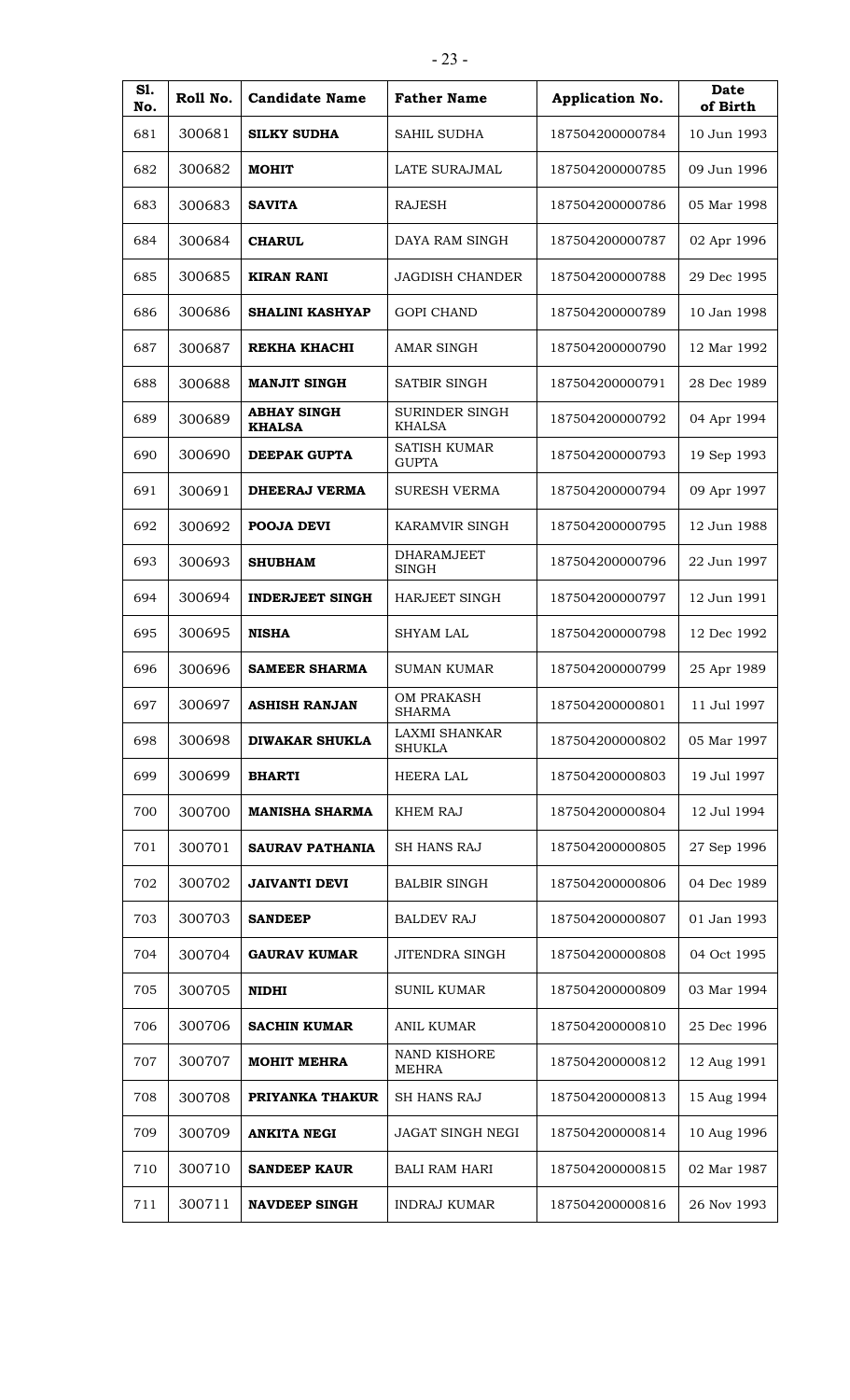| <b>S1.</b><br>No. | Roll No. | <b>Candidate Name</b>               | <b>Father Name</b>                  | Application No. | Date<br>of Birth |
|-------------------|----------|-------------------------------------|-------------------------------------|-----------------|------------------|
| 681               | 300681   | <b>SILKY SUDHA</b>                  | SAHIL SUDHA                         | 187504200000784 | 10 Jun 1993      |
| 682               | 300682   | <b>MOHIT</b>                        | LATE SURAJMAL                       | 187504200000785 | 09 Jun 1996      |
| 683               | 300683   | <b>SAVITA</b>                       | <b>RAJESH</b>                       | 187504200000786 | 05 Mar 1998      |
| 684               | 300684   | <b>CHARUL</b>                       | DAYA RAM SINGH                      | 187504200000787 | 02 Apr 1996      |
| 685               | 300685   | <b>KIRAN RANI</b>                   | <b>JAGDISH CHANDER</b>              | 187504200000788 | 29 Dec 1995      |
| 686               | 300686   | <b>SHALINI KASHYAP</b>              | <b>GOPI CHAND</b>                   | 187504200000789 | 10 Jan 1998      |
| 687               | 300687   | <b>REKHA KHACHI</b>                 | <b>AMAR SINGH</b>                   | 187504200000790 | 12 Mar 1992      |
| 688               | 300688   | <b>MANJIT SINGH</b>                 | SATBIR SINGH                        | 187504200000791 | 28 Dec 1989      |
| 689               | 300689   | <b>ABHAY SINGH</b><br><b>KHALSA</b> | SURINDER SINGH<br><b>KHALSA</b>     | 187504200000792 | 04 Apr 1994      |
| 690               | 300690   | <b>DEEPAK GUPTA</b>                 | <b>SATISH KUMAR</b><br><b>GUPTA</b> | 187504200000793 | 19 Sep 1993      |
| 691               | 300691   | <b>DHEERAJ VERMA</b>                | <b>SURESH VERMA</b>                 | 187504200000794 | 09 Apr 1997      |
| 692               | 300692   | <b>POOJA DEVI</b>                   | KARAMVIR SINGH                      | 187504200000795 | 12 Jun 1988      |
| 693               | 300693   | <b>SHUBHAM</b>                      | <b>DHARAMJEET</b><br><b>SINGH</b>   | 187504200000796 | 22 Jun 1997      |
| 694               | 300694   | <b>INDERJEET SINGH</b>              | HARJEET SINGH                       | 187504200000797 | 12 Jun 1991      |
| 695               | 300695   | <b>NISHA</b>                        | <b>SHYAM LAL</b>                    | 187504200000798 | 12 Dec 1992      |
| 696               | 300696   | <b>SAMEER SHARMA</b>                | <b>SUMAN KUMAR</b>                  | 187504200000799 | 25 Apr 1989      |
| 697               | 300697   | <b>ASHISH RANJAN</b>                | OM PRAKASH<br><b>SHARMA</b>         | 187504200000801 | 11 Jul 1997      |
| 698               | 300698   | <b>DIWAKAR SHUKLA</b>               | <b>LAXMI SHANKAR</b><br>SHUKLA      | 187504200000802 | 05 Mar 1997      |
| 699               | 300699   | <b>BHARTI</b>                       | <b>HEERA LAL</b>                    | 187504200000803 | 19 Jul 1997      |
| 700               | 300700   | <b>MANISHA SHARMA</b>               | <b>KHEM RAJ</b>                     | 187504200000804 | 12 Jul 1994      |
| 701               | 300701   | <b>SAURAV PATHANIA</b>              | <b>SH HANS RAJ</b>                  | 187504200000805 | 27 Sep 1996      |
| 702               | 300702   | <b>JAIVANTI DEVI</b>                | <b>BALBIR SINGH</b>                 | 187504200000806 | 04 Dec 1989      |
| 703               | 300703   | <b>SANDEEP</b>                      | <b>BALDEV RAJ</b>                   | 187504200000807 | 01 Jan 1993      |
| 704               | 300704   | <b>GAURAV KUMAR</b>                 | <b>JITENDRA SINGH</b>               | 187504200000808 | 04 Oct 1995      |
| 705               | 300705   | <b>NIDHI</b>                        | <b>SUNIL KUMAR</b>                  | 187504200000809 | 03 Mar 1994      |
| 706               | 300706   | <b>SACHIN KUMAR</b>                 | <b>ANIL KUMAR</b>                   | 187504200000810 | 25 Dec 1996      |
| 707               | 300707   | <b>MOHIT MEHRA</b>                  | NAND KISHORE<br><b>MEHRA</b>        | 187504200000812 | 12 Aug 1991      |
| 708               | 300708   | PRIYANKA THAKUR                     | <b>SH HANS RAJ</b>                  | 187504200000813 | 15 Aug 1994      |
| 709               | 300709   | <b>ANKITA NEGI</b>                  | <b>JAGAT SINGH NEGI</b>             | 187504200000814 | 10 Aug 1996      |
| 710               | 300710   | <b>SANDEEP KAUR</b>                 | <b>BALI RAM HARI</b>                | 187504200000815 | 02 Mar 1987      |
| 711               | 300711   | <b>NAVDEEP SINGH</b>                | <b>INDRAJ KUMAR</b>                 | 187504200000816 | 26 Nov 1993      |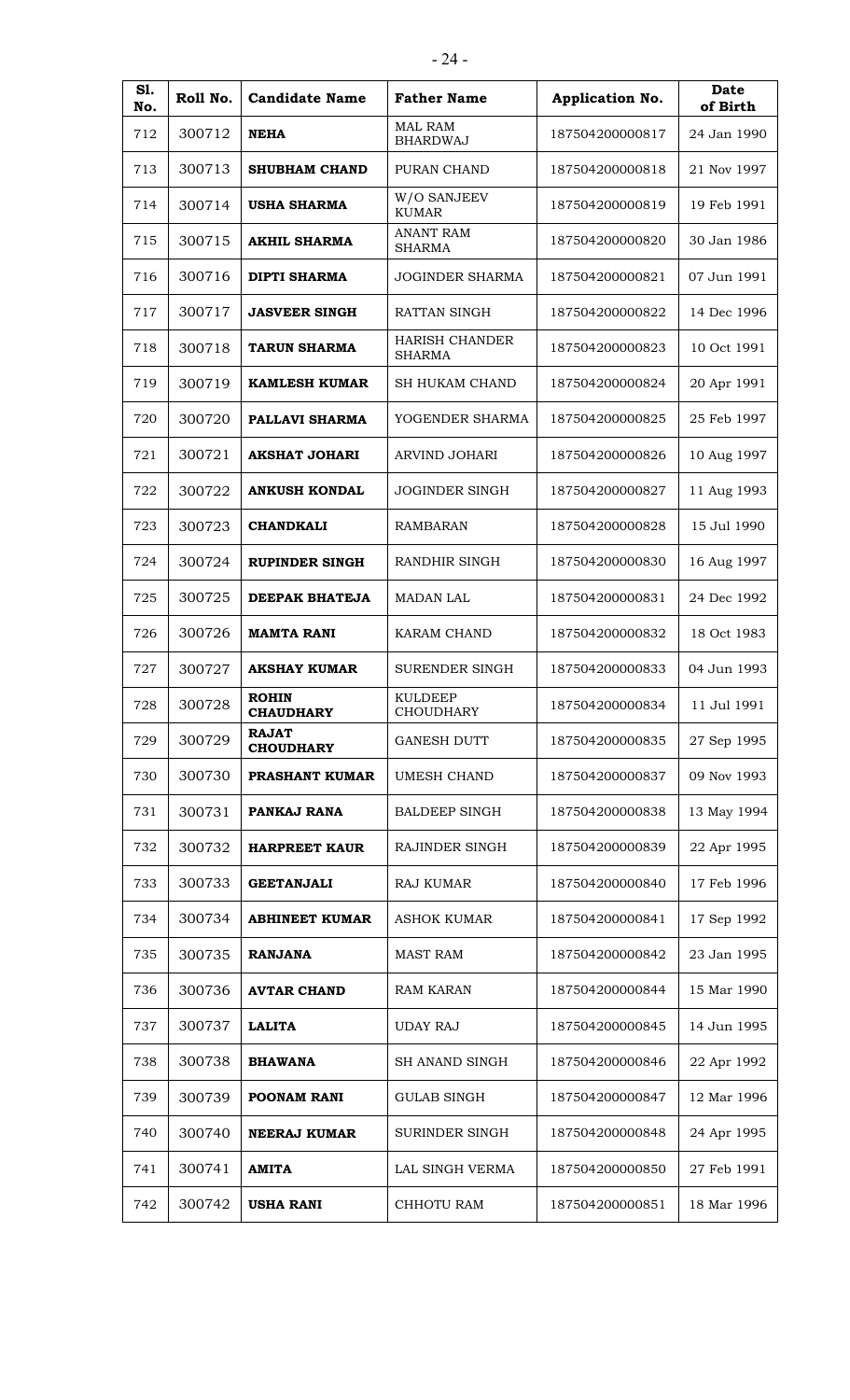| S1.<br>No. | Roll No. | <b>Candidate Name</b>            | <b>Father Name</b>                     | Application No. | Date<br>of Birth |
|------------|----------|----------------------------------|----------------------------------------|-----------------|------------------|
| 712        | 300712   | <b>NEHA</b>                      | <b>MAL RAM</b><br><b>BHARDWAJ</b>      | 187504200000817 | 24 Jan 1990      |
| 713        | 300713   | <b>SHUBHAM CHAND</b>             | PURAN CHAND                            | 187504200000818 | 21 Nov 1997      |
| 714        | 300714   | <b>USHA SHARMA</b>               | W/O SANJEEV<br><b>KUMAR</b>            | 187504200000819 | 19 Feb 1991      |
| 715        | 300715   | <b>AKHIL SHARMA</b>              | <b>ANANT RAM</b><br><b>SHARMA</b>      | 187504200000820 | 30 Jan 1986      |
| 716        | 300716   | <b>DIPTI SHARMA</b>              | <b>JOGINDER SHARMA</b>                 | 187504200000821 | 07 Jun 1991      |
| 717        | 300717   | <b>JASVEER SINGH</b>             | RATTAN SINGH                           | 187504200000822 | 14 Dec 1996      |
| 718        | 300718   | <b>TARUN SHARMA</b>              | <b>HARISH CHANDER</b><br><b>SHARMA</b> | 187504200000823 | 10 Oct 1991      |
| 719        | 300719   | <b>KAMLESH KUMAR</b>             | <b>SH HUKAM CHAND</b>                  | 187504200000824 | 20 Apr 1991      |
| 720        | 300720   | PALLAVI SHARMA                   | YOGENDER SHARMA                        | 187504200000825 | 25 Feb 1997      |
| 721        | 300721   | <b>AKSHAT JOHARI</b>             | <b>ARVIND JOHARI</b>                   | 187504200000826 | 10 Aug 1997      |
| 722        | 300722   | <b>ANKUSH KONDAL</b>             | <b>JOGINDER SINGH</b>                  | 187504200000827 | 11 Aug 1993      |
| 723        | 300723   | <b>CHANDKALI</b>                 | <b>RAMBARAN</b>                        | 187504200000828 | 15 Jul 1990      |
| 724        | 300724   | <b>RUPINDER SINGH</b>            | RANDHIR SINGH                          | 187504200000830 | 16 Aug 1997      |
| 725        | 300725   | DEEPAK BHATEJA                   | <b>MADAN LAL</b>                       | 187504200000831 | 24 Dec 1992      |
| 726        | 300726   | <b>MAMTA RANI</b>                | KARAM CHAND                            | 187504200000832 | 18 Oct 1983      |
| 727        | 300727   | <b>AKSHAY KUMAR</b>              | <b>SURENDER SINGH</b>                  | 187504200000833 | 04 Jun 1993      |
| 728        | 300728   | <b>ROHIN</b><br><b>CHAUDHARY</b> | <b>KULDEEP</b><br><b>CHOUDHARY</b>     | 187504200000834 | 11 Jul 1991      |
| 729        | 300729   | <b>RAJAT</b><br><b>CHOUDHARY</b> | <b>GANESH DUTT</b>                     | 187504200000835 | 27 Sep 1995      |
| 730        | 300730   | PRASHANT KUMAR                   | UMESH CHAND                            | 187504200000837 | 09 Nov 1993      |
| 731        | 300731   | PANKAJ RANA                      | <b>BALDEEP SINGH</b>                   | 187504200000838 | 13 May 1994      |
| 732        | 300732   | <b>HARPREET KAUR</b>             | <b>RAJINDER SINGH</b>                  | 187504200000839 | 22 Apr 1995      |
| 733        | 300733   | <b>GEETANJALI</b>                | <b>RAJ KUMAR</b>                       | 187504200000840 | 17 Feb 1996      |
| 734        | 300734   | <b>ABHINEET KUMAR</b>            | <b>ASHOK KUMAR</b>                     | 187504200000841 | 17 Sep 1992      |
| 735        | 300735   | <b>RANJANA</b>                   | <b>MAST RAM</b>                        | 187504200000842 | 23 Jan 1995      |
| 736        | 300736   | <b>AVTAR CHAND</b>               | <b>RAM KARAN</b>                       | 187504200000844 | 15 Mar 1990      |
| 737        | 300737   | <b>LALITA</b>                    | <b>UDAY RAJ</b>                        | 187504200000845 | 14 Jun 1995      |
| 738        | 300738   | <b>BHAWANA</b>                   | SH ANAND SINGH                         | 187504200000846 | 22 Apr 1992      |
| 739        | 300739   | <b>POONAM RANI</b>               | <b>GULAB SINGH</b>                     | 187504200000847 | 12 Mar 1996      |
| 740        | 300740   | <b>NEERAJ KUMAR</b>              | SURINDER SINGH                         | 187504200000848 | 24 Apr 1995      |
| 741        | 300741   | <b>AMITA</b>                     | LAL SINGH VERMA                        | 187504200000850 | 27 Feb 1991      |
| 742        | 300742   | <b>USHA RANI</b>                 | CHHOTU RAM                             | 187504200000851 | 18 Mar 1996      |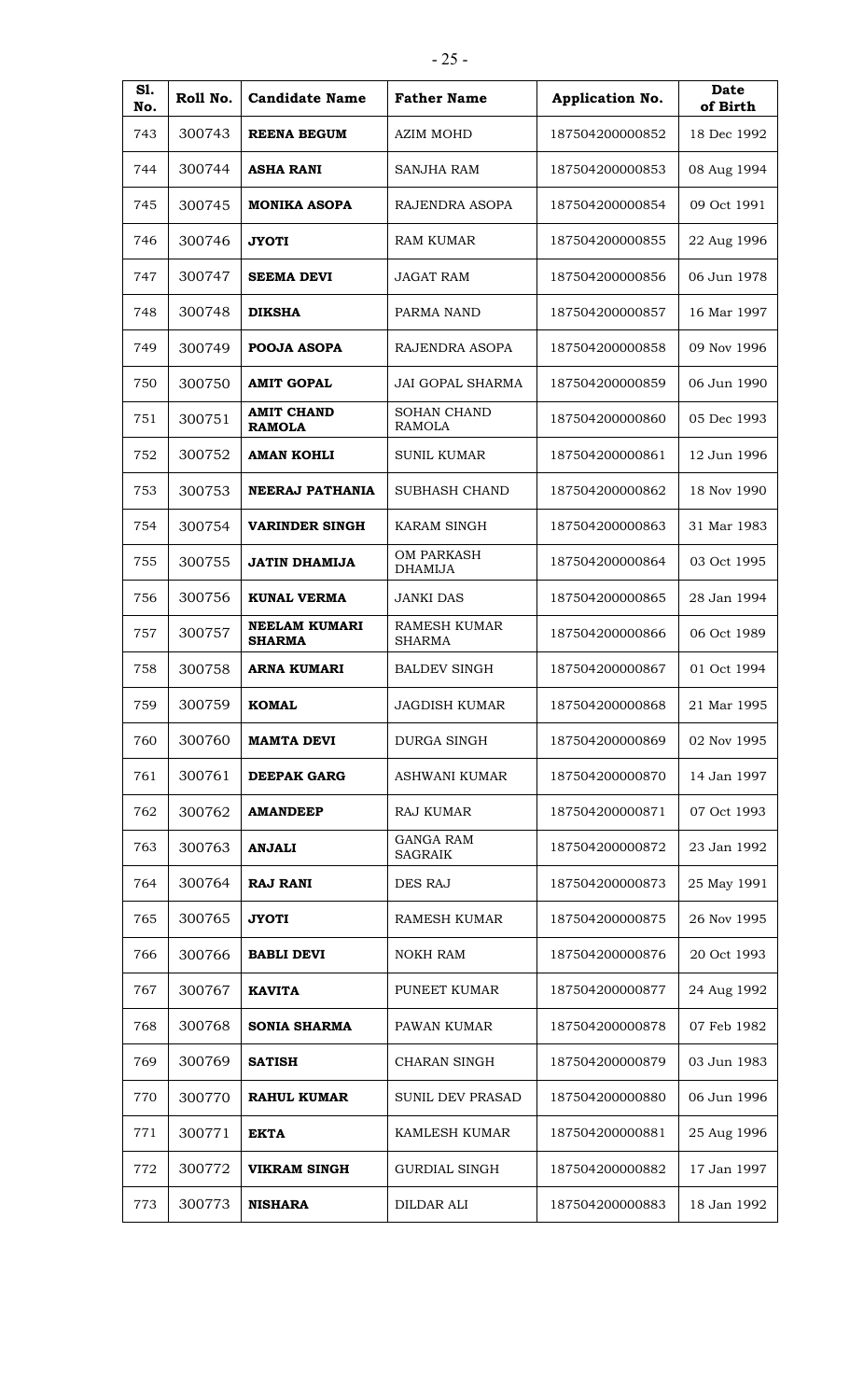| S1.<br>No. | Roll No. | <b>Candidate Name</b>                 | <b>Father Name</b>                   | <b>Application No.</b> | Date<br>of Birth |
|------------|----------|---------------------------------------|--------------------------------------|------------------------|------------------|
| 743        | 300743   | <b>REENA BEGUM</b>                    | AZIM MOHD                            | 187504200000852        | 18 Dec 1992      |
| 744        | 300744   | ASHA RANI                             | SANJHA RAM                           | 187504200000853        | 08 Aug 1994      |
| 745        | 300745   | <b>MONIKA ASOPA</b>                   | RAJENDRA ASOPA                       | 187504200000854        | 09 Oct 1991      |
| 746        | 300746   | <b>JYOTI</b>                          | <b>RAM KUMAR</b>                     | 187504200000855        | 22 Aug 1996      |
| 747        | 300747   | <b>SEEMA DEVI</b>                     | JAGAT RAM                            | 187504200000856        | 06 Jun 1978      |
| 748        | 300748   | <b>DIKSHA</b>                         | PARMA NAND                           | 187504200000857        | 16 Mar 1997      |
| 749        | 300749   | <b>POOJA ASOPA</b>                    | RAJENDRA ASOPA                       | 187504200000858        | 09 Nov 1996      |
| 750        | 300750   | <b>AMIT GOPAL</b>                     | <b>JAI GOPAL SHARMA</b>              | 187504200000859        | 06 Jun 1990      |
| 751        | 300751   | <b>AMIT CHAND</b><br><b>RAMOLA</b>    | <b>SOHAN CHAND</b><br>RAMOLA         | 187504200000860        | 05 Dec 1993      |
| 752        | 300752   | <b>AMAN KOHLI</b>                     | <b>SUNIL KUMAR</b>                   | 187504200000861        | 12 Jun 1996      |
| 753        | 300753   | NEERAJ PATHANIA                       | <b>SUBHASH CHAND</b>                 | 187504200000862        | 18 Nov 1990      |
| 754        | 300754   | <b>VARINDER SINGH</b>                 | KARAM SINGH                          | 187504200000863        | 31 Mar 1983      |
| 755        | 300755   | JATIN DHAMIJA                         | <b>OM PARKASH</b><br><b>DHAMIJA</b>  | 187504200000864        | 03 Oct 1995      |
| 756        | 300756   | <b>KUNAL VERMA</b>                    | <b>JANKI DAS</b>                     | 187504200000865        | 28 Jan 1994      |
| 757        | 300757   | <b>NEELAM KUMARI</b><br><b>SHARMA</b> | <b>RAMESH KUMAR</b><br><b>SHARMA</b> | 187504200000866        | 06 Oct 1989      |
| 758        | 300758   | <b>ARNA KUMARI</b>                    | <b>BALDEV SINGH</b>                  | 187504200000867        | 01 Oct 1994      |
| 759        | 300759   | <b>KOMAL</b>                          | <b>JAGDISH KUMAR</b>                 | 187504200000868        | 21 Mar 1995      |
| 760        | 300760   | <b>MAMTA DEVI</b>                     | <b>DURGA SINGH</b>                   | 187504200000869        | 02 Nov 1995      |
| 761        | 300761   | <b>DEEPAK GARG</b>                    | ASHWANI KUMAR                        | 187504200000870        | 14 Jan 1997      |
| 762        | 300762   | <b>AMANDEEP</b>                       | <b>RAJ KUMAR</b>                     | 187504200000871        | 07 Oct 1993      |
| 763        | 300763   | <b>ANJALI</b>                         | <b>GANGA RAM</b><br><b>SAGRAIK</b>   | 187504200000872        | 23 Jan 1992      |
| 764        | 300764   | <b>RAJ RANI</b>                       | DES RAJ                              | 187504200000873        | 25 May 1991      |
| 765        | 300765   | <b>JYOTI</b>                          | <b>RAMESH KUMAR</b>                  | 187504200000875        | 26 Nov 1995      |
| 766        | 300766   | <b>BABLI DEVI</b>                     | <b>NOKH RAM</b>                      | 187504200000876        | 20 Oct 1993      |
| 767        | 300767   | <b>KAVITA</b>                         | PUNEET KUMAR                         | 187504200000877        | 24 Aug 1992      |
| 768        | 300768   | <b>SONIA SHARMA</b>                   | PAWAN KUMAR                          | 187504200000878        | 07 Feb 1982      |
| 769        | 300769   | <b>SATISH</b>                         | <b>CHARAN SINGH</b>                  | 187504200000879        | 03 Jun 1983      |
| 770        | 300770   | <b>RAHUL KUMAR</b>                    | <b>SUNIL DEV PRASAD</b>              | 187504200000880        | 06 Jun 1996      |
| 771        | 300771   | <b>EKTA</b>                           | KAMLESH KUMAR                        | 187504200000881        | 25 Aug 1996      |
| 772        | 300772   | <b>VIKRAM SINGH</b>                   | <b>GURDIAL SINGH</b>                 | 187504200000882        | 17 Jan 1997      |
| 773        | 300773   | <b>NISHARA</b>                        | <b>DILDAR ALI</b>                    | 187504200000883        | 18 Jan 1992      |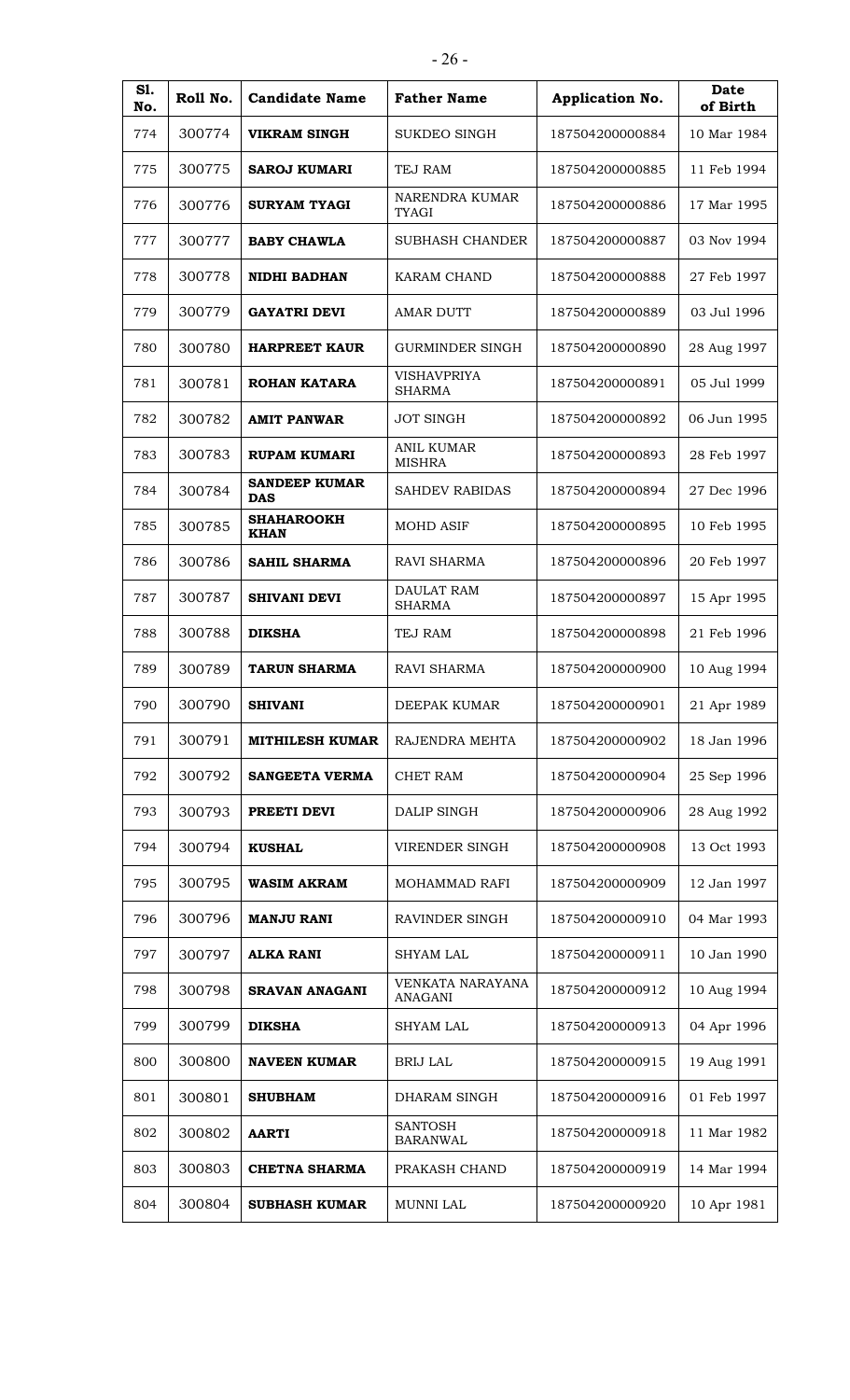| <b>S1.</b><br>No. | Roll No. | <b>Candidate Name</b>              | <b>Father Name</b>                 | Application No. | <b>Date</b><br>of Birth |
|-------------------|----------|------------------------------------|------------------------------------|-----------------|-------------------------|
| 774               | 300774   | <b>VIKRAM SINGH</b>                | <b>SUKDEO SINGH</b>                | 187504200000884 | 10 Mar 1984             |
| 775               | 300775   | <b>SAROJ KUMARI</b>                | TEJ RAM                            | 187504200000885 | 11 Feb 1994             |
| 776               | 300776   | <b>SURYAM TYAGI</b>                | NARENDRA KUMAR<br><b>TYAGI</b>     | 187504200000886 | 17 Mar 1995             |
| 777               | 300777   | <b>BABY CHAWLA</b>                 | SUBHASH CHANDER                    | 187504200000887 | 03 Nov 1994             |
| 778               | 300778   | <b>NIDHI BADHAN</b>                | <b>KARAM CHAND</b>                 | 187504200000888 | 27 Feb 1997             |
| 779               | 300779   | <b>GAYATRI DEVI</b>                | <b>AMAR DUTT</b>                   | 187504200000889 | 03 Jul 1996             |
| 780               | 300780   | <b>HARPREET KAUR</b>               | <b>GURMINDER SINGH</b>             | 187504200000890 | 28 Aug 1997             |
| 781               | 300781   | ROHAN KATARA                       | <b>VISHAVPRIYA</b><br>SHARMA       | 187504200000891 | 05 Jul 1999             |
| 782               | 300782   | <b>AMIT PANWAR</b>                 | <b>JOT SINGH</b>                   | 187504200000892 | 06 Jun 1995             |
| 783               | 300783   | <b>RUPAM KUMARI</b>                | <b>ANIL KUMAR</b><br><b>MISHRA</b> | 187504200000893 | 28 Feb 1997             |
| 784               | 300784   | <b>SANDEEP KUMAR</b><br><b>DAS</b> | SAHDEV RABIDAS                     | 187504200000894 | 27 Dec 1996             |
| 785               | 300785   | <b>SHAHAROOKH</b><br><b>KHAN</b>   | <b>MOHD ASIF</b>                   | 187504200000895 | 10 Feb 1995             |
| 786               | 300786   | <b>SAHIL SHARMA</b>                | RAVI SHARMA                        | 187504200000896 | 20 Feb 1997             |
| 787               | 300787   | <b>SHIVANI DEVI</b>                | <b>DAULAT RAM</b><br><b>SHARMA</b> | 187504200000897 | 15 Apr 1995             |
| 788               | 300788   | <b>DIKSHA</b>                      | TEJ RAM                            | 187504200000898 | 21 Feb 1996             |
| 789               | 300789   | <b>TARUN SHARMA</b>                | <b>RAVI SHARMA</b>                 | 187504200000900 | 10 Aug 1994             |
| 790               | 300790   | <b>SHIVANI</b>                     | DEEPAK KUMAR                       | 187504200000901 | 21 Apr 1989             |
| 791               | 300791   | <b>MITHILESH KUMAR</b>             | RAJENDRA MEHTA                     | 187504200000902 | 18 Jan 1996             |
| 792               | 300792   | <b>SANGEETA VERMA</b>              | <b>CHET RAM</b>                    | 187504200000904 | 25 Sep 1996             |
| 793               | 300793   | PREETI DEVI                        | DALIP SINGH                        | 187504200000906 | 28 Aug 1992             |
| 794               | 300794   | <b>KUSHAL</b>                      | <b>VIRENDER SINGH</b>              | 187504200000908 | 13 Oct 1993             |
| 795               | 300795   | <b>WASIM AKRAM</b>                 | MOHAMMAD RAFI                      | 187504200000909 | 12 Jan 1997             |
| 796               | 300796   | <b>MANJU RANI</b>                  | RAVINDER SINGH                     | 187504200000910 | 04 Mar 1993             |
| 797               | 300797   | <b>ALKA RANI</b>                   | <b>SHYAM LAL</b>                   | 187504200000911 | 10 Jan 1990             |
| 798               | 300798   | <b>SRAVAN ANAGANI</b>              | VENKATA NARAYANA<br>ANAGANI        | 187504200000912 | 10 Aug 1994             |
| 799               | 300799   | <b>DIKSHA</b>                      | <b>SHYAM LAL</b>                   | 187504200000913 | 04 Apr 1996             |
| 800               | 300800   | <b>NAVEEN KUMAR</b>                | <b>BRIJ LAL</b>                    | 187504200000915 | 19 Aug 1991             |
| 801               | 300801   | <b>SHUBHAM</b>                     | DHARAM SINGH                       | 187504200000916 | 01 Feb 1997             |
| 802               | 300802   | <b>AARTI</b>                       | <b>SANTOSH</b><br><b>BARANWAL</b>  | 187504200000918 | 11 Mar 1982             |
| 803               | 300803   | <b>CHETNA SHARMA</b>               | PRAKASH CHAND                      | 187504200000919 | 14 Mar 1994             |
| 804               | 300804   | <b>SUBHASH KUMAR</b>               | MUNNI LAL                          | 187504200000920 | 10 Apr 1981             |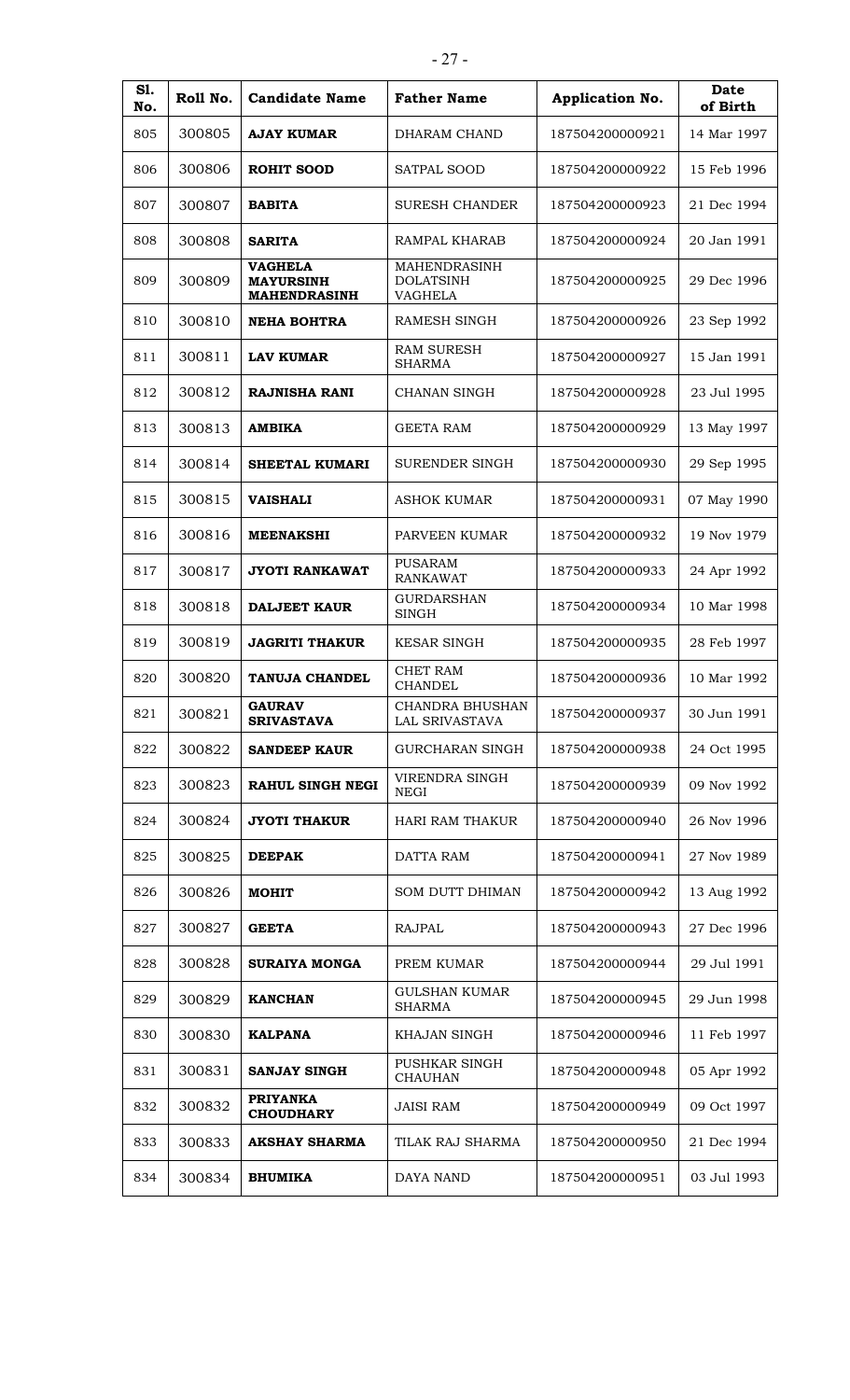| S1.<br>No. | Roll No. | <b>Candidate Name</b>                                     | <b>Father Name</b>                                 | Application No. | <b>Date</b><br>of Birth |
|------------|----------|-----------------------------------------------------------|----------------------------------------------------|-----------------|-------------------------|
| 805        | 300805   | <b>AJAY KUMAR</b>                                         | DHARAM CHAND                                       | 187504200000921 | 14 Mar 1997             |
| 806        | 300806   | <b>ROHIT SOOD</b>                                         | SATPAL SOOD                                        | 187504200000922 | 15 Feb 1996             |
| 807        | 300807   | <b>BABITA</b>                                             | <b>SURESH CHANDER</b>                              | 187504200000923 | 21 Dec 1994             |
| 808        | 300808   | <b>SARITA</b>                                             | RAMPAL KHARAB                                      | 187504200000924 | 20 Jan 1991             |
| 809        | 300809   | <b>VAGHELA</b><br><b>MAYURSINH</b><br><b>MAHENDRASINH</b> | MAHENDRASINH<br><b>DOLATSINH</b><br><b>VAGHELA</b> | 187504200000925 | 29 Dec 1996             |
| 810        | 300810   | <b>NEHA BOHTRA</b>                                        | <b>RAMESH SINGH</b>                                | 187504200000926 | 23 Sep 1992             |
| 811        | 300811   | <b>LAV KUMAR</b>                                          | <b>RAM SURESH</b><br><b>SHARMA</b>                 | 187504200000927 | 15 Jan 1991             |
| 812        | 300812   | <b>RAJNISHA RANI</b>                                      | <b>CHANAN SINGH</b>                                | 187504200000928 | 23 Jul 1995             |
| 813        | 300813   | <b>AMBIKA</b>                                             | <b>GEETA RAM</b>                                   | 187504200000929 | 13 May 1997             |
| 814        | 300814   | <b>SHEETAL KUMARI</b>                                     | <b>SURENDER SINGH</b>                              | 187504200000930 | 29 Sep 1995             |
| 815        | 300815   | <b>VAISHALI</b>                                           | <b>ASHOK KUMAR</b>                                 | 187504200000931 | 07 May 1990             |
| 816        | 300816   | <b>MEENAKSHI</b>                                          | PARVEEN KUMAR                                      | 187504200000932 | 19 Nov 1979             |
| 817        | 300817   | JYOTI RANKAWAT                                            | <b>PUSARAM</b><br><b>RANKAWAT</b>                  | 187504200000933 | 24 Apr 1992             |
| 818        | 300818   | <b>DALJEET KAUR</b>                                       | <b>GURDARSHAN</b><br><b>SINGH</b>                  | 187504200000934 | 10 Mar 1998             |
| 819        | 300819   | <b>JAGRITI THAKUR</b>                                     | <b>KESAR SINGH</b>                                 | 187504200000935 | 28 Feb 1997             |
| 820        | 300820   | TANUJA CHANDEL                                            | <b>CHET RAM</b><br><b>CHANDEL</b>                  | 187504200000936 | 10 Mar 1992             |
| 821        | 300821   | <b>GAURAV</b><br><b>SRIVASTAVA</b>                        | <b>CHANDRA BHUSHAN</b><br>LAL SRIVASTAVA           | 187504200000937 | 30 Jun 1991             |
| 822        | 300822   | <b>SANDEEP KAUR</b>                                       | <b>GURCHARAN SINGH</b>                             | 187504200000938 | 24 Oct 1995             |
| 823        | 300823   | <b>RAHUL SINGH NEGI</b>                                   | VIRENDRA SINGH<br>NEGI                             | 187504200000939 | 09 Nov 1992             |
| 824        | 300824   | <b>JYOTI THAKUR</b>                                       | <b>HARI RAM THAKUR</b>                             | 187504200000940 | 26 Nov 1996             |
| 825        | 300825   | <b>DEEPAK</b>                                             | DATTA RAM                                          | 187504200000941 | 27 Nov 1989             |
| 826        | 300826   | <b>MOHIT</b>                                              | <b>SOM DUTT DHIMAN</b>                             | 187504200000942 | 13 Aug 1992             |
| 827        | 300827   | <b>GEETA</b>                                              | <b>RAJPAL</b>                                      | 187504200000943 | 27 Dec 1996             |
| 828        | 300828   | <b>SURAIYA MONGA</b>                                      | PREM KUMAR                                         | 187504200000944 | 29 Jul 1991             |
| 829        | 300829   | <b>KANCHAN</b>                                            | <b>GULSHAN KUMAR</b><br><b>SHARMA</b>              | 187504200000945 | 29 Jun 1998             |
| 830        | 300830   | <b>KALPANA</b>                                            | KHAJAN SINGH                                       | 187504200000946 | 11 Feb 1997             |
| 831        | 300831   | <b>SANJAY SINGH</b>                                       | PUSHKAR SINGH<br><b>CHAUHAN</b>                    | 187504200000948 | 05 Apr 1992             |
| 832        | 300832   | <b>PRIYANKA</b><br><b>CHOUDHARY</b>                       | <b>JAISI RAM</b>                                   | 187504200000949 | 09 Oct 1997             |
| 833        | 300833   | <b>AKSHAY SHARMA</b>                                      | TILAK RAJ SHARMA                                   | 187504200000950 | 21 Dec 1994             |
| 834        | 300834   | <b>BHUMIKA</b>                                            | DAYA NAND                                          | 187504200000951 | 03 Jul 1993             |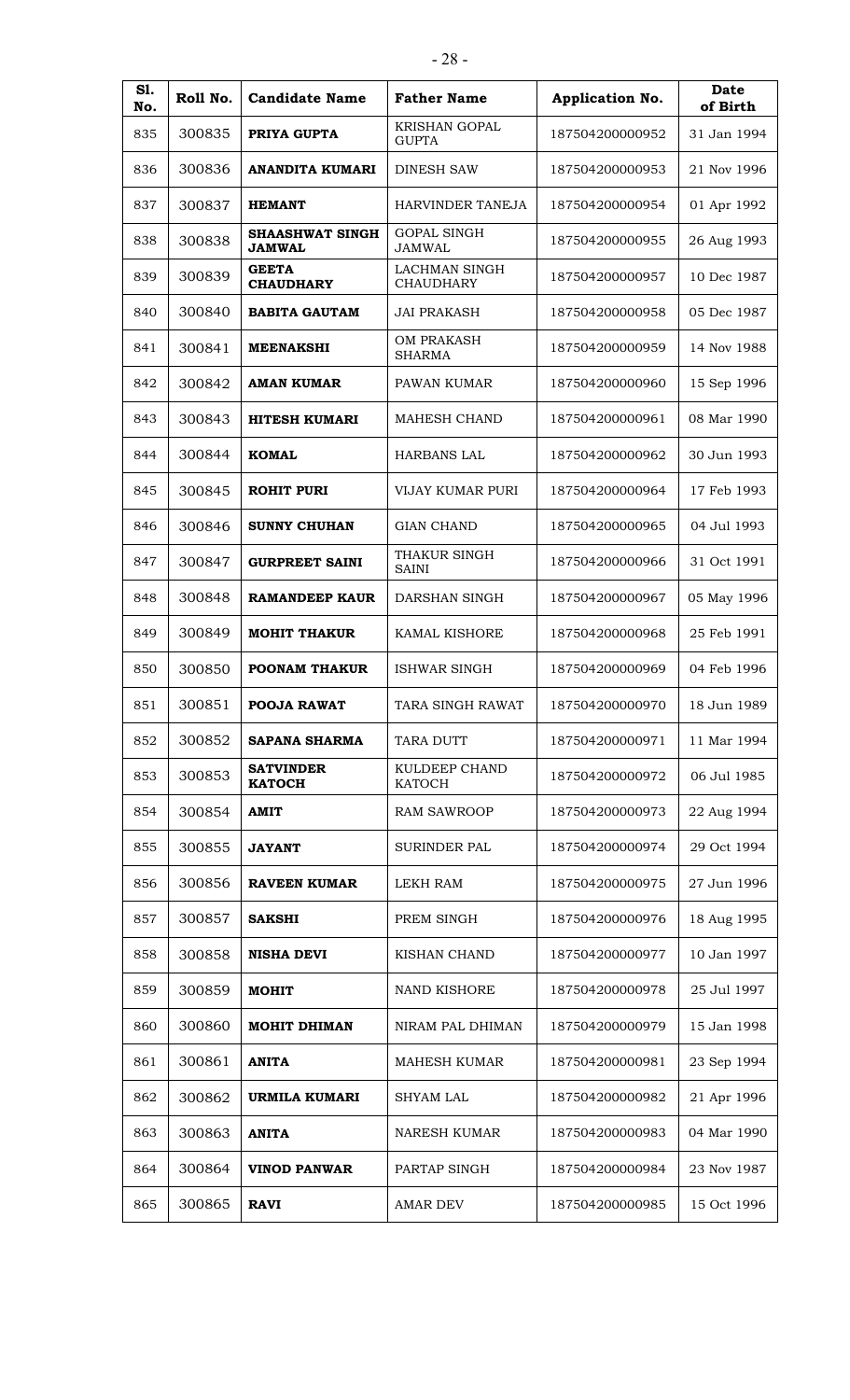| S1.<br>No. | Roll No. | <b>Candidate Name</b>                   | <b>Father Name</b>                       | Application No. | <b>Date</b><br>of Birth |
|------------|----------|-----------------------------------------|------------------------------------------|-----------------|-------------------------|
| 835        | 300835   | PRIYA GUPTA                             | <b>KRISHAN GOPAL</b><br><b>GUPTA</b>     | 187504200000952 | 31 Jan 1994             |
| 836        | 300836   | <b>ANANDITA KUMARI</b>                  | <b>DINESH SAW</b>                        | 187504200000953 | 21 Nov 1996             |
| 837        | 300837   | <b>HEMANT</b>                           | HARVINDER TANEJA                         | 187504200000954 | 01 Apr 1992             |
| 838        | 300838   | <b>SHAASHWAT SINGH</b><br><b>JAMWAL</b> | <b>GOPAL SINGH</b><br><b>JAMWAL</b>      | 187504200000955 | 26 Aug 1993             |
| 839        | 300839   | <b>GEETA</b><br><b>CHAUDHARY</b>        | <b>LACHMAN SINGH</b><br><b>CHAUDHARY</b> | 187504200000957 | 10 Dec 1987             |
| 840        | 300840   | <b>BABITA GAUTAM</b>                    | <b>JAI PRAKASH</b>                       | 187504200000958 | 05 Dec 1987             |
| 841        | 300841   | <b>MEENAKSHI</b>                        | <b>OM PRAKASH</b><br><b>SHARMA</b>       | 187504200000959 | 14 Nov 1988             |
| 842        | 300842   | <b>AMAN KUMAR</b>                       | PAWAN KUMAR                              | 187504200000960 | 15 Sep 1996             |
| 843        | 300843   | <b>HITESH KUMARI</b>                    | <b>MAHESH CHAND</b>                      | 187504200000961 | 08 Mar 1990             |
| 844        | 300844   | <b>KOMAL</b>                            | <b>HARBANS LAL</b>                       | 187504200000962 | 30 Jun 1993             |
| 845        | 300845   | <b>ROHIT PURI</b>                       | VIJAY KUMAR PURI                         | 187504200000964 | 17 Feb 1993             |
| 846        | 300846   | <b>SUNNY CHUHAN</b>                     | <b>GIAN CHAND</b>                        | 187504200000965 | 04 Jul 1993             |
| 847        | 300847   | <b>GURPREET SAINI</b>                   | THAKUR SINGH<br><b>SAINI</b>             | 187504200000966 | 31 Oct 1991             |
| 848        | 300848   | <b>RAMANDEEP KAUR</b>                   | DARSHAN SINGH                            | 187504200000967 | 05 May 1996             |
| 849        | 300849   | <b>MOHIT THAKUR</b>                     | <b>KAMAL KISHORE</b>                     | 187504200000968 | 25 Feb 1991             |
| 850        | 300850   | <b>POONAM THAKUR</b>                    | <b>ISHWAR SINGH</b>                      | 187504200000969 | 04 Feb 1996             |
| 851        | 300851   | POOJA RAWAT                             | TARA SINGH RAWAT                         | 187504200000970 | 18 Jun 1989             |
| 852        | 300852   | <b>SAPANA SHARMA</b>                    | TARA DUTT                                | 187504200000971 | 11 Mar 1994             |
| 853        | 300853   | <b>SATVINDER</b><br><b>КАТОСН</b>       | KULDEEP CHAND<br><b>KATOCH</b>           | 187504200000972 | 06 Jul 1985             |
| 854        | 300854   | <b>AMIT</b>                             | <b>RAM SAWROOP</b>                       | 187504200000973 | 22 Aug 1994             |
| 855        | 300855   | <b>JAYANT</b>                           | <b>SURINDER PAL</b>                      | 187504200000974 | 29 Oct 1994             |
| 856        | 300856   | <b>RAVEEN KUMAR</b>                     | LEKH RAM                                 | 187504200000975 | 27 Jun 1996             |
| 857        | 300857   | <b>SAKSHI</b>                           | PREM SINGH                               | 187504200000976 | 18 Aug 1995             |
| 858        | 300858   | <b>NISHA DEVI</b>                       | KISHAN CHAND                             | 187504200000977 | 10 Jan 1997             |
| 859        | 300859   | <b>MOHIT</b>                            | NAND KISHORE                             | 187504200000978 | 25 Jul 1997             |
| 860        | 300860   | <b>MOHIT DHIMAN</b>                     | NIRAM PAL DHIMAN                         | 187504200000979 | 15 Jan 1998             |
| 861        | 300861   | <b>ANITA</b>                            | <b>MAHESH KUMAR</b>                      | 187504200000981 | 23 Sep 1994             |
| 862        | 300862   | URMILA KUMARI                           | <b>SHYAM LAL</b>                         | 187504200000982 | 21 Apr 1996             |
| 863        | 300863   | <b>ANITA</b>                            | <b>NARESH KUMAR</b>                      | 187504200000983 | 04 Mar 1990             |
| 864        | 300864   | <b>VINOD PANWAR</b>                     | PARTAP SINGH                             | 187504200000984 | 23 Nov 1987             |
| 865        | 300865   | <b>RAVI</b>                             | <b>AMAR DEV</b>                          | 187504200000985 | 15 Oct 1996             |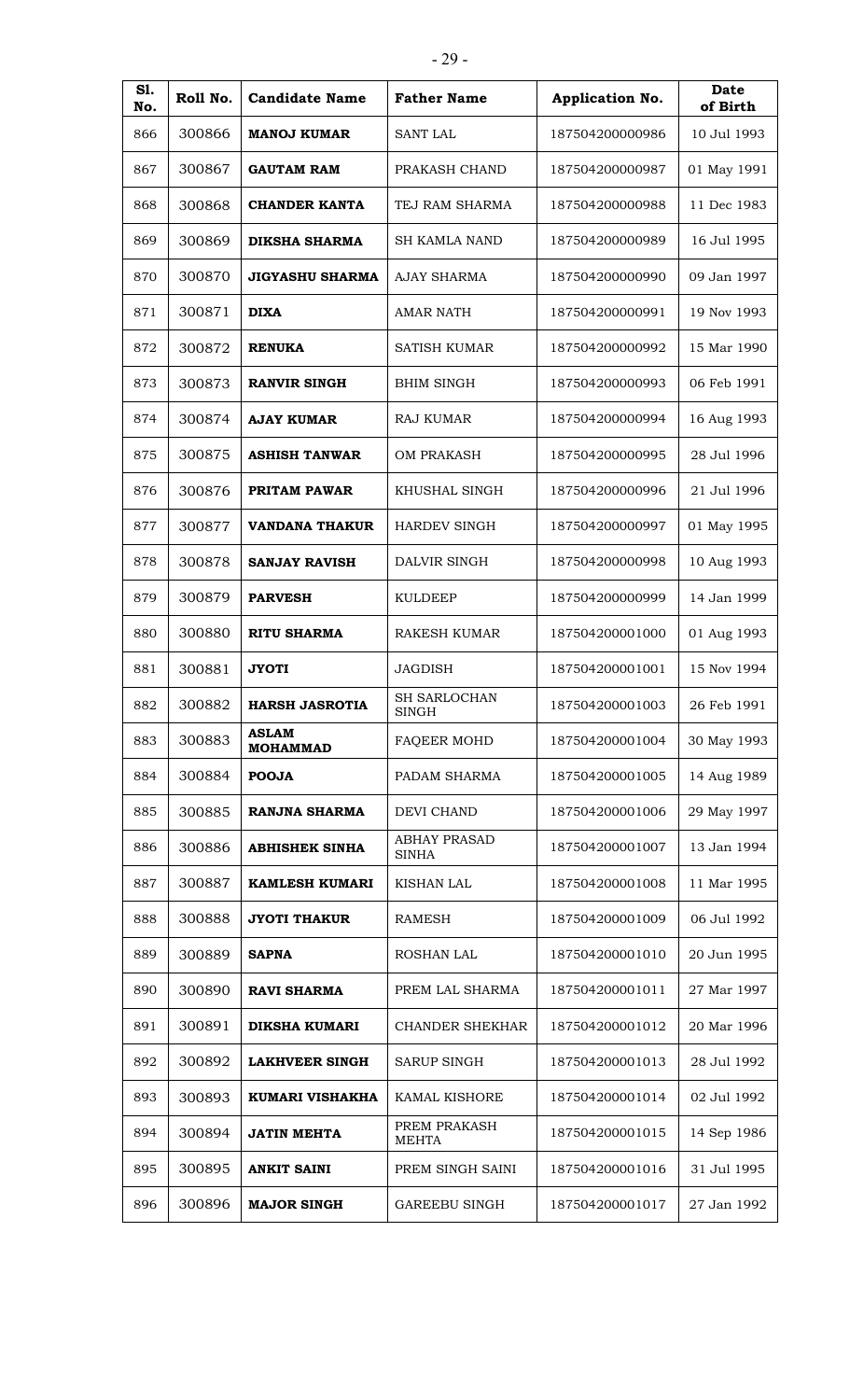| S1.<br>No. | Roll No. | <b>Candidate Name</b>           | <b>Father Name</b>                  | Application No. | Date<br>of Birth |
|------------|----------|---------------------------------|-------------------------------------|-----------------|------------------|
| 866        | 300866   | <b>MANOJ KUMAR</b>              | <b>SANT LAL</b>                     | 187504200000986 | 10 Jul 1993      |
| 867        | 300867   | <b>GAUTAM RAM</b>               | PRAKASH CHAND                       | 187504200000987 | 01 May 1991      |
| 868        | 300868   | <b>CHANDER KANTA</b>            | TEJ RAM SHARMA                      | 187504200000988 | 11 Dec 1983      |
| 869        | 300869   | DIKSHA SHARMA                   | <b>SH KAMLA NAND</b>                | 187504200000989 | 16 Jul 1995      |
| 870        | 300870   | <b>JIGYASHU SHARMA</b>          | <b>AJAY SHARMA</b>                  | 187504200000990 | 09 Jan 1997      |
| 871        | 300871   | <b>DIXA</b>                     | <b>AMAR NATH</b>                    | 187504200000991 | 19 Nov 1993      |
| 872        | 300872   | <b>RENUKA</b>                   | <b>SATISH KUMAR</b>                 | 187504200000992 | 15 Mar 1990      |
| 873        | 300873   | <b>RANVIR SINGH</b>             | <b>BHIM SINGH</b>                   | 187504200000993 | 06 Feb 1991      |
| 874        | 300874   | <b>AJAY KUMAR</b>               | RAJ KUMAR                           | 187504200000994 | 16 Aug 1993      |
| 875        | 300875   | <b>ASHISH TANWAR</b>            | <b>OM PRAKASH</b>                   | 187504200000995 | 28 Jul 1996      |
| 876        | 300876   | PRITAM PAWAR                    | KHUSHAL SINGH                       | 187504200000996 | 21 Jul 1996      |
| 877        | 300877   | <b>VANDANA THAKUR</b>           | <b>HARDEV SINGH</b>                 | 187504200000997 | 01 May 1995      |
| 878        | 300878   | <b>SANJAY RAVISH</b>            | DALVIR SINGH                        | 187504200000998 | 10 Aug 1993      |
| 879        | 300879   | <b>PARVESH</b>                  | <b>KULDEEP</b>                      | 187504200000999 | 14 Jan 1999      |
| 880        | 300880   | <b>RITU SHARMA</b>              | RAKESH KUMAR                        | 187504200001000 | 01 Aug 1993      |
| 881        | 300881   | <b>JYOTI</b>                    | <b>JAGDISH</b>                      | 187504200001001 | 15 Nov 1994      |
| 882        | 300882   | <b>HARSH JASROTIA</b>           | SH SARLOCHAN<br><b>SINGH</b>        | 187504200001003 | 26 Feb 1991      |
| 883        | 300883   | <b>ASLAM</b><br><b>MOHAMMAD</b> | <b>FAQEER MOHD</b>                  | 187504200001004 | 30 May 1993      |
| 884        | 300884   | <b>POOJA</b>                    | PADAM SHARMA                        | 187504200001005 | 14 Aug 1989      |
| 885        | 300885   | <b>RANJNA SHARMA</b>            | DEVI CHAND                          | 187504200001006 | 29 May 1997      |
| 886        | 300886   | <b>ABHISHEK SINHA</b>           | <b>ABHAY PRASAD</b><br><b>SINHA</b> | 187504200001007 | 13 Jan 1994      |
| 887        | 300887   | KAMLESH KUMARI                  | <b>KISHAN LAL</b>                   | 187504200001008 | 11 Mar 1995      |
| 888        | 300888   | <b>JYOTI THAKUR</b>             | <b>RAMESH</b>                       | 187504200001009 | 06 Jul 1992      |
| 889        | 300889   | <b>SAPNA</b>                    | ROSHAN LAL                          | 187504200001010 | 20 Jun 1995      |
| 890        | 300890   | <b>RAVI SHARMA</b>              | PREM LAL SHARMA                     | 187504200001011 | 27 Mar 1997      |
| 891        | 300891   | <b>DIKSHA KUMARI</b>            | <b>CHANDER SHEKHAR</b>              | 187504200001012 | 20 Mar 1996      |
| 892        | 300892   | <b>LAKHVEER SINGH</b>           | <b>SARUP SINGH</b>                  | 187504200001013 | 28 Jul 1992      |
| 893        | 300893   | KUMARI VISHAKHA                 | KAMAL KISHORE                       | 187504200001014 | 02 Jul 1992      |
| 894        | 300894   | <b>JATIN MEHTA</b>              | PREM PRAKASH<br><b>MEHTA</b>        | 187504200001015 | 14 Sep 1986      |
| 895        | 300895   | <b>ANKIT SAINI</b>              | PREM SINGH SAINI                    | 187504200001016 | 31 Jul 1995      |
| 896        | 300896   | <b>MAJOR SINGH</b>              | <b>GAREEBU SINGH</b>                | 187504200001017 | 27 Jan 1992      |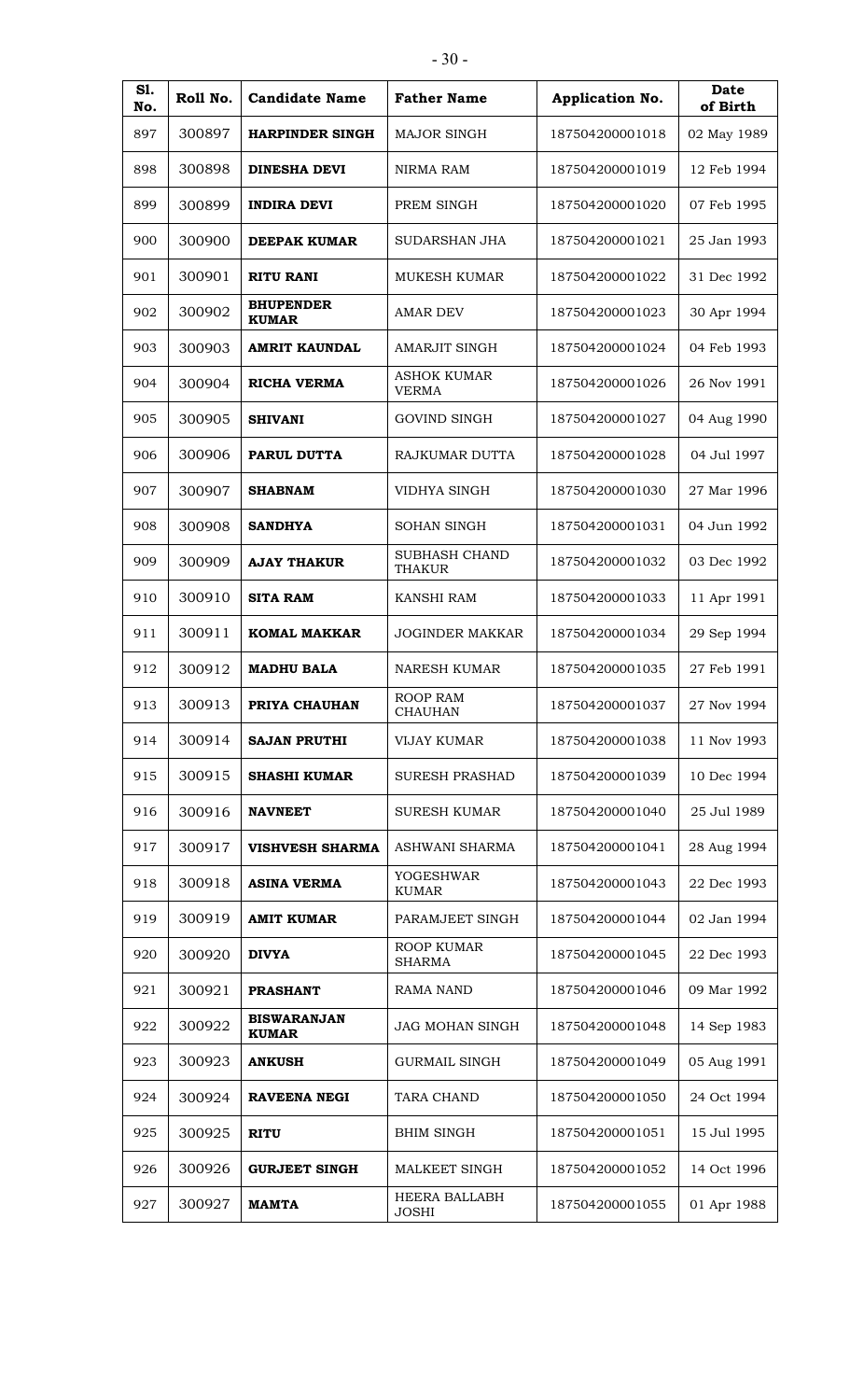| I<br>۰.<br>v<br>u |
|-------------------|
|-------------------|

| S1.<br>No. | Roll No. | <b>Candidate Name</b>              | <b>Father Name</b>                 | Application No. | Date<br>of Birth |
|------------|----------|------------------------------------|------------------------------------|-----------------|------------------|
| 897        | 300897   | <b>HARPINDER SINGH</b>             | <b>MAJOR SINGH</b>                 | 187504200001018 | 02 May 1989      |
| 898        | 300898   | <b>DINESHA DEVI</b>                | NIRMA RAM                          | 187504200001019 | 12 Feb 1994      |
| 899        | 300899   | <b>INDIRA DEVI</b>                 | PREM SINGH                         | 187504200001020 | 07 Feb 1995      |
| 900        | 300900   | DEEPAK KUMAR                       | <b>SUDARSHAN JHA</b>               | 187504200001021 | 25 Jan 1993      |
| 901        | 300901   | <b>RITU RANI</b>                   | <b>MUKESH KUMAR</b>                | 187504200001022 | 31 Dec 1992      |
| 902        | 300902   | <b>BHUPENDER</b><br><b>KUMAR</b>   | <b>AMAR DEV</b>                    | 187504200001023 | 30 Apr 1994      |
| 903        | 300903   | <b>AMRIT KAUNDAL</b>               | <b>AMARJIT SINGH</b>               | 187504200001024 | 04 Feb 1993      |
| 904        | 300904   | <b>RICHA VERMA</b>                 | <b>ASHOK KUMAR</b><br><b>VERMA</b> | 187504200001026 | 26 Nov 1991      |
| 905        | 300905   | <b>SHIVANI</b>                     | <b>GOVIND SINGH</b>                | 187504200001027 | 04 Aug 1990      |
| 906        | 300906   | <b>PARUL DUTTA</b>                 | <b>RAJKUMAR DUTTA</b>              | 187504200001028 | 04 Jul 1997      |
| 907        | 300907   | <b>SHABNAM</b>                     | VIDHYA SINGH                       | 187504200001030 | 27 Mar 1996      |
| 908        | 300908   | <b>SANDHYA</b>                     | <b>SOHAN SINGH</b>                 | 187504200001031 | 04 Jun 1992      |
| 909        | 300909   | <b>AJAY THAKUR</b>                 | SUBHASH CHAND<br>THAKUR            | 187504200001032 | 03 Dec 1992      |
| 910        | 300910   | <b>SITA RAM</b>                    | <b>KANSHI RAM</b>                  | 187504200001033 | 11 Apr 1991      |
| 911        | 300911   | <b>KOMAL MAKKAR</b>                | <b>JOGINDER MAKKAR</b>             | 187504200001034 | 29 Sep 1994      |
| 912        | 300912   | <b>MADHU BALA</b>                  | <b>NARESH KUMAR</b>                | 187504200001035 | 27 Feb 1991      |
| 913        | 300913   | PRIYA CHAUHAN                      | ROOP RAM<br><b>CHAUHAN</b>         | 187504200001037 | 27 Nov 1994      |
| 914        | 300914   | <b>SAJAN PRUTHI</b>                | <b>VIJAY KUMAR</b>                 | 187504200001038 | 11 Nov 1993      |
| 915        | 300915   | <b>SHASHI KUMAR</b>                | <b>SURESH PRASHAD</b>              | 187504200001039 | 10 Dec 1994      |
| 916        | 300916   | <b>NAVNEET</b>                     | <b>SURESH KUMAR</b>                | 187504200001040 | 25 Jul 1989      |
| 917        | 300917   | <b>VISHVESH SHARMA</b>             | ASHWANI SHARMA                     | 187504200001041 | 28 Aug 1994      |
| 918        | 300918   | <b>ASINA VERMA</b>                 | <b>YOGESHWAR</b><br><b>KUMAR</b>   | 187504200001043 | 22 Dec 1993      |
| 919        | 300919   | <b>AMIT KUMAR</b>                  | PARAMJEET SINGH                    | 187504200001044 | 02 Jan 1994      |
| 920        | 300920   | <b>DIVYA</b>                       | ROOP KUMAR<br><b>SHARMA</b>        | 187504200001045 | 22 Dec 1993      |
| 921        | 300921   | <b>PRASHANT</b>                    | <b>RAMA NAND</b>                   | 187504200001046 | 09 Mar 1992      |
| 922        | 300922   | <b>BISWARANJAN</b><br><b>KUMAR</b> | <b>JAG MOHAN SINGH</b>             | 187504200001048 | 14 Sep 1983      |
| 923        | 300923   | <b>ANKUSH</b>                      | <b>GURMAIL SINGH</b>               | 187504200001049 | 05 Aug 1991      |
| 924        | 300924   | <b>RAVEENA NEGI</b>                | <b>TARA CHAND</b>                  | 187504200001050 | 24 Oct 1994      |
| 925        | 300925   | <b>RITU</b>                        | <b>BHIM SINGH</b>                  | 187504200001051 | 15 Jul 1995      |
| 926        | 300926   | <b>GURJEET SINGH</b>               | MALKEET SINGH                      | 187504200001052 | 14 Oct 1996      |
| 927        | 300927   | <b>MAMTA</b>                       | HEERA BALLABH<br><b>JOSHI</b>      | 187504200001055 | 01 Apr 1988      |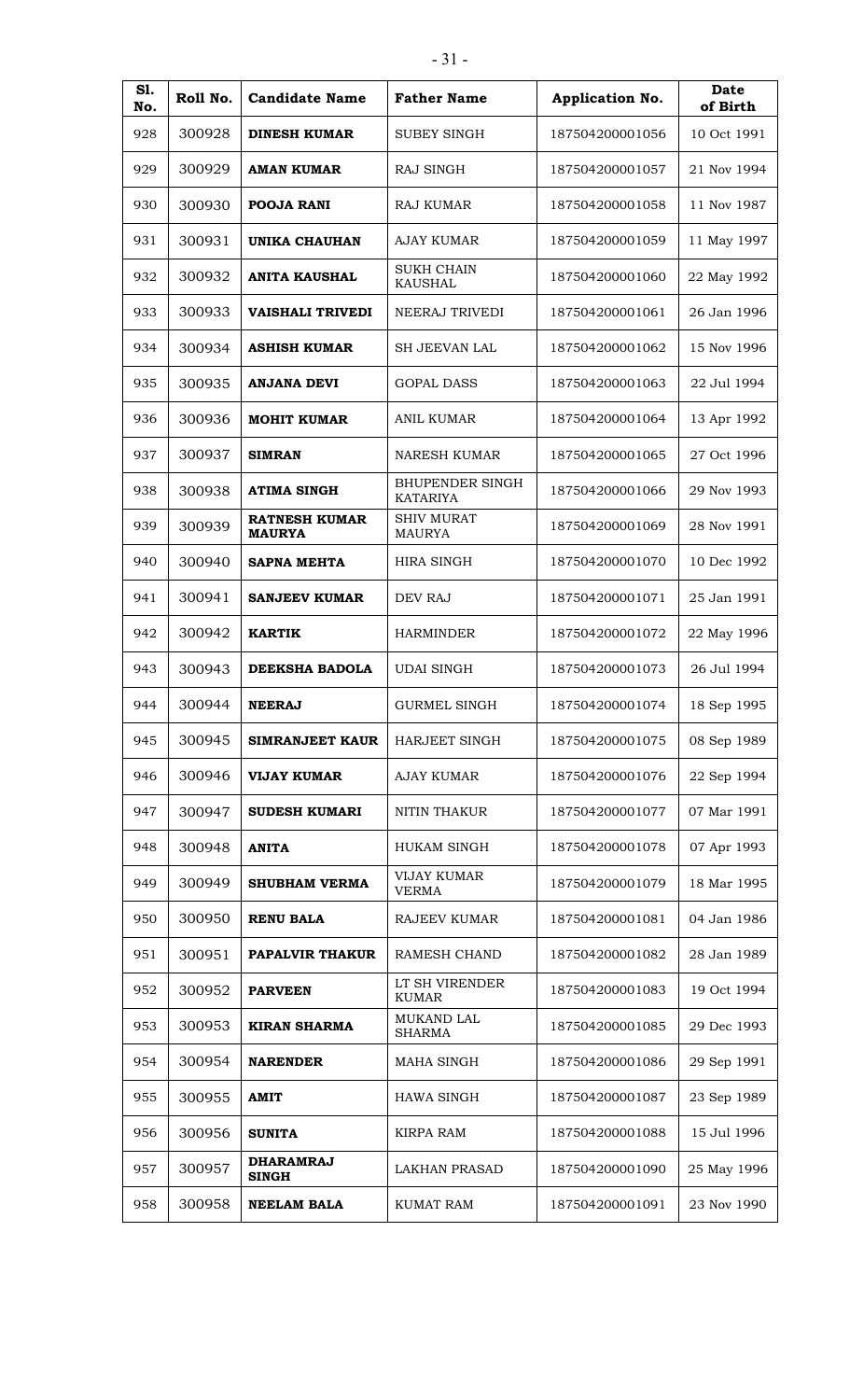| <b>S1.</b><br>No. | Roll No. | <b>Candidate Name</b>                 | <b>Father Name</b>                        | Application No. | <b>Date</b><br>of Birth |
|-------------------|----------|---------------------------------------|-------------------------------------------|-----------------|-------------------------|
| 928               | 300928   | <b>DINESH KUMAR</b>                   | <b>SUBEY SINGH</b>                        | 187504200001056 | 10 Oct 1991             |
| 929               | 300929   | <b>AMAN KUMAR</b>                     | RAJ SINGH                                 | 187504200001057 | 21 Nov 1994             |
| 930               | 300930   | <b>POOJA RANI</b>                     | RAJ KUMAR                                 | 187504200001058 | 11 Nov 1987             |
| 931               | 300931   | <b>UNIKA CHAUHAN</b>                  | <b>AJAY KUMAR</b>                         | 187504200001059 | 11 May 1997             |
| 932               | 300932   | <b>ANITA KAUSHAL</b>                  | <b>SUKH CHAIN</b><br><b>KAUSHAL</b>       | 187504200001060 | 22 May 1992             |
| 933               | 300933   | <b>VAISHALI TRIVEDI</b>               | NEERAJ TRIVEDI                            | 187504200001061 | 26 Jan 1996             |
| 934               | 300934   | <b>ASHISH KUMAR</b>                   | SH JEEVAN LAL                             | 187504200001062 | 15 Nov 1996             |
| 935               | 300935   | <b>ANJANA DEVI</b>                    | <b>GOPAL DASS</b>                         | 187504200001063 | 22 Jul 1994             |
| 936               | 300936   | <b>MOHIT KUMAR</b>                    | <b>ANIL KUMAR</b>                         | 187504200001064 | 13 Apr 1992             |
| 937               | 300937   | <b>SIMRAN</b>                         | <b>NARESH KUMAR</b>                       | 187504200001065 | 27 Oct 1996             |
| 938               | 300938   | <b>ATIMA SINGH</b>                    | <b>BHUPENDER SINGH</b><br><b>KATARIYA</b> | 187504200001066 | 29 Nov 1993             |
| 939               | 300939   | <b>RATNESH KUMAR</b><br><b>MAURYA</b> | <b>SHIV MURAT</b><br><b>MAURYA</b>        | 187504200001069 | 28 Nov 1991             |
| 940               | 300940   | <b>SAPNA MEHTA</b>                    | <b>HIRA SINGH</b>                         | 187504200001070 | 10 Dec 1992             |
| 941               | 300941   | <b>SANJEEV KUMAR</b>                  | DEV RAJ                                   | 187504200001071 | 25 Jan 1991             |
| 942               | 300942   | <b>KARTIK</b>                         | <b>HARMINDER</b>                          | 187504200001072 | 22 May 1996             |
| 943               | 300943   | <b>DEEKSHA BADOLA</b>                 | <b>UDAI SINGH</b>                         | 187504200001073 | 26 Jul 1994             |
| 944               | 300944   | <b>NEERAJ</b>                         | <b>GURMEL SINGH</b>                       | 187504200001074 | 18 Sep 1995             |
| 945               | 300945   | <b>SIMRANJEET KAUR</b>                | <b>HARJEET SINGH</b>                      | 187504200001075 | 08 Sep 1989             |
| 946               | 300946   | <b>VIJAY KUMAR</b>                    | <b>AJAY KUMAR</b>                         | 187504200001076 | 22 Sep 1994             |
| 947               | 300947   | <b>SUDESH KUMARI</b>                  | NITIN THAKUR                              | 187504200001077 | 07 Mar 1991             |
| 948               | 300948   | <b>ANITA</b>                          | <b>HUKAM SINGH</b>                        | 187504200001078 | 07 Apr 1993             |
| 949               | 300949   | <b>SHUBHAM VERMA</b>                  | <b>VIJAY KUMAR</b><br><b>VERMA</b>        | 187504200001079 | 18 Mar 1995             |
| 950               | 300950   | <b>RENU BALA</b>                      | RAJEEV KUMAR                              | 187504200001081 | 04 Jan 1986             |
| 951               | 300951   | PAPALVIR THAKUR                       | RAMESH CHAND                              | 187504200001082 | 28 Jan 1989             |
| 952               | 300952   | <b>PARVEEN</b>                        | LT SH VIRENDER<br><b>KUMAR</b>            | 187504200001083 | 19 Oct 1994             |
| 953               | 300953   | <b>KIRAN SHARMA</b>                   | MUKAND LAL<br><b>SHARMA</b>               | 187504200001085 | 29 Dec 1993             |
| 954               | 300954   | <b>NARENDER</b>                       | MAHA SINGH                                | 187504200001086 | 29 Sep 1991             |
| 955               | 300955   | <b>AMIT</b>                           | <b>HAWA SINGH</b>                         | 187504200001087 | 23 Sep 1989             |
| 956               | 300956   | <b>SUNITA</b>                         | <b>KIRPA RAM</b>                          | 187504200001088 | 15 Jul 1996             |
| 957               | 300957   | <b>DHARAMRAJ</b><br><b>SINGH</b>      | <b>LAKHAN PRASAD</b>                      | 187504200001090 | 25 May 1996             |
| 958               | 300958   | <b>NEELAM BALA</b>                    | <b>KUMAT RAM</b>                          | 187504200001091 | 23 Nov 1990             |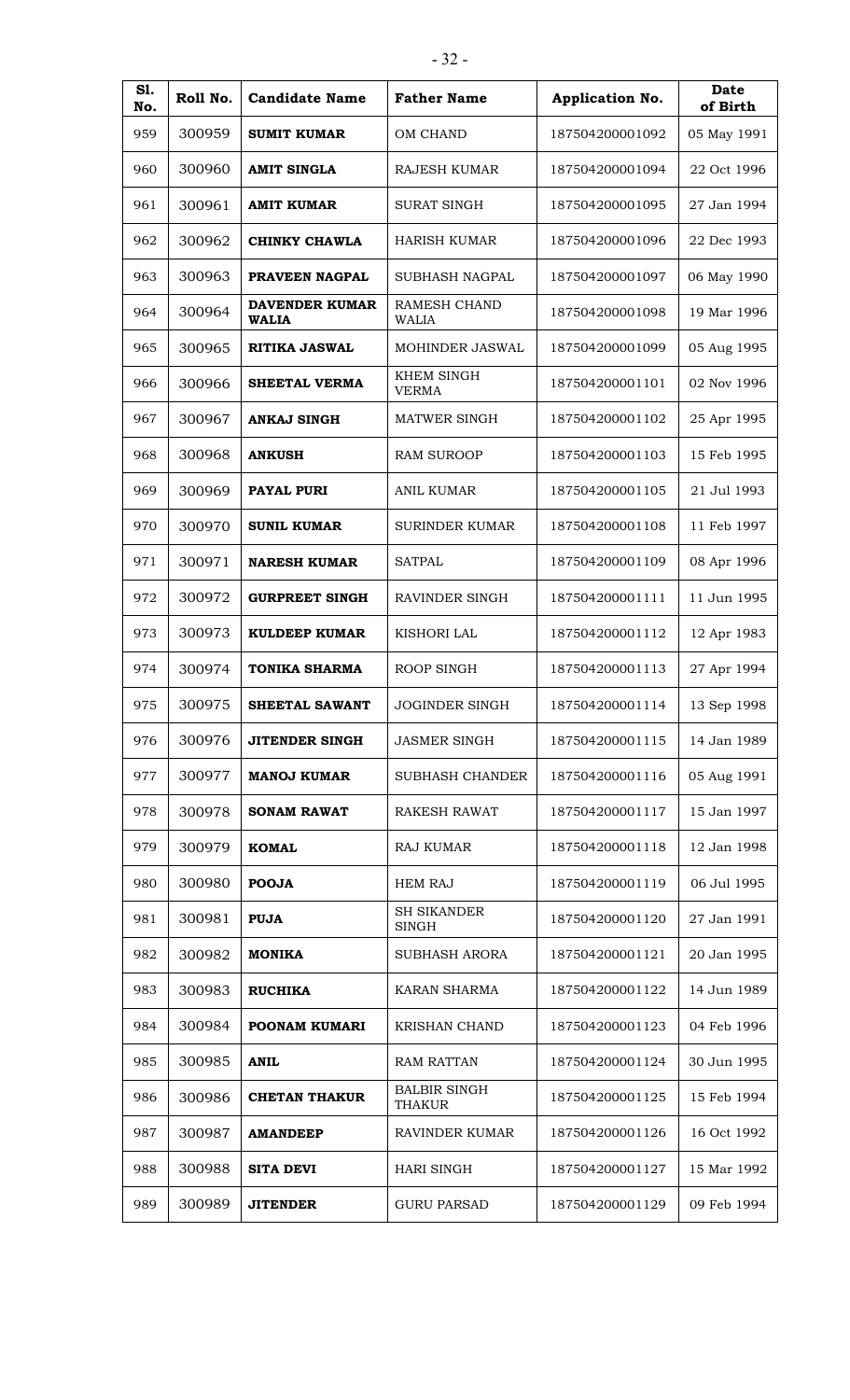| S1.<br>No. | Roll No. | <b>Candidate Name</b>                 | <b>Father Name</b>                   | Application No. | <b>Date</b><br>of Birth |
|------------|----------|---------------------------------------|--------------------------------------|-----------------|-------------------------|
| 959        | 300959   | <b>SUMIT KUMAR</b>                    | OM CHAND                             | 187504200001092 | 05 May 1991             |
| 960        | 300960   | <b>AMIT SINGLA</b>                    | <b>RAJESH KUMAR</b>                  | 187504200001094 | 22 Oct 1996             |
| 961        | 300961   | <b>AMIT KUMAR</b>                     | <b>SURAT SINGH</b>                   | 187504200001095 | 27 Jan 1994             |
| 962        | 300962   | <b>CHINKY CHAWLA</b>                  | <b>HARISH KUMAR</b>                  | 187504200001096 | 22 Dec 1993             |
| 963        | 300963   | PRAVEEN NAGPAL                        | <b>SUBHASH NAGPAL</b>                | 187504200001097 | 06 May 1990             |
| 964        | 300964   | <b>DAVENDER KUMAR</b><br><b>WALIA</b> | RAMESH CHAND<br><b>WALIA</b>         | 187504200001098 | 19 Mar 1996             |
| 965        | 300965   | <b>RITIKA JASWAL</b>                  | <b>MOHINDER JASWAL</b>               | 187504200001099 | 05 Aug 1995             |
| 966        | 300966   | <b>SHEETAL VERMA</b>                  | <b>KHEM SINGH</b><br><b>VERMA</b>    | 187504200001101 | 02 Nov 1996             |
| 967        | 300967   | <b>ANKAJ SINGH</b>                    | <b>MATWER SINGH</b>                  | 187504200001102 | 25 Apr 1995             |
| 968        | 300968   | <b>ANKUSH</b>                         | <b>RAM SUROOP</b>                    | 187504200001103 | 15 Feb 1995             |
| 969        | 300969   | <b>PAYAL PURI</b>                     | <b>ANIL KUMAR</b>                    | 187504200001105 | 21 Jul 1993             |
| 970        | 300970   | <b>SUNIL KUMAR</b>                    | <b>SURINDER KUMAR</b>                | 187504200001108 | 11 Feb 1997             |
| 971        | 300971   | <b>NARESH KUMAR</b>                   | <b>SATPAL</b>                        | 187504200001109 | 08 Apr 1996             |
| 972        | 300972   | <b>GURPREET SINGH</b>                 | RAVINDER SINGH                       | 187504200001111 | 11 Jun 1995             |
| 973        | 300973   | <b>KULDEEP KUMAR</b>                  | <b>KISHORI LAL</b>                   | 187504200001112 | 12 Apr 1983             |
| 974        | 300974   | <b>TONIKA SHARMA</b>                  | ROOP SINGH                           | 187504200001113 | 27 Apr 1994             |
| 975        | 300975   | SHEETAL SAWANT                        | <b>JOGINDER SINGH</b>                | 187504200001114 | 13 Sep 1998             |
| 976        | 300976   | <b>JITENDER SINGH</b>                 | <b>JASMER SINGH</b>                  | 187504200001115 | 14 Jan 1989             |
| 977        | 300977   | <b>MANOJ KUMAR</b>                    | SUBHASH CHANDER                      | 187504200001116 | 05 Aug 1991             |
| 978        | 300978   | <b>SONAM RAWAT</b>                    | <b>RAKESH RAWAT</b>                  | 187504200001117 | 15 Jan 1997             |
| 979        | 300979   | <b>KOMAL</b>                          | <b>RAJ KUMAR</b>                     | 187504200001118 | 12 Jan 1998             |
| 980        | 300980   | <b>POOJA</b>                          | <b>HEM RAJ</b>                       | 187504200001119 | 06 Jul 1995             |
| 981        | 300981   | <b>PUJA</b>                           | <b>SH SIKANDER</b><br><b>SINGH</b>   | 187504200001120 | 27 Jan 1991             |
| 982        | 300982   | <b>MONIKA</b>                         | SUBHASH ARORA                        | 187504200001121 | 20 Jan 1995             |
| 983        | 300983   | <b>RUCHIKA</b>                        | <b>KARAN SHARMA</b>                  | 187504200001122 | 14 Jun 1989             |
| 984        | 300984   | POONAM KUMARI                         | KRISHAN CHAND                        | 187504200001123 | 04 Feb 1996             |
| 985        | 300985   | <b>ANIL</b>                           | <b>RAM RATTAN</b>                    | 187504200001124 | 30 Jun 1995             |
| 986        | 300986   | <b>CHETAN THAKUR</b>                  | <b>BALBIR SINGH</b><br><b>THAKUR</b> | 187504200001125 | 15 Feb 1994             |
| 987        | 300987   | <b>AMANDEEP</b>                       | <b>RAVINDER KUMAR</b>                | 187504200001126 | 16 Oct 1992             |
| 988        | 300988   | <b>SITA DEVI</b>                      | HARI SINGH                           | 187504200001127 | 15 Mar 1992             |
| 989        | 300989   | <b>JITENDER</b>                       | <b>GURU PARSAD</b>                   | 187504200001129 | 09 Feb 1994             |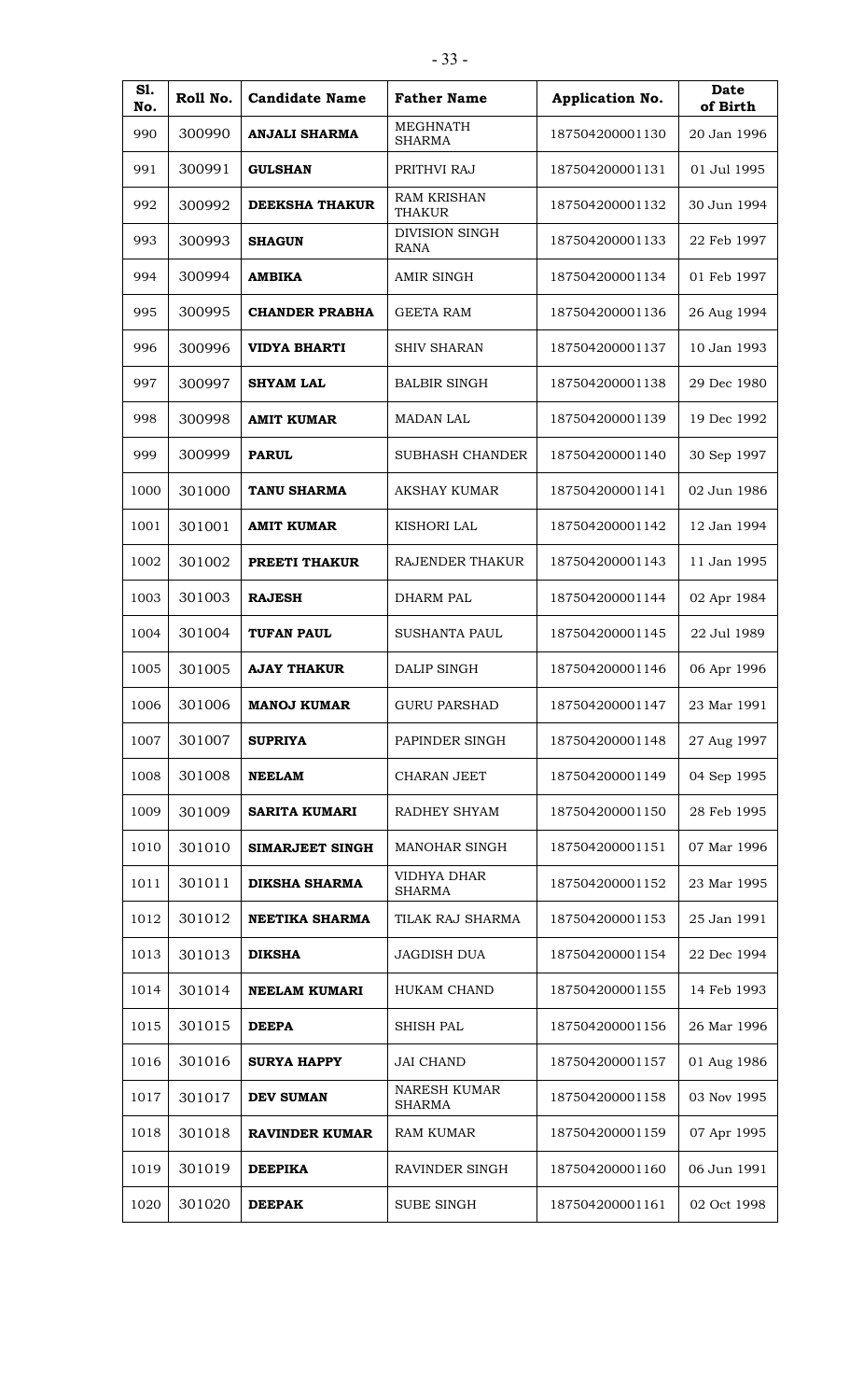| S1.<br>No. | Roll No. | <b>Candidate Name</b> | <b>Father Name</b>                   | Application No. | <b>Date</b><br>of Birth |
|------------|----------|-----------------------|--------------------------------------|-----------------|-------------------------|
| 990        | 300990   | ANJALI SHARMA         | MEGHNATH<br><b>SHARMA</b>            | 187504200001130 | 20 Jan 1996             |
| 991        | 300991   | <b>GULSHAN</b>        | PRITHVI RAJ                          | 187504200001131 | 01 Jul 1995             |
| 992        | 300992   | <b>DEEKSHA THAKUR</b> | <b>RAM KRISHAN</b><br><b>THAKUR</b>  | 187504200001132 | 30 Jun 1994             |
| 993        | 300993   | <b>SHAGUN</b>         | <b>DIVISION SINGH</b><br><b>RANA</b> | 187504200001133 | 22 Feb 1997             |
| 994        | 300994   | <b>AMBIKA</b>         | <b>AMIR SINGH</b>                    | 187504200001134 | 01 Feb 1997             |
| 995        | 300995   | <b>CHANDER PRABHA</b> | <b>GEETA RAM</b>                     | 187504200001136 | 26 Aug 1994             |
| 996        | 300996   | <b>VIDYA BHARTI</b>   | <b>SHIV SHARAN</b>                   | 187504200001137 | 10 Jan 1993             |
| 997        | 300997   | <b>SHYAM LAL</b>      | <b>BALBIR SINGH</b>                  | 187504200001138 | 29 Dec 1980             |
| 998        | 300998   | <b>AMIT KUMAR</b>     | <b>MADAN LAL</b>                     | 187504200001139 | 19 Dec 1992             |
| 999        | 300999   | <b>PARUL</b>          | <b>SUBHASH CHANDER</b>               | 187504200001140 | 30 Sep 1997             |
| 1000       | 301000   | <b>TANU SHARMA</b>    | <b>AKSHAY KUMAR</b>                  | 187504200001141 | 02 Jun 1986             |
| 1001       | 301001   | <b>AMIT KUMAR</b>     | <b>KISHORI LAL</b>                   | 187504200001142 | 12 Jan 1994             |
| 1002       | 301002   | PREETI THAKUR         | RAJENDER THAKUR                      | 187504200001143 | 11 Jan 1995             |
| 1003       | 301003   | <b>RAJESH</b>         | <b>DHARM PAL</b>                     | 187504200001144 | 02 Apr 1984             |
| 1004       | 301004   | <b>TUFAN PAUL</b>     | SUSHANTA PAUL                        | 187504200001145 | 22 Jul 1989             |
| 1005       | 301005   | <b>AJAY THAKUR</b>    | <b>DALIP SINGH</b>                   | 187504200001146 | 06 Apr 1996             |
| 1006       | 301006   | <b>MANOJ KUMAR</b>    | <b>GURU PARSHAD</b>                  | 187504200001147 | 23 Mar 1991             |
| 1007       | 301007   | <b>SUPRIYA</b>        | PAPINDER SINGH                       | 187504200001148 | 27 Aug 1997             |
| 1008       | 301008   | <b>NEELAM</b>         | CHARAN JEET                          | 187504200001149 | 04 Sep 1995             |
| 1009       | 301009   | <b>SARITA KUMARI</b>  | RADHEY SHYAM                         | 187504200001150 | 28 Feb 1995             |
| 1010       | 301010   | SIMARJEET SINGH       | MANOHAR SINGH                        | 187504200001151 | 07 Mar 1996             |
| 1011       | 301011   | <b>DIKSHA SHARMA</b>  | VIDHYA DHAR<br><b>SHARMA</b>         | 187504200001152 | 23 Mar 1995             |
| 1012       | 301012   | <b>NEETIKA SHARMA</b> | TILAK RAJ SHARMA                     | 187504200001153 | 25 Jan 1991             |
| 1013       | 301013   | <b>DIKSHA</b>         | <b>JAGDISH DUA</b>                   | 187504200001154 | 22 Dec 1994             |
| 1014       | 301014   | <b>NEELAM KUMARI</b>  | <b>HUKAM CHAND</b>                   | 187504200001155 | 14 Feb 1993             |
| 1015       | 301015   | <b>DEEPA</b>          | SHISH PAL                            | 187504200001156 | 26 Mar 1996             |
| 1016       | 301016   | <b>SURYA HAPPY</b>    | <b>JAI CHAND</b>                     | 187504200001157 | 01 Aug 1986             |
| 1017       | 301017   | <b>DEV SUMAN</b>      | NARESH KUMAR<br><b>SHARMA</b>        | 187504200001158 | 03 Nov 1995             |
| 1018       | 301018   | <b>RAVINDER KUMAR</b> | RAM KUMAR                            | 187504200001159 | 07 Apr 1995             |
| 1019       | 301019   | <b>DEEPIKA</b>        | RAVINDER SINGH                       | 187504200001160 | 06 Jun 1991             |
| 1020       | 301020   | <b>DEEPAK</b>         | <b>SUBE SINGH</b>                    | 187504200001161 | 02 Oct 1998             |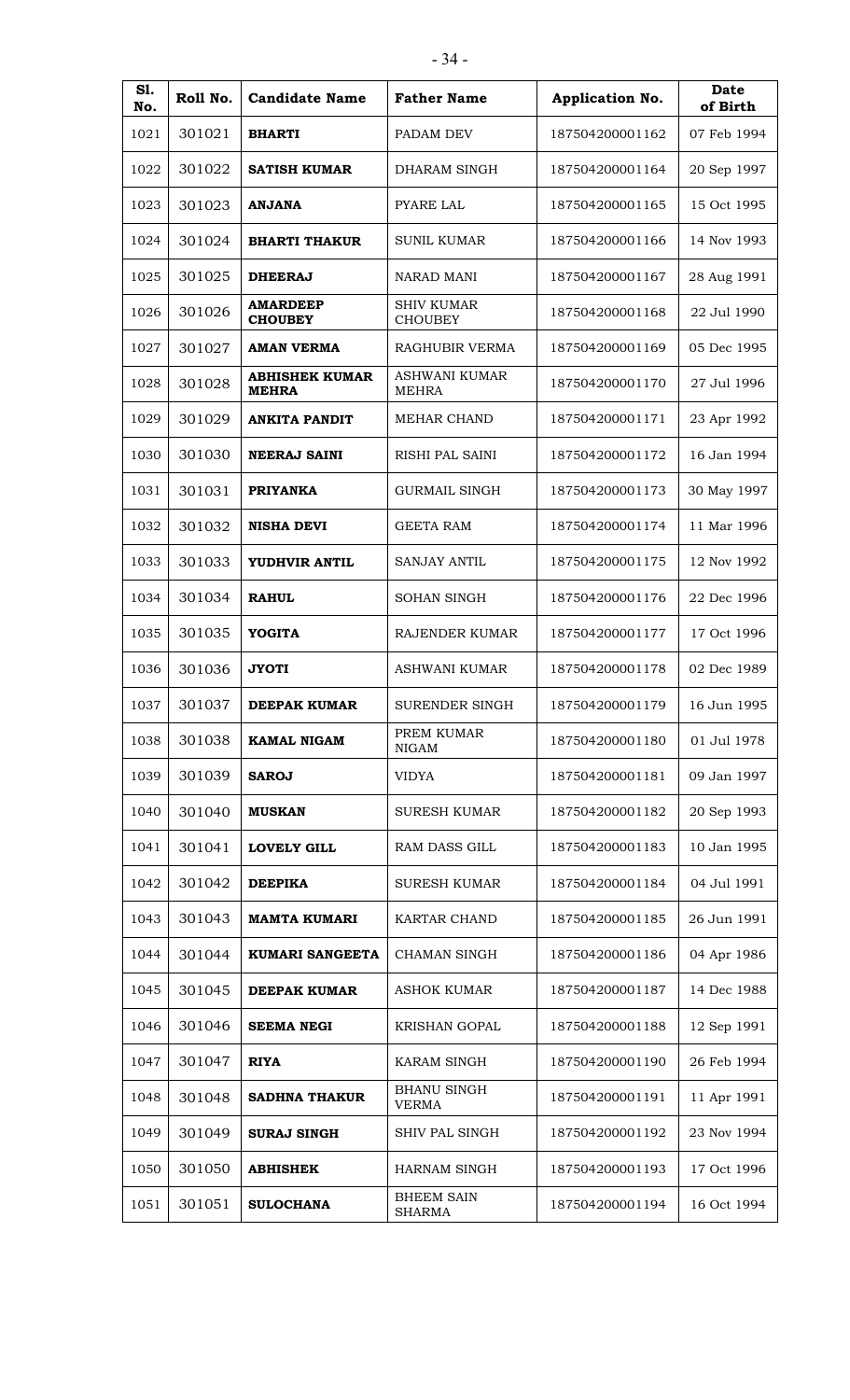| <b>S1.</b> | Roll No. | <b>Candidate Name</b>                 | <b>Father Name</b>                  | Application No. | <b>Date</b> |
|------------|----------|---------------------------------------|-------------------------------------|-----------------|-------------|
| No.        |          |                                       |                                     |                 | of Birth    |
| 1021       | 301021   | <b>BHARTI</b>                         | PADAM DEV                           | 187504200001162 | 07 Feb 1994 |
| 1022       | 301022   | <b>SATISH KUMAR</b>                   | DHARAM SINGH                        | 187504200001164 | 20 Sep 1997 |
| 1023       | 301023   | <b>ANJANA</b>                         | <b>PYARE LAL</b>                    | 187504200001165 | 15 Oct 1995 |
| 1024       | 301024   | <b>BHARTI THAKUR</b>                  | SUNIL KUMAR                         | 187504200001166 | 14 Nov 1993 |
| 1025       | 301025   | <b>DHEERAJ</b>                        | NARAD MANI                          | 187504200001167 | 28 Aug 1991 |
| 1026       | 301026   | <b>AMARDEEP</b><br><b>CHOUBEY</b>     | <b>SHIV KUMAR</b><br><b>CHOUBEY</b> | 187504200001168 | 22 Jul 1990 |
| 1027       | 301027   | <b>AMAN VERMA</b>                     | RAGHUBIR VERMA                      | 187504200001169 | 05 Dec 1995 |
| 1028       | 301028   | <b>ABHISHEK KUMAR</b><br><b>MEHRA</b> | ASHWANI KUMAR<br><b>MEHRA</b>       | 187504200001170 | 27 Jul 1996 |
| 1029       | 301029   | <b>ANKITA PANDIT</b>                  | <b>MEHAR CHAND</b>                  | 187504200001171 | 23 Apr 1992 |
| 1030       | 301030   | <b>NEERAJ SAINI</b>                   | <b>RISHI PAL SAINI</b>              | 187504200001172 | 16 Jan 1994 |
| 1031       | 301031   | <b>PRIYANKA</b>                       | GURMAIL SINGH                       | 187504200001173 | 30 May 1997 |
| 1032       | 301032   | <b>NISHA DEVI</b>                     | <b>GEETA RAM</b>                    | 187504200001174 | 11 Mar 1996 |
| 1033       | 301033   | YUDHVIR ANTIL                         | <b>SANJAY ANTIL</b>                 | 187504200001175 | 12 Nov 1992 |
| 1034       | 301034   | <b>RAHUL</b>                          | <b>SOHAN SINGH</b>                  | 187504200001176 | 22 Dec 1996 |
| 1035       | 301035   | <b>YOGITA</b>                         | RAJENDER KUMAR                      | 187504200001177 | 17 Oct 1996 |
| 1036       | 301036   | <b>JYOTI</b>                          | <b>ASHWANI KUMAR</b>                | 187504200001178 | 02 Dec 1989 |
| 1037       | 301037   | <b>DEEPAK KUMAR</b>                   | SURENDER SINGH                      | 187504200001179 | 16 Jun 1995 |
| 1038       | 301038   | <b>KAMAL NIGAM</b>                    | PREM KUMAR<br><b>NIGAM</b>          | 187504200001180 | 01 Jul 1978 |
| 1039       | 301039   | <b>SAROJ</b>                          | <b>VIDYA</b>                        | 187504200001181 | 09 Jan 1997 |
| 1040       | 301040   | <b>MUSKAN</b>                         | <b>SURESH KUMAR</b>                 | 187504200001182 | 20 Sep 1993 |
| 1041       | 301041   | <b>LOVELY GILL</b>                    | <b>RAM DASS GILL</b>                | 187504200001183 | 10 Jan 1995 |
| 1042       | 301042   | <b>DEEPIKA</b>                        | <b>SURESH KUMAR</b>                 | 187504200001184 | 04 Jul 1991 |
| 1043       | 301043   | <b>MAMTA KUMARI</b>                   | KARTAR CHAND                        | 187504200001185 | 26 Jun 1991 |
| 1044       | 301044   | <b>KUMARI SANGEETA</b>                | CHAMAN SINGH                        | 187504200001186 | 04 Apr 1986 |
| 1045       | 301045   | <b>DEEPAK KUMAR</b>                   | ASHOK KUMAR                         | 187504200001187 | 14 Dec 1988 |
| 1046       | 301046   | <b>SEEMA NEGI</b>                     | <b>KRISHAN GOPAL</b>                | 187504200001188 | 12 Sep 1991 |
| 1047       | 301047   | <b>RIYA</b>                           | KARAM SINGH                         | 187504200001190 | 26 Feb 1994 |
| 1048       | 301048   | <b>SADHNA THAKUR</b>                  | <b>BHANU SINGH</b><br><b>VERMA</b>  | 187504200001191 | 11 Apr 1991 |
| 1049       | 301049   | <b>SURAJ SINGH</b>                    | SHIV PAL SINGH                      | 187504200001192 | 23 Nov 1994 |
| 1050       | 301050   | <b>ABHISHEK</b>                       | HARNAM SINGH                        | 187504200001193 | 17 Oct 1996 |
| 1051       | 301051   | <b>SULOCHANA</b>                      | <b>BHEEM SAIN</b><br><b>SHARMA</b>  | 187504200001194 | 16 Oct 1994 |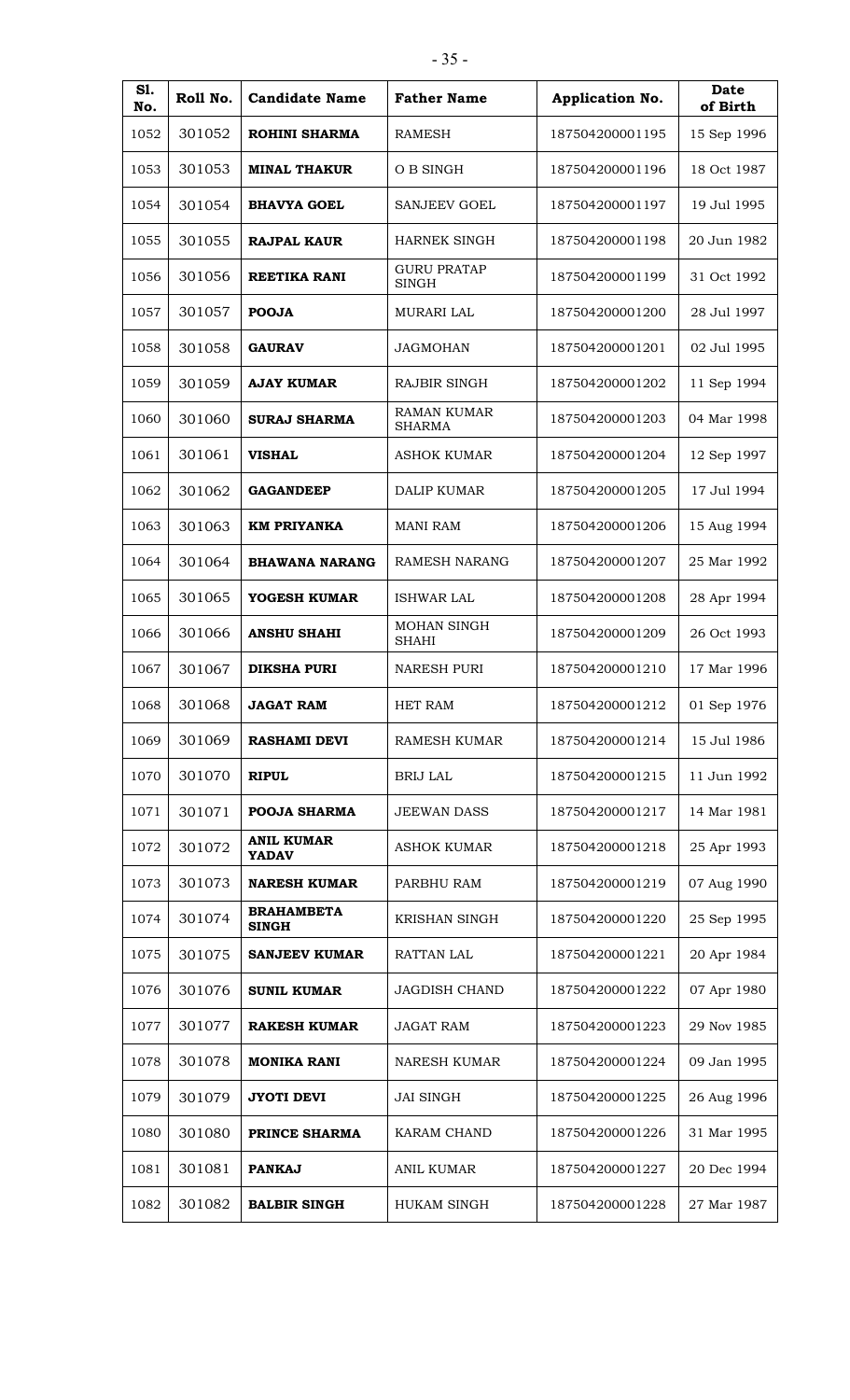| S1.<br>No. | Roll No. | <b>Candidate Name</b>             | <b>Father Name</b>                  | Application No. | <b>Date</b><br>of Birth |
|------------|----------|-----------------------------------|-------------------------------------|-----------------|-------------------------|
| 1052       | 301052   | <b>ROHINI SHARMA</b>              | <b>RAMESH</b>                       | 187504200001195 | 15 Sep 1996             |
| 1053       | 301053   | <b>MINAL THAKUR</b>               | O B SINGH                           | 187504200001196 | 18 Oct 1987             |
| 1054       | 301054   | <b>BHAVYA GOEL</b>                | <b>SANJEEV GOEL</b>                 | 187504200001197 | 19 Jul 1995             |
| 1055       | 301055   | <b>RAJPAL KAUR</b>                | <b>HARNEK SINGH</b>                 | 187504200001198 | 20 Jun 1982             |
| 1056       | 301056   | <b>REETIKA RANI</b>               | <b>GURU PRATAP</b><br><b>SINGH</b>  | 187504200001199 | 31 Oct 1992             |
| 1057       | 301057   | <b>POOJA</b>                      | <b>MURARI LAL</b>                   | 187504200001200 | 28 Jul 1997             |
| 1058       | 301058   | <b>GAURAV</b>                     | <b>JAGMOHAN</b>                     | 187504200001201 | 02 Jul 1995             |
| 1059       | 301059   | <b>AJAY KUMAR</b>                 | RAJBIR SINGH                        | 187504200001202 | 11 Sep 1994             |
| 1060       | 301060   | <b>SURAJ SHARMA</b>               | <b>RAMAN KUMAR</b><br><b>SHARMA</b> | 187504200001203 | 04 Mar 1998             |
| 1061       | 301061   | <b>VISHAL</b>                     | <b>ASHOK KUMAR</b>                  | 187504200001204 | 12 Sep 1997             |
| 1062       | 301062   | <b>GAGANDEEP</b>                  | <b>DALIP KUMAR</b>                  | 187504200001205 | 17 Jul 1994             |
| 1063       | 301063   | <b>KM PRIYANKA</b>                | <b>MANI RAM</b>                     | 187504200001206 | 15 Aug 1994             |
| 1064       | 301064   | <b>BHAWANA NARANG</b>             | <b>RAMESH NARANG</b>                | 187504200001207 | 25 Mar 1992             |
| 1065       | 301065   | YOGESH KUMAR                      | <b>ISHWAR LAL</b>                   | 187504200001208 | 28 Apr 1994             |
| 1066       | 301066   | <b>ANSHU SHAHI</b>                | MOHAN SINGH<br><b>SHAHI</b>         | 187504200001209 | 26 Oct 1993             |
| 1067       | 301067   | <b>DIKSHA PURI</b>                | <b>NARESH PURI</b>                  | 187504200001210 | 17 Mar 1996             |
| 1068       | 301068   | <b>JAGAT RAM</b>                  | HET RAM                             | 187504200001212 | 01 Sep 1976             |
| 1069       | 301069   | <b>RASHAMI DEVI</b>               | RAMESH KUMAR                        | 187504200001214 | 15 Jul 1986             |
| 1070       | 301070   | <b>RIPUL</b>                      | <b>BRIJ LAL</b>                     | 187504200001215 | 11 Jun 1992             |
| 1071       | 301071   | <b>POOJA SHARMA</b>               | <b>JEEWAN DASS</b>                  | 187504200001217 | 14 Mar 1981             |
| 1072       | 301072   | <b>ANIL KUMAR</b><br><b>YADAV</b> | <b>ASHOK KUMAR</b>                  | 187504200001218 | 25 Apr 1993             |
| 1073       | 301073   | <b>NARESH KUMAR</b>               | PARBHU RAM                          | 187504200001219 | 07 Aug 1990             |
| 1074       | 301074   | <b>BRAHAMBETA</b><br><b>SINGH</b> | KRISHAN SINGH                       | 187504200001220 | 25 Sep 1995             |
| 1075       | 301075   | <b>SANJEEV KUMAR</b>              | RATTAN LAL                          | 187504200001221 | 20 Apr 1984             |
| 1076       | 301076   | <b>SUNIL KUMAR</b>                | <b>JAGDISH CHAND</b>                | 187504200001222 | 07 Apr 1980             |
| 1077       | 301077   | <b>RAKESH KUMAR</b>               | <b>JAGAT RAM</b>                    | 187504200001223 | 29 Nov 1985             |
| 1078       | 301078   | <b>MONIKA RANI</b>                | <b>NARESH KUMAR</b>                 | 187504200001224 | 09 Jan 1995             |
| 1079       | 301079   | <b>JYOTI DEVI</b>                 | <b>JAI SINGH</b>                    | 187504200001225 | 26 Aug 1996             |
| 1080       | 301080   | PRINCE SHARMA                     | KARAM CHAND                         | 187504200001226 | 31 Mar 1995             |
| 1081       | 301081   | <b>PANKAJ</b>                     | ANIL KUMAR                          | 187504200001227 | 20 Dec 1994             |
| 1082       | 301082   | <b>BALBIR SINGH</b>               | HUKAM SINGH                         | 187504200001228 | 27 Mar 1987             |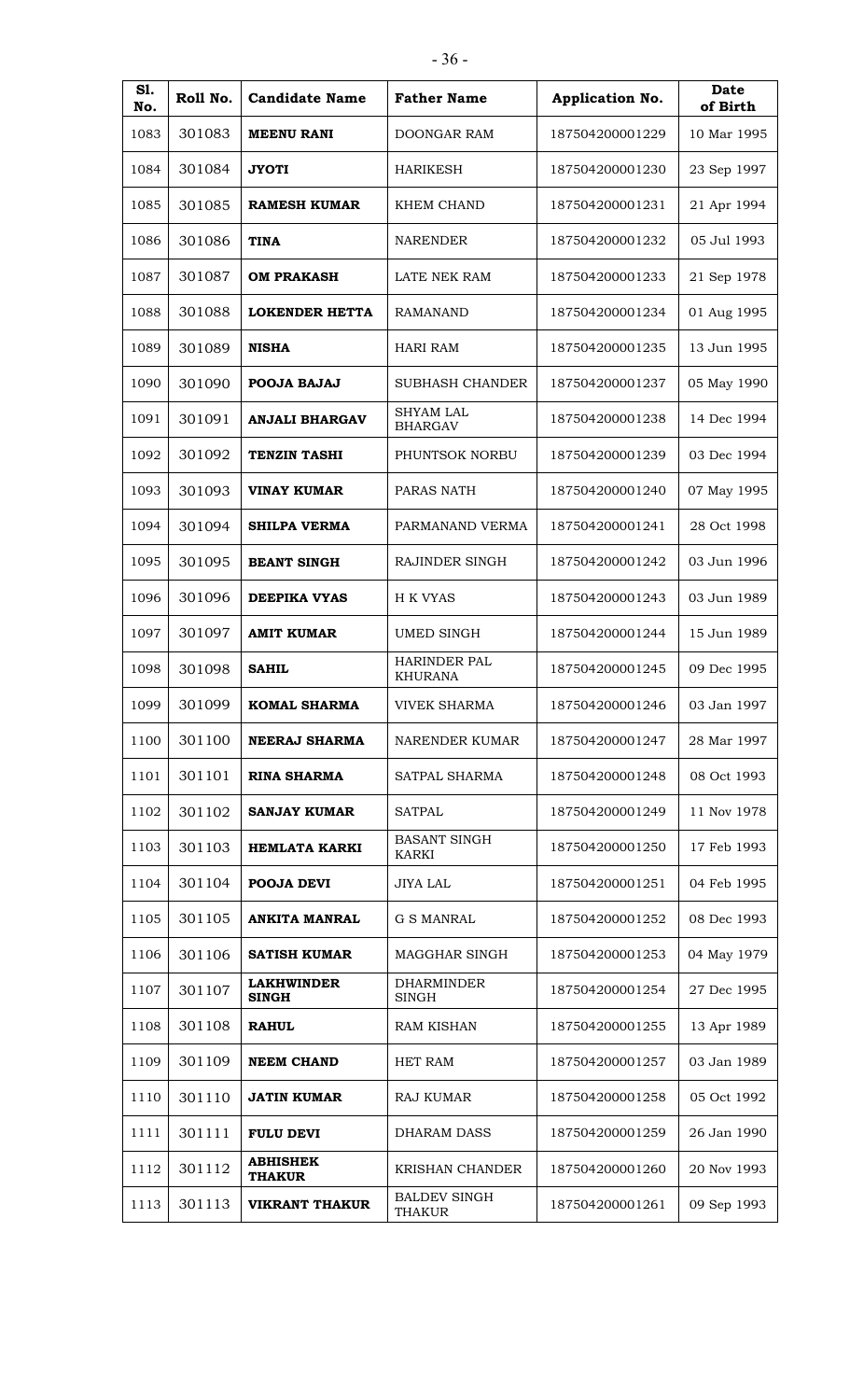| ٩<br>41<br>۰.<br>v<br>÷ |  |
|-------------------------|--|
|-------------------------|--|

| S1.<br>No. | Roll No. | <b>Candidate Name</b>             | <b>Father Name</b>                 | Application No. | Date<br>of Birth |
|------------|----------|-----------------------------------|------------------------------------|-----------------|------------------|
| 1083       | 301083   | <b>MEENU RANI</b>                 | DOONGAR RAM                        | 187504200001229 | 10 Mar 1995      |
| 1084       | 301084   | <b>JYOTI</b>                      | <b>HARIKESH</b>                    | 187504200001230 | 23 Sep 1997      |
| 1085       | 301085   | <b>RAMESH KUMAR</b>               | <b>KHEM CHAND</b>                  | 187504200001231 | 21 Apr 1994      |
| 1086       | 301086   | <b>TINA</b>                       | <b>NARENDER</b>                    | 187504200001232 | 05 Jul 1993      |
| 1087       | 301087   | <b>OM PRAKASH</b>                 | LATE NEK RAM                       | 187504200001233 | 21 Sep 1978      |
| 1088       | 301088   | <b>LOKENDER HETTA</b>             | <b>RAMANAND</b>                    | 187504200001234 | 01 Aug 1995      |
| 1089       | 301089   | <b>NISHA</b>                      | <b>HARI RAM</b>                    | 187504200001235 | 13 Jun 1995      |
| 1090       | 301090   | POOJA BAJAJ                       | <b>SUBHASH CHANDER</b>             | 187504200001237 | 05 May 1990      |
| 1091       | 301091   | <b>ANJALI BHARGAV</b>             | <b>SHYAM LAL</b><br><b>BHARGAV</b> | 187504200001238 | 14 Dec 1994      |
| 1092       | 301092   | <b>TENZIN TASHI</b>               | PHUNTSOK NORBU                     | 187504200001239 | 03 Dec 1994      |
| 1093       | 301093   | <b>VINAY KUMAR</b>                | PARAS NATH                         | 187504200001240 | 07 May 1995      |
| 1094       | 301094   | <b>SHILPA VERMA</b>               | PARMANAND VERMA                    | 187504200001241 | 28 Oct 1998      |
| 1095       | 301095   | <b>BEANT SINGH</b>                | RAJINDER SINGH                     | 187504200001242 | 03 Jun 1996      |
| 1096       | 301096   | <b>DEEPIKA VYAS</b>               | H K VYAS                           | 187504200001243 | 03 Jun 1989      |
| 1097       | 301097   | <b>AMIT KUMAR</b>                 | <b>UMED SINGH</b>                  | 187504200001244 | 15 Jun 1989      |
| 1098       | 301098   | <b>SAHIL</b>                      | HARINDER PAL<br><b>KHURANA</b>     | 187504200001245 | 09 Dec 1995      |
| 1099       | 301099   | <b>KOMAL SHARMA</b>               | <b>VIVEK SHARMA</b>                | 187504200001246 | 03 Jan 1997      |
| 1100       | 301100   | <b>NEERAJ SHARMA</b>              | NARENDER KUMAR                     | 187504200001247 | 28 Mar 1997      |
| 1101       | 301101   | <b>RINA SHARMA</b>                | SATPAL SHARMA                      | 187504200001248 | 08 Oct 1993      |
| 1102       | 301102   | <b>SANJAY KUMAR</b>               | <b>SATPAL</b>                      | 187504200001249 | 11 Nov 1978      |
| 1103       | 301103   | HEMLATA KARKI                     | <b>BASANT SINGH</b><br>KARKI       | 187504200001250 | 17 Feb 1993      |
| 1104       | 301104   | POOJA DEVI                        | <b>JIYA LAL</b>                    | 187504200001251 | 04 Feb 1995      |
| 1105       | 301105   | <b>ANKITA MANRAL</b>              | G S MANRAL                         | 187504200001252 | 08 Dec 1993      |
| 1106       | 301106   | <b>SATISH KUMAR</b>               | MAGGHAR SINGH                      | 187504200001253 | 04 May 1979      |
| 1107       | 301107   | <b>LAKHWINDER</b><br><b>SINGH</b> | <b>DHARMINDER</b><br>SINGH         | 187504200001254 | 27 Dec 1995      |
| 1108       | 301108   | <b>RAHUL</b>                      | <b>RAM KISHAN</b>                  | 187504200001255 | 13 Apr 1989      |
| 1109       | 301109   | <b>NEEM CHAND</b>                 | <b>HET RAM</b>                     | 187504200001257 | 03 Jan 1989      |
| 1110       | 301110   | <b>JATIN KUMAR</b>                | <b>RAJ KUMAR</b>                   | 187504200001258 | 05 Oct 1992      |
| 1111       | 301111   | <b>FULU DEVI</b>                  | <b>DHARAM DASS</b>                 | 187504200001259 | 26 Jan 1990      |
| 1112       | 301112   | <b>ABHISHEK</b><br><b>THAKUR</b>  | <b>KRISHAN CHANDER</b>             | 187504200001260 | 20 Nov 1993      |
| 1113       | 301113   | <b>VIKRANT THAKUR</b>             | <b>BALDEV SINGH</b><br>THAKUR      | 187504200001261 | 09 Sep 1993      |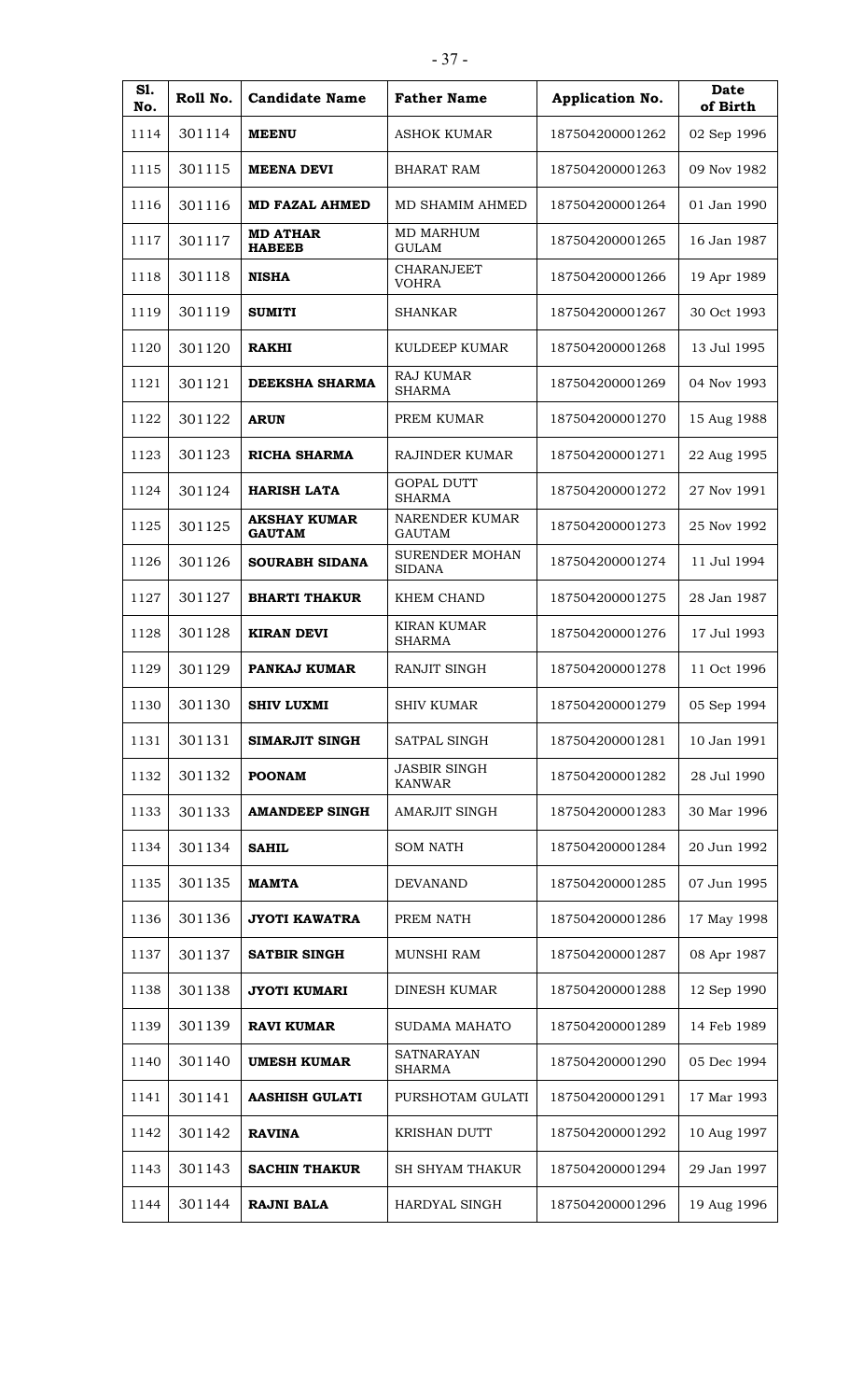| S1.<br>No. | Roll No. | <b>Candidate Name</b>                | <b>Father Name</b>                     | Application No. | Date<br>of Birth |
|------------|----------|--------------------------------------|----------------------------------------|-----------------|------------------|
| 1114       | 301114   | <b>MEENU</b>                         | ASHOK KUMAR                            | 187504200001262 | 02 Sep 1996      |
| 1115       | 301115   | <b>MEENA DEVI</b>                    | <b>BHARAT RAM</b>                      | 187504200001263 | 09 Nov 1982      |
| 1116       | 301116   | <b>MD FAZAL AHMED</b>                | MD SHAMIM AHMED                        | 187504200001264 | 01 Jan 1990      |
| 1117       | 301117   | <b>MD ATHAR</b><br><b>HABEEB</b>     | <b>MD MARHUM</b><br><b>GULAM</b>       | 187504200001265 | 16 Jan 1987      |
| 1118       | 301118   | <b>NISHA</b>                         | <b>CHARANJEET</b><br><b>VOHRA</b>      | 187504200001266 | 19 Apr 1989      |
| 1119       | 301119   | <b>SUMITI</b>                        | <b>SHANKAR</b>                         | 187504200001267 | 30 Oct 1993      |
| 1120       | 301120   | <b>RAKHI</b>                         | KULDEEP KUMAR                          | 187504200001268 | 13 Jul 1995      |
| 1121       | 301121   | DEEKSHA SHARMA                       | <b>RAJ KUMAR</b><br><b>SHARMA</b>      | 187504200001269 | 04 Nov 1993      |
| 1122       | 301122   | <b>ARUN</b>                          | PREM KUMAR                             | 187504200001270 | 15 Aug 1988      |
| 1123       | 301123   | <b>RICHA SHARMA</b>                  | RAJINDER KUMAR                         | 187504200001271 | 22 Aug 1995      |
| 1124       | 301124   | <b>HARISH LATA</b>                   | <b>GOPAL DUTT</b><br><b>SHARMA</b>     | 187504200001272 | 27 Nov 1991      |
| 1125       | 301125   | <b>AKSHAY KUMAR</b><br><b>GAUTAM</b> | NARENDER KUMAR<br><b>GAUTAM</b>        | 187504200001273 | 25 Nov 1992      |
| 1126       | 301126   | SOURABH SIDANA                       | <b>SURENDER MOHAN</b><br><b>SIDANA</b> | 187504200001274 | 11 Jul 1994      |
| 1127       | 301127   | <b>BHARTI THAKUR</b>                 | KHEM CHAND                             | 187504200001275 | 28 Jan 1987      |
| 1128       | 301128   | <b>KIRAN DEVI</b>                    | <b>KIRAN KUMAR</b><br><b>SHARMA</b>    | 187504200001276 | 17 Jul 1993      |
| 1129       | 301129   | PANKAJ KUMAR                         | <b>RANJIT SINGH</b>                    | 187504200001278 | 11 Oct 1996      |
| 1130       | 301130   | <b>SHIV LUXMI</b>                    | <b>SHIV KUMAR</b>                      | 187504200001279 | 05 Sep 1994      |
| 1131       | 301131   | SIMARJIT SINGH                       | SATPAL SINGH                           | 187504200001281 | 10 Jan 1991      |
| 1132       | 301132   | <b>POONAM</b>                        | <b>JASBIR SINGH</b><br><b>KANWAR</b>   | 187504200001282 | 28 Jul 1990      |
| 1133       | 301133   | <b>AMANDEEP SINGH</b>                | AMARJIT SINGH                          | 187504200001283 | 30 Mar 1996      |
| 1134       | 301134   | <b>SAHIL</b>                         | <b>SOM NATH</b>                        | 187504200001284 | 20 Jun 1992      |
| 1135       | 301135   | <b>MAMTA</b>                         | <b>DEVANAND</b>                        | 187504200001285 | 07 Jun 1995      |
| 1136       | 301136   | <b>JYOTI KAWATRA</b>                 | PREM NATH                              | 187504200001286 | 17 May 1998      |
| 1137       | 301137   | <b>SATBIR SINGH</b>                  | <b>MUNSHI RAM</b>                      | 187504200001287 | 08 Apr 1987      |
| 1138       | 301138   | <b>JYOTI KUMARI</b>                  | DINESH KUMAR                           | 187504200001288 | 12 Sep 1990      |
| 1139       | 301139   | <b>RAVI KUMAR</b>                    | SUDAMA MAHATO                          | 187504200001289 | 14 Feb 1989      |
| 1140       | 301140   | <b>UMESH KUMAR</b>                   | SATNARAYAN<br><b>SHARMA</b>            | 187504200001290 | 05 Dec 1994      |
| 1141       | 301141   | <b>AASHISH GULATI</b>                | PURSHOTAM GULATI                       | 187504200001291 | 17 Mar 1993      |
| 1142       | 301142   | <b>RAVINA</b>                        | <b>KRISHAN DUTT</b>                    | 187504200001292 | 10 Aug 1997      |
| 1143       | 301143   | <b>SACHIN THAKUR</b>                 | <b>SH SHYAM THAKUR</b>                 | 187504200001294 | 29 Jan 1997      |
| 1144       | 301144   | <b>RAJNI BALA</b>                    | HARDYAL SINGH                          | 187504200001296 | 19 Aug 1996      |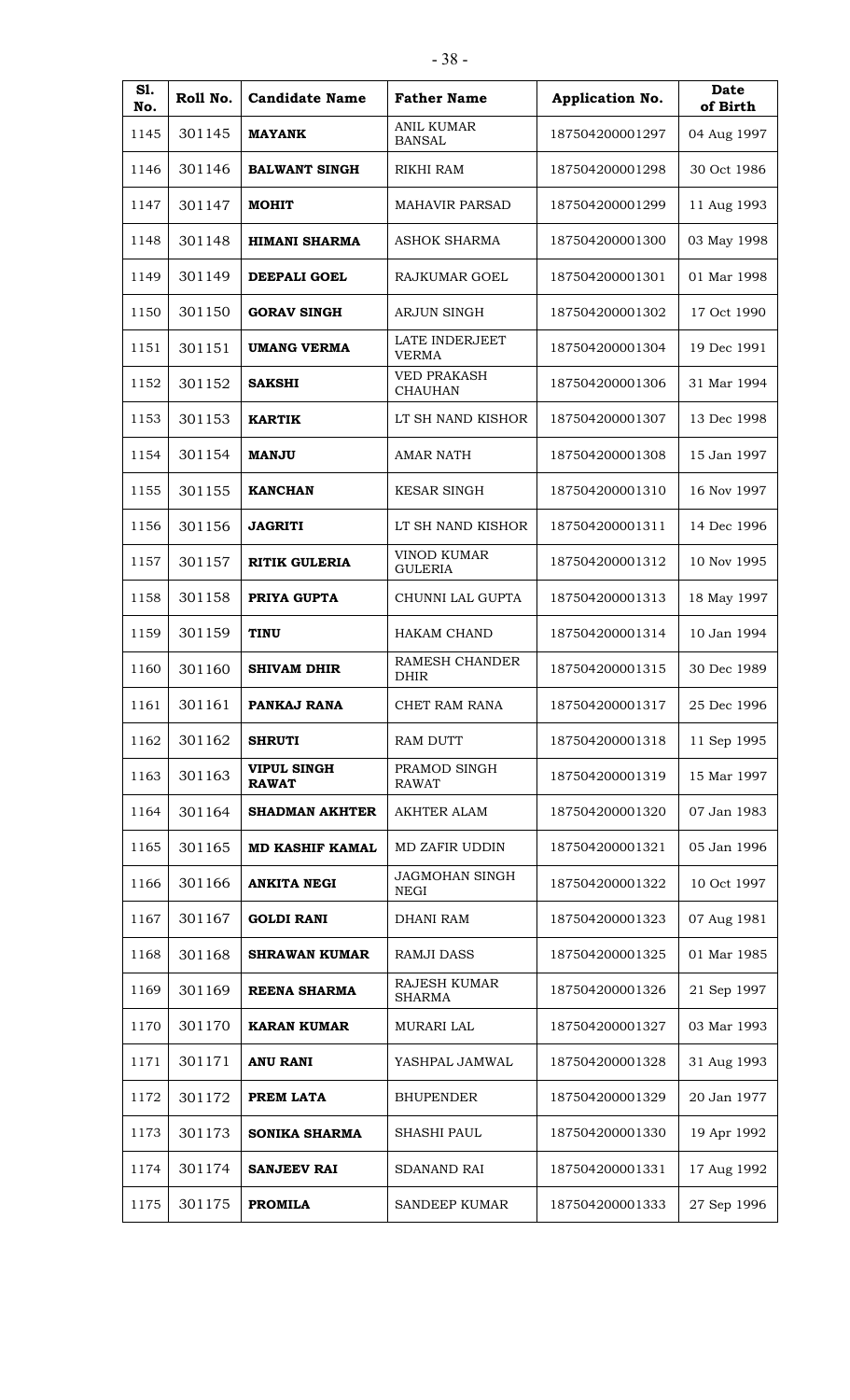| S1.<br>No. | Roll No. | <b>Candidate Name</b>              | <b>Father Name</b>                   | Application No. | Date<br>of Birth |
|------------|----------|------------------------------------|--------------------------------------|-----------------|------------------|
| 1145       | 301145   | <b>MAYANK</b>                      | <b>ANIL KUMAR</b><br><b>BANSAL</b>   | 187504200001297 | 04 Aug 1997      |
| 1146       | 301146   | <b>BALWANT SINGH</b>               | RIKHI RAM                            | 187504200001298 | 30 Oct 1986      |
| 1147       | 301147   | <b>MOHIT</b>                       | <b>MAHAVIR PARSAD</b>                | 187504200001299 | 11 Aug 1993      |
| 1148       | 301148   | <b>HIMANI SHARMA</b>               | <b>ASHOK SHARMA</b>                  | 187504200001300 | 03 May 1998      |
| 1149       | 301149   | <b>DEEPALI GOEL</b>                | <b>RAJKUMAR GOEL</b>                 | 187504200001301 | 01 Mar 1998      |
| 1150       | 301150   | <b>GORAV SINGH</b>                 | <b>ARJUN SINGH</b>                   | 187504200001302 | 17 Oct 1990      |
| 1151       | 301151   | <b>UMANG VERMA</b>                 | LATE INDERJEET<br><b>VERMA</b>       | 187504200001304 | 19 Dec 1991      |
| 1152       | 301152   | <b>SAKSHI</b>                      | <b>VED PRAKASH</b><br><b>CHAUHAN</b> | 187504200001306 | 31 Mar 1994      |
| 1153       | 301153   | <b>KARTIK</b>                      | LT SH NAND KISHOR                    | 187504200001307 | 13 Dec 1998      |
| 1154       | 301154   | <b>MANJU</b>                       | <b>AMAR NATH</b>                     | 187504200001308 | 15 Jan 1997      |
| 1155       | 301155   | <b>KANCHAN</b>                     | <b>KESAR SINGH</b>                   | 187504200001310 | 16 Nov 1997      |
| 1156       | 301156   | <b>JAGRITI</b>                     | LT SH NAND KISHOR                    | 187504200001311 | 14 Dec 1996      |
| 1157       | 301157   | <b>RITIK GULERIA</b>               | VINOD KUMAR<br><b>GULERIA</b>        | 187504200001312 | 10 Nov 1995      |
| 1158       | 301158   | PRIYA GUPTA                        | CHUNNI LAL GUPTA                     | 187504200001313 | 18 May 1997      |
| 1159       | 301159   | <b>TINU</b>                        | <b>HAKAM CHAND</b>                   | 187504200001314 | 10 Jan 1994      |
| 1160       | 301160   | <b>SHIVAM DHIR</b>                 | RAMESH CHANDER<br><b>DHIR</b>        | 187504200001315 | 30 Dec 1989      |
| 1161       | 301161   | PANKAJ RANA                        | CHET RAM RANA                        | 187504200001317 | 25 Dec 1996      |
| 1162       | 301162   | <b>SHRUTI</b>                      | RAM DUTT                             | 187504200001318 | 11 Sep 1995      |
| 1163       | 301163   | <b>VIPUL SINGH</b><br><b>RAWAT</b> | PRAMOD SINGH<br><b>RAWAT</b>         | 187504200001319 | 15 Mar 1997      |
| 1164       | 301164   | <b>SHADMAN AKHTER</b>              | AKHTER ALAM                          | 187504200001320 | 07 Jan 1983      |
| 1165       | 301165   | <b>MD KASHIF KAMAL</b>             | MD ZAFIR UDDIN                       | 187504200001321 | 05 Jan 1996      |
| 1166       | 301166   | <b>ANKITA NEGI</b>                 | <b>JAGMOHAN SINGH</b><br>NEGI        | 187504200001322 | 10 Oct 1997      |
| 1167       | 301167   | <b>GOLDI RANI</b>                  | <b>DHANI RAM</b>                     | 187504200001323 | 07 Aug 1981      |
| 1168       | 301168   | <b>SHRAWAN KUMAR</b>               | <b>RAMJI DASS</b>                    | 187504200001325 | 01 Mar 1985      |
| 1169       | 301169   | <b>REENA SHARMA</b>                | RAJESH KUMAR<br>SHARMA               | 187504200001326 | 21 Sep 1997      |
| 1170       | 301170   | <b>KARAN KUMAR</b>                 | MURARI LAL                           | 187504200001327 | 03 Mar 1993      |
| 1171       | 301171   | <b>ANU RANI</b>                    | YASHPAL JAMWAL                       | 187504200001328 | 31 Aug 1993      |
| 1172       | 301172   | PREM LATA                          | <b>BHUPENDER</b>                     | 187504200001329 | 20 Jan 1977      |
| 1173       | 301173   | <b>SONIKA SHARMA</b>               | <b>SHASHI PAUL</b>                   | 187504200001330 | 19 Apr 1992      |
| 1174       | 301174   | <b>SANJEEV RAI</b>                 | <b>SDANAND RAI</b>                   | 187504200001331 | 17 Aug 1992      |
| 1175       | 301175   | <b>PROMILA</b>                     | <b>SANDEEP KUMAR</b>                 | 187504200001333 | 27 Sep 1996      |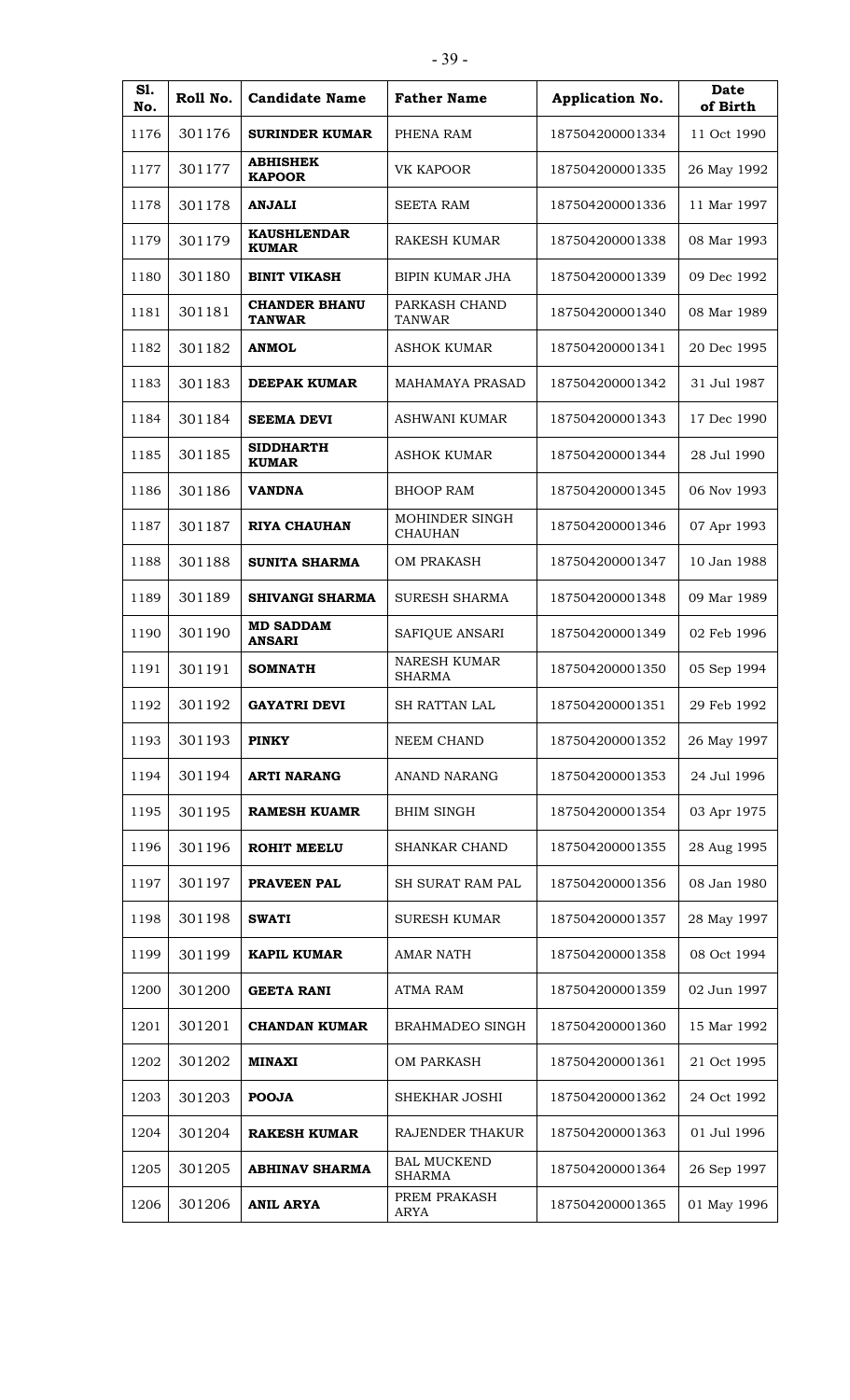| S1.<br>No. | Roll No. | <b>Candidate Name</b>                 | <b>Father Name</b>                   | Application No. | Date<br>of Birth |
|------------|----------|---------------------------------------|--------------------------------------|-----------------|------------------|
| 1176       | 301176   | <b>SURINDER KUMAR</b>                 | PHENA RAM                            | 187504200001334 | 11 Oct 1990      |
| 1177       | 301177   | <b>ABHISHEK</b><br><b>KAPOOR</b>      | VK KAPOOR                            | 187504200001335 | 26 May 1992      |
| 1178       | 301178   | <b>ANJALI</b>                         | <b>SEETA RAM</b>                     | 187504200001336 | 11 Mar 1997      |
| 1179       | 301179   | <b>KAUSHLENDAR</b><br><b>KUMAR</b>    | <b>RAKESH KUMAR</b>                  | 187504200001338 | 08 Mar 1993      |
| 1180       | 301180   | <b>BINIT VIKASH</b>                   | <b>BIPIN KUMAR JHA</b>               | 187504200001339 | 09 Dec 1992      |
| 1181       | 301181   | <b>CHANDER BHANU</b><br><b>TANWAR</b> | PARKASH CHAND<br><b>TANWAR</b>       | 187504200001340 | 08 Mar 1989      |
| 1182       | 301182   | <b>ANMOL</b>                          | ASHOK KUMAR                          | 187504200001341 | 20 Dec 1995      |
| 1183       | 301183   | DEEPAK KUMAR                          | <b>MAHAMAYA PRASAD</b>               | 187504200001342 | 31 Jul 1987      |
| 1184       | 301184   | <b>SEEMA DEVI</b>                     | <b>ASHWANI KUMAR</b>                 | 187504200001343 | 17 Dec 1990      |
| 1185       | 301185   | <b>SIDDHARTH</b><br><b>KUMAR</b>      | <b>ASHOK KUMAR</b>                   | 187504200001344 | 28 Jul 1990      |
| 1186       | 301186   | <b>VANDNA</b>                         | <b>BHOOP RAM</b>                     | 187504200001345 | 06 Nov 1993      |
| 1187       | 301187   | <b>RIYA CHAUHAN</b>                   | MOHINDER SINGH<br><b>CHAUHAN</b>     | 187504200001346 | 07 Apr 1993      |
| 1188       | 301188   | SUNITA SHARMA                         | <b>OM PRAKASH</b>                    | 187504200001347 | 10 Jan 1988      |
| 1189       | 301189   | <b>SHIVANGI SHARMA</b>                | <b>SURESH SHARMA</b>                 | 187504200001348 | 09 Mar 1989      |
| 1190       | 301190   | <b>MD SADDAM</b><br><b>ANSARI</b>     | SAFIQUE ANSARI                       | 187504200001349 | 02 Feb 1996      |
| 1191       | 301191   | <b>SOMNATH</b>                        | <b>NARESH KUMAR</b><br><b>SHARMA</b> | 187504200001350 | 05 Sep 1994      |
| 1192       | 301192   | <b>GAYATRI DEVI</b>                   | SH RATTAN LAL                        | 187504200001351 | 29 Feb 1992      |
| 1193       | 301193   | <b>PINKY</b>                          | NEEM CHAND                           | 187504200001352 | 26 May 1997      |
| 1194       | 301194   | <b>ARTI NARANG</b>                    | ANAND NARANG                         | 187504200001353 | 24 Jul 1996      |
| 1195       | 301195   | <b>RAMESH KUAMR</b>                   | <b>BHIM SINGH</b>                    | 187504200001354 | 03 Apr 1975      |
| 1196       | 301196   | <b>ROHIT MEELU</b>                    | SHANKAR CHAND                        | 187504200001355 | 28 Aug 1995      |
| 1197       | 301197   | PRAVEEN PAL                           | <b>SH SURAT RAM PAL</b>              | 187504200001356 | 08 Jan 1980      |
| 1198       | 301198   | <b>SWATI</b>                          | <b>SURESH KUMAR</b>                  | 187504200001357 | 28 May 1997      |
| 1199       | 301199   | <b>KAPIL KUMAR</b>                    | <b>AMAR NATH</b>                     | 187504200001358 | 08 Oct 1994      |
| 1200       | 301200   | <b>GEETA RANI</b>                     | <b>ATMA RAM</b>                      | 187504200001359 | 02 Jun 1997      |
| 1201       | 301201   | <b>CHANDAN KUMAR</b>                  | BRAHMADEO SINGH                      | 187504200001360 | 15 Mar 1992      |
| 1202       | 301202   | <b>MINAXI</b>                         | OM PARKASH                           | 187504200001361 | 21 Oct 1995      |
| 1203       | 301203   | <b>POOJA</b>                          | SHEKHAR JOSHI                        | 187504200001362 | 24 Oct 1992      |
| 1204       | 301204   | <b>RAKESH KUMAR</b>                   | RAJENDER THAKUR                      | 187504200001363 | 01 Jul 1996      |
| 1205       | 301205   | <b>ABHINAV SHARMA</b>                 | <b>BAL MUCKEND</b><br><b>SHARMA</b>  | 187504200001364 | 26 Sep 1997      |
| 1206       | 301206   | <b>ANIL ARYA</b>                      | PREM PRAKASH<br>ARYA                 | 187504200001365 | 01 May 1996      |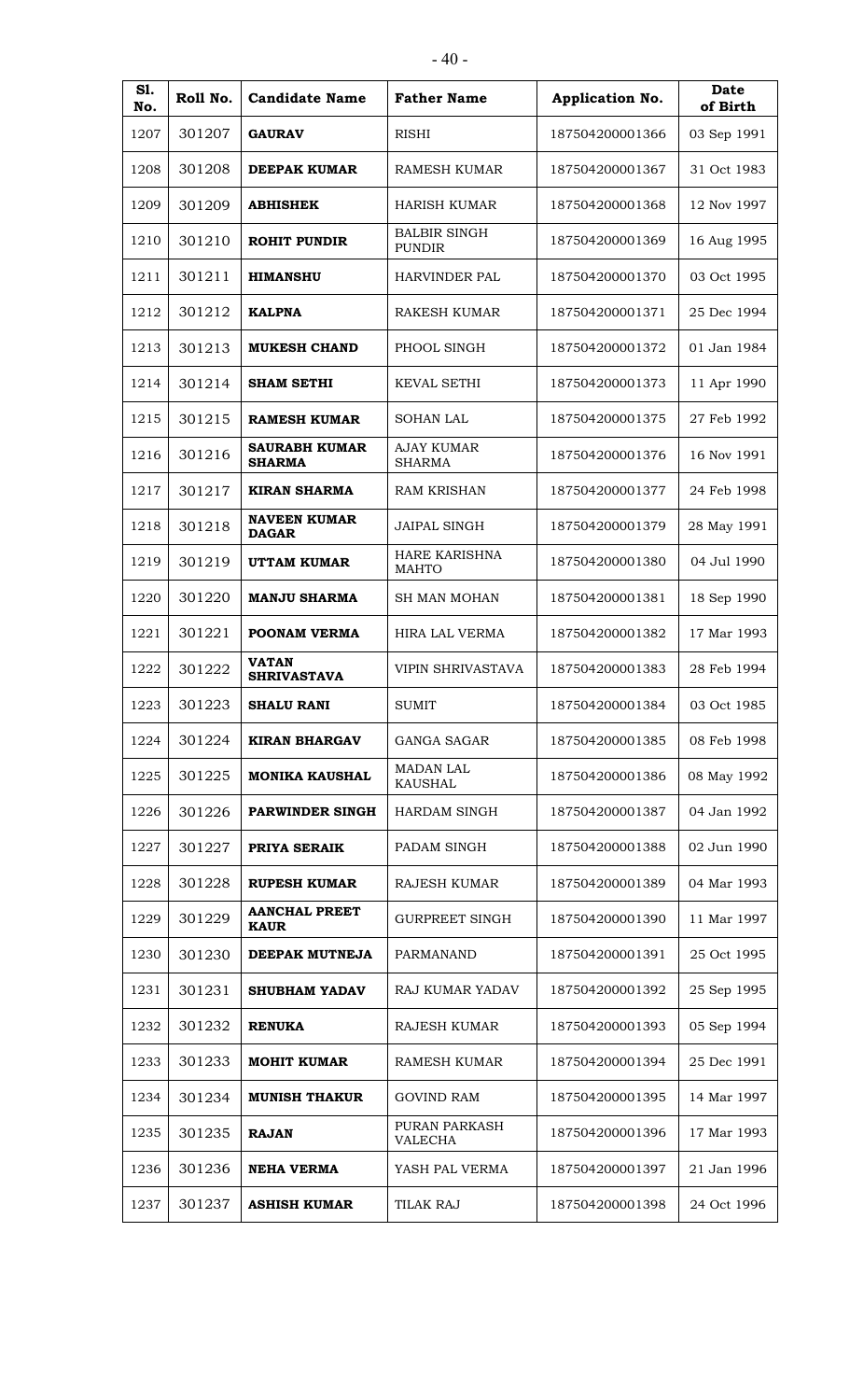| ۰.<br>× |  |
|---------|--|
|---------|--|

| S1.<br>No. | Roll No. | <b>Candidate Name</b>                 | <b>Father Name</b>                   | Application No. | Date<br>of Birth |
|------------|----------|---------------------------------------|--------------------------------------|-----------------|------------------|
| 1207       | 301207   | <b>GAURAV</b>                         | <b>RISHI</b>                         | 187504200001366 | 03 Sep 1991      |
| 1208       | 301208   | <b>DEEPAK KUMAR</b>                   | <b>RAMESH KUMAR</b>                  | 187504200001367 | 31 Oct 1983      |
| 1209       | 301209   | <b>ABHISHEK</b>                       | <b>HARISH KUMAR</b>                  | 187504200001368 | 12 Nov 1997      |
| 1210       | 301210   | <b>ROHIT PUNDIR</b>                   | <b>BALBIR SINGH</b><br><b>PUNDIR</b> | 187504200001369 | 16 Aug 1995      |
| 1211       | 301211   | <b>HIMANSHU</b>                       | <b>HARVINDER PAL</b>                 | 187504200001370 | 03 Oct 1995      |
| 1212       | 301212   | <b>KALPNA</b>                         | <b>RAKESH KUMAR</b>                  | 187504200001371 | 25 Dec 1994      |
| 1213       | 301213   | <b>MUKESH CHAND</b>                   | PHOOL SINGH                          | 187504200001372 | 01 Jan 1984      |
| 1214       | 301214   | <b>SHAM SETHI</b>                     | <b>KEVAL SETHI</b>                   | 187504200001373 | 11 Apr 1990      |
| 1215       | 301215   | <b>RAMESH KUMAR</b>                   | <b>SOHAN LAL</b>                     | 187504200001375 | 27 Feb 1992      |
| 1216       | 301216   | <b>SAURABH KUMAR</b><br><b>SHARMA</b> | <b>AJAY KUMAR</b><br><b>SHARMA</b>   | 187504200001376 | 16 Nov 1991      |
| 1217       | 301217   | <b>KIRAN SHARMA</b>                   | <b>RAM KRISHAN</b>                   | 187504200001377 | 24 Feb 1998      |
| 1218       | 301218   | <b>NAVEEN KUMAR</b><br><b>DAGAR</b>   | <b>JAIPAL SINGH</b>                  | 187504200001379 | 28 May 1991      |
| 1219       | 301219   | <b>UTTAM KUMAR</b>                    | HARE KARISHNA<br><b>MAHTO</b>        | 187504200001380 | 04 Jul 1990      |
| 1220       | 301220   | <b>MANJU SHARMA</b>                   | <b>SH MAN MOHAN</b>                  | 187504200001381 | 18 Sep 1990      |
| 1221       | 301221   | POONAM VERMA                          | <b>HIRA LAL VERMA</b>                | 187504200001382 | 17 Mar 1993      |
| 1222       | 301222   | <b>VATAN</b><br><b>SHRIVASTAVA</b>    | <b>VIPIN SHRIVASTAVA</b>             | 187504200001383 | 28 Feb 1994      |
| 1223       | 301223   | <b>SHALU RANI</b>                     | <b>SUMIT</b>                         | 187504200001384 | 03 Oct 1985      |
| 1224       | 301224   | <b>KIRAN BHARGAV</b>                  | GANGA SAGAR                          | 187504200001385 | 08 Feb 1998      |
| 1225       | 301225   | <b>MONIKA KAUSHAL</b>                 | <b>MADAN LAL</b><br><b>KAUSHAL</b>   | 187504200001386 | 08 May 1992      |
| 1226       | 301226   | PARWINDER SINGH                       | HARDAM SINGH                         | 187504200001387 | 04 Jan 1992      |
| 1227       | 301227   | PRIYA SERAIK                          | PADAM SINGH                          | 187504200001388 | 02 Jun 1990      |
| 1228       | 301228   | <b>RUPESH KUMAR</b>                   | RAJESH KUMAR                         | 187504200001389 | 04 Mar 1993      |
| 1229       | 301229   | <b>AANCHAL PREET</b><br><b>KAUR</b>   | <b>GURPREET SINGH</b>                | 187504200001390 | 11 Mar 1997      |
| 1230       | 301230   | DEEPAK MUTNEJA                        | PARMANAND                            | 187504200001391 | 25 Oct 1995      |
| 1231       | 301231   | <b>SHUBHAM YADAV</b>                  | RAJ KUMAR YADAV                      | 187504200001392 | 25 Sep 1995      |
| 1232       | 301232   | <b>RENUKA</b>                         | <b>RAJESH KUMAR</b>                  | 187504200001393 | 05 Sep 1994      |
| 1233       | 301233   | <b>MOHIT KUMAR</b>                    | RAMESH KUMAR                         | 187504200001394 | 25 Dec 1991      |
| 1234       | 301234   | <b>MUNISH THAKUR</b>                  | <b>GOVIND RAM</b>                    | 187504200001395 | 14 Mar 1997      |
| 1235       | 301235   | <b>RAJAN</b>                          | PURAN PARKASH<br>VALECHA             | 187504200001396 | 17 Mar 1993      |
| 1236       | 301236   | <b>NEHA VERMA</b>                     | YASH PAL VERMA                       | 187504200001397 | 21 Jan 1996      |
| 1237       | 301237   | <b>ASHISH KUMAR</b>                   | <b>TILAK RAJ</b>                     | 187504200001398 | 24 Oct 1996      |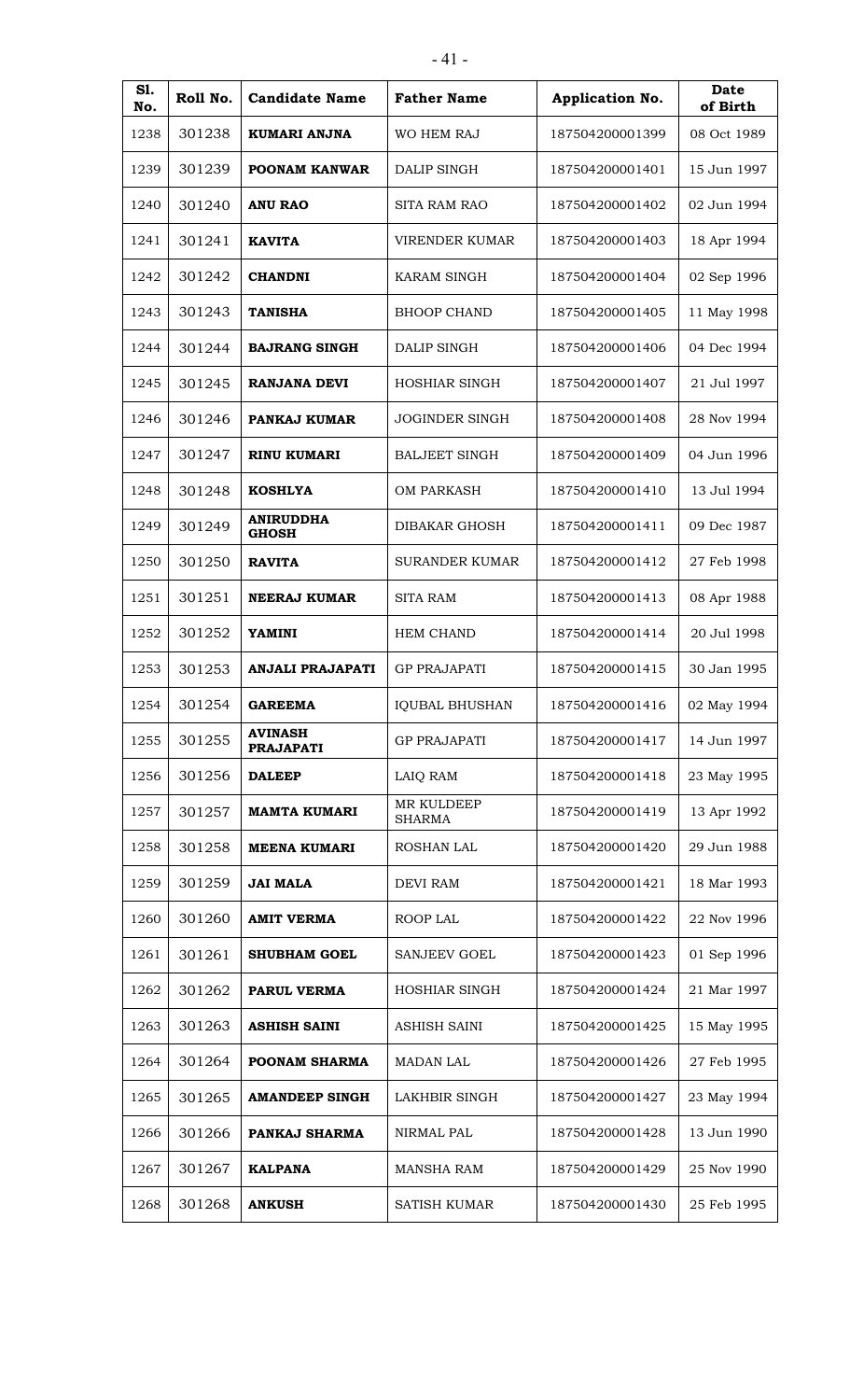| S1.<br>No. | Roll No. | <b>Candidate Name</b>              | <b>Father Name</b>          | Application No. | <b>Date</b><br>of Birth |
|------------|----------|------------------------------------|-----------------------------|-----------------|-------------------------|
| 1238       | 301238   | KUMARI ANJNA                       | WO HEM RAJ                  | 187504200001399 | 08 Oct 1989             |
| 1239       | 301239   | POONAM KANWAR                      | DALIP SINGH                 | 187504200001401 | 15 Jun 1997             |
| 1240       | 301240   | <b>ANU RAO</b>                     | <b>SITA RAM RAO</b>         | 187504200001402 | 02 Jun 1994             |
| 1241       | 301241   | <b>KAVITA</b>                      | <b>VIRENDER KUMAR</b>       | 187504200001403 | 18 Apr 1994             |
| 1242       | 301242   | <b>CHANDNI</b>                     | <b>KARAM SINGH</b>          | 187504200001404 | 02 Sep 1996             |
| 1243       | 301243   | <b>TANISHA</b>                     | <b>BHOOP CHAND</b>          | 187504200001405 | 11 May 1998             |
| 1244       | 301244   | <b>BAJRANG SINGH</b>               | <b>DALIP SINGH</b>          | 187504200001406 | 04 Dec 1994             |
| 1245       | 301245   | <b>RANJANA DEVI</b>                | <b>HOSHIAR SINGH</b>        | 187504200001407 | 21 Jul 1997             |
| 1246       | 301246   | PANKAJ KUMAR                       | JOGINDER SINGH              | 187504200001408 | 28 Nov 1994             |
| 1247       | 301247   | <b>RINU KUMARI</b>                 | <b>BALJEET SINGH</b>        | 187504200001409 | 04 Jun 1996             |
| 1248       | 301248   | <b>KOSHLYA</b>                     | <b>OM PARKASH</b>           | 187504200001410 | 13 Jul 1994             |
| 1249       | 301249   | <b>ANIRUDDHA</b><br><b>GHOSH</b>   | DIBAKAR GHOSH               | 187504200001411 | 09 Dec 1987             |
| 1250       | 301250   | <b>RAVITA</b>                      | <b>SURANDER KUMAR</b>       | 187504200001412 | 27 Feb 1998             |
| 1251       | 301251   | <b>NEERAJ KUMAR</b>                | <b>SITA RAM</b>             | 187504200001413 | 08 Apr 1988             |
| 1252       | 301252   | <b>YAMINI</b>                      | <b>HEM CHAND</b>            | 187504200001414 | 20 Jul 1998             |
| 1253       | 301253   | <b>ANJALI PRAJAPATI</b>            | <b>GP PRAJAPATI</b>         | 187504200001415 | 30 Jan 1995             |
| 1254       | 301254   | <b>GAREEMA</b>                     | <b>IQUBAL BHUSHAN</b>       | 187504200001416 | 02 May 1994             |
| 1255       | 301255   | <b>AVINASH</b><br><b>PRAJAPATI</b> | <b>GP PRAJAPATI</b>         | 187504200001417 | 14 Jun 1997             |
| 1256       | 301256   | <b>DALEEP</b>                      | LAIQ RAM                    | 187504200001418 | 23 May 1995             |
| 1257       | 301257   | <b>MAMTA KUMARI</b>                | MR KULDEEP<br><b>SHARMA</b> | 187504200001419 | 13 Apr 1992             |
| 1258       | 301258   | <b>MEENA KUMARI</b>                | ROSHAN LAL                  | 187504200001420 | 29 Jun 1988             |
| 1259       | 301259   | <b>JAI MALA</b>                    | <b>DEVI RAM</b>             | 187504200001421 | 18 Mar 1993             |
| 1260       | 301260   | <b>AMIT VERMA</b>                  | ROOP LAL                    | 187504200001422 | 22 Nov 1996             |
| 1261       | 301261   | <b>SHUBHAM GOEL</b>                | <b>SANJEEV GOEL</b>         | 187504200001423 | 01 Sep 1996             |
| 1262       | 301262   | PARUL VERMA                        | HOSHIAR SINGH               | 187504200001424 | 21 Mar 1997             |
| 1263       | 301263   | <b>ASHISH SAINI</b>                | ASHISH SAINI                | 187504200001425 | 15 May 1995             |
| 1264       | 301264   | POONAM SHARMA                      | <b>MADAN LAL</b>            | 187504200001426 | 27 Feb 1995             |
| 1265       | 301265   | <b>AMANDEEP SINGH</b>              | LAKHBIR SINGH               | 187504200001427 | 23 May 1994             |
| 1266       | 301266   | PANKAJ SHARMA                      | NIRMAL PAL                  | 187504200001428 | 13 Jun 1990             |
| 1267       | 301267   | <b>KALPANA</b>                     | <b>MANSHA RAM</b>           | 187504200001429 | 25 Nov 1990             |
| 1268       | 301268   | <b>ANKUSH</b>                      | SATISH KUMAR                | 187504200001430 | 25 Feb 1995             |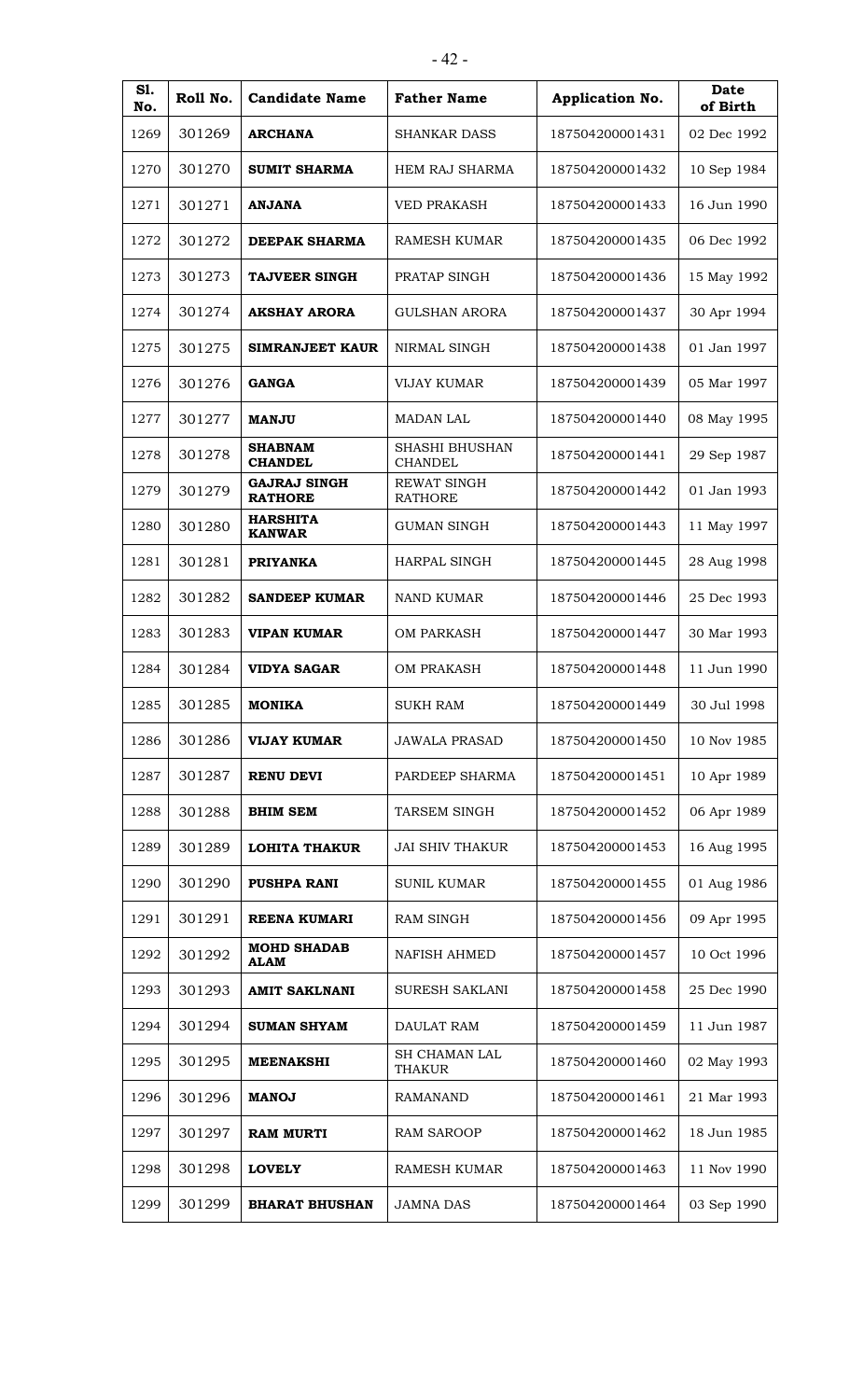| S1.<br>No. | Roll No. | <b>Candidate Name</b>                 | <b>Father Name</b>                      | Application No. | Date<br>of Birth |
|------------|----------|---------------------------------------|-----------------------------------------|-----------------|------------------|
| 1269       | 301269   | <b>ARCHANA</b>                        | SHANKAR DASS                            | 187504200001431 | 02 Dec 1992      |
| 1270       | 301270   | <b>SUMIT SHARMA</b>                   | <b>HEM RAJ SHARMA</b>                   | 187504200001432 | 10 Sep 1984      |
| 1271       | 301271   | <b>ANJANA</b>                         | <b>VED PRAKASH</b>                      | 187504200001433 | 16 Jun 1990      |
| 1272       | 301272   | <b>DEEPAK SHARMA</b>                  | <b>RAMESH KUMAR</b>                     | 187504200001435 | 06 Dec 1992      |
| 1273       | 301273   | <b>TAJVEER SINGH</b>                  | PRATAP SINGH                            | 187504200001436 | 15 May 1992      |
| 1274       | 301274   | <b>AKSHAY ARORA</b>                   | <b>GULSHAN ARORA</b>                    | 187504200001437 | 30 Apr 1994      |
| 1275       | 301275   | <b>SIMRANJEET KAUR</b>                | NIRMAL SINGH                            | 187504200001438 | 01 Jan 1997      |
| 1276       | 301276   | <b>GANGA</b>                          | <b>VIJAY KUMAR</b>                      | 187504200001439 | 05 Mar 1997      |
| 1277       | 301277   | <b>MANJU</b>                          | <b>MADAN LAL</b>                        | 187504200001440 | 08 May 1995      |
| 1278       | 301278   | <b>SHABNAM</b><br><b>CHANDEL</b>      | <b>SHASHI BHUSHAN</b><br><b>CHANDEL</b> | 187504200001441 | 29 Sep 1987      |
| 1279       | 301279   | <b>GAJRAJ SINGH</b><br><b>RATHORE</b> | <b>REWAT SINGH</b><br><b>RATHORE</b>    | 187504200001442 | 01 Jan 1993      |
| 1280       | 301280   | <b>HARSHITA</b><br><b>KANWAR</b>      | <b>GUMAN SINGH</b>                      | 187504200001443 | 11 May 1997      |
| 1281       | 301281   | <b>PRIYANKA</b>                       | <b>HARPAL SINGH</b>                     | 187504200001445 | 28 Aug 1998      |
| 1282       | 301282   | <b>SANDEEP KUMAR</b>                  | <b>NAND KUMAR</b>                       | 187504200001446 | 25 Dec 1993      |
| 1283       | 301283   | <b>VIPAN KUMAR</b>                    | <b>OM PARKASH</b>                       | 187504200001447 | 30 Mar 1993      |
| 1284       | 301284   | <b>VIDYA SAGAR</b>                    | <b>OM PRAKASH</b>                       | 187504200001448 | 11 Jun 1990      |
| 1285       | 301285   | <b>MONIKA</b>                         | <b>SUKH RAM</b>                         | 187504200001449 | 30 Jul 1998      |
| 1286       | 301286   | <b>VIJAY KUMAR</b>                    | <b>JAWALA PRASAD</b>                    | 187504200001450 | 10 Nov 1985      |
| 1287       | 301287   | <b>RENU DEVI</b>                      | PARDEEP SHARMA                          | 187504200001451 | 10 Apr 1989      |
| 1288       | 301288   | <b>BHIM SEM</b>                       | TARSEM SINGH                            | 187504200001452 | 06 Apr 1989      |
| 1289       | 301289   | LOHITA THAKUR                         | <b>JAI SHIV THAKUR</b>                  | 187504200001453 | 16 Aug 1995      |
| 1290       | 301290   | <b>PUSHPA RANI</b>                    | <b>SUNIL KUMAR</b>                      | 187504200001455 | 01 Aug 1986      |
| 1291       | 301291   | <b>REENA KUMARI</b>                   | <b>RAM SINGH</b>                        | 187504200001456 | 09 Apr 1995      |
| 1292       | 301292   | <b>MOHD SHADAB</b><br><b>ALAM</b>     | <b>NAFISH AHMED</b>                     | 187504200001457 | 10 Oct 1996      |
| 1293       | 301293   | <b>AMIT SAKLNANI</b>                  | SURESH SAKLANI                          | 187504200001458 | 25 Dec 1990      |
| 1294       | 301294   | <b>SUMAN SHYAM</b>                    | DAULAT RAM                              | 187504200001459 | 11 Jun 1987      |
| 1295       | 301295   | <b>MEENAKSHI</b>                      | <b>SH CHAMAN LAL</b><br>THAKUR          | 187504200001460 | 02 May 1993      |
| 1296       | 301296   | <b>MANOJ</b>                          | <b>RAMANAND</b>                         | 187504200001461 | 21 Mar 1993      |
| 1297       | 301297   | <b>RAM MURTI</b>                      | <b>RAM SAROOP</b>                       | 187504200001462 | 18 Jun 1985      |
| 1298       | 301298   | <b>LOVELY</b>                         | <b>RAMESH KUMAR</b>                     | 187504200001463 | 11 Nov 1990      |
| 1299       | 301299   | <b>BHARAT BHUSHAN</b>                 | <b>JAMNA DAS</b>                        | 187504200001464 | 03 Sep 1990      |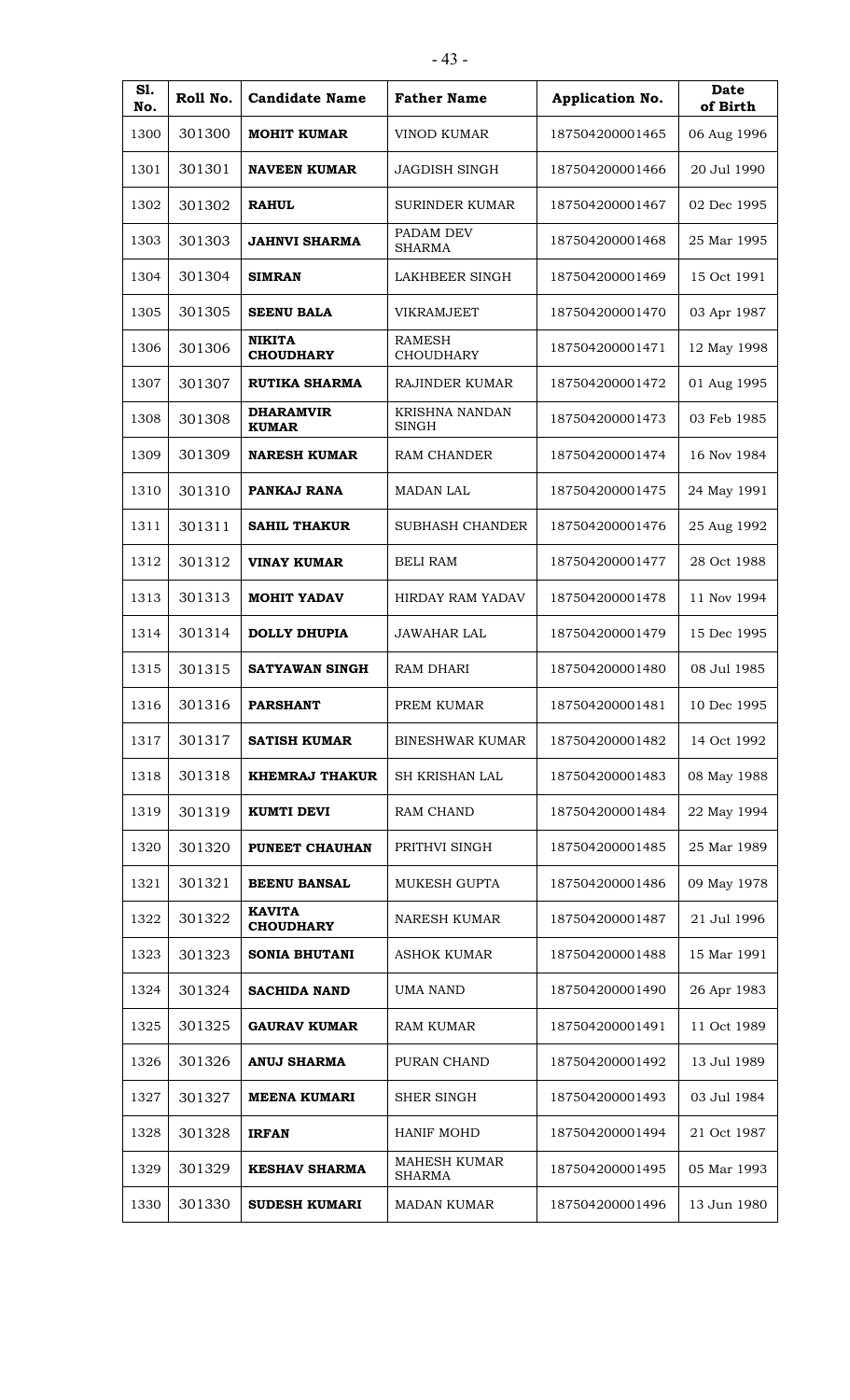| S1.<br>No. | Roll No. | <b>Candidate Name</b>             | <b>Father Name</b>                | Application No. | Date<br>of Birth |
|------------|----------|-----------------------------------|-----------------------------------|-----------------|------------------|
| 1300       | 301300   | <b>MOHIT KUMAR</b>                | VINOD KUMAR                       | 187504200001465 | 06 Aug 1996      |
| 1301       | 301301   | <b>NAVEEN KUMAR</b>               | <b>JAGDISH SINGH</b>              | 187504200001466 | 20 Jul 1990      |
| 1302       | 301302   | <b>RAHUL</b>                      | <b>SURINDER KUMAR</b>             | 187504200001467 | 02 Dec 1995      |
| 1303       | 301303   | <b>JAHNVI SHARMA</b>              | PADAM DEV<br><b>SHARMA</b>        | 187504200001468 | 25 Mar 1995      |
| 1304       | 301304   | <b>SIMRAN</b>                     | LAKHBEER SINGH                    | 187504200001469 | 15 Oct 1991      |
| 1305       | 301305   | <b>SEENU BALA</b>                 | <b>VIKRAMJEET</b>                 | 187504200001470 | 03 Apr 1987      |
| 1306       | 301306   | <b>NIKITA</b><br><b>CHOUDHARY</b> | <b>RAMESH</b><br><b>CHOUDHARY</b> | 187504200001471 | 12 May 1998      |
| 1307       | 301307   | <b>RUTIKA SHARMA</b>              | <b>RAJINDER KUMAR</b>             | 187504200001472 | 01 Aug 1995      |
| 1308       | 301308   | <b>DHARAMVIR</b><br><b>KUMAR</b>  | KRISHNA NANDAN<br><b>SINGH</b>    | 187504200001473 | 03 Feb 1985      |
| 1309       | 301309   | <b>NARESH KUMAR</b>               | RAM CHANDER                       | 187504200001474 | 16 Nov 1984      |
| 1310       | 301310   | PANKAJ RANA                       | <b>MADAN LAL</b>                  | 187504200001475 | 24 May 1991      |
| 1311       | 301311   | <b>SAHIL THAKUR</b>               | <b>SUBHASH CHANDER</b>            | 187504200001476 | 25 Aug 1992      |
| 1312       | 301312   | <b>VINAY KUMAR</b>                | <b>BELI RAM</b>                   | 187504200001477 | 28 Oct 1988      |
| 1313       | 301313   | <b>MOHIT YADAV</b>                | HIRDAY RAM YADAV                  | 187504200001478 | 11 Nov 1994      |
| 1314       | 301314   | <b>DOLLY DHUPIA</b>               | <b>JAWAHAR LAL</b>                | 187504200001479 | 15 Dec 1995      |
| 1315       | 301315   | SATYAWAN SINGH                    | <b>RAM DHARI</b>                  | 187504200001480 | 08 Jul 1985      |
| 1316       | 301316   | <b>PARSHANT</b>                   | PREM KUMAR                        | 187504200001481 | 10 Dec 1995      |
| 1317       | 301317   | <b>SATISH KUMAR</b>               | <b>BINESHWAR KUMAR</b>            | 187504200001482 | 14 Oct 1992      |
| 1318       | 301318   | <b>KHEMRAJ THAKUR</b>             | SH KRISHAN LAL                    | 187504200001483 | 08 May 1988      |
| 1319       | 301319   | <b>KUMTI DEVI</b>                 | RAM CHAND                         | 187504200001484 | 22 May 1994      |
| 1320       | 301320   | PUNEET CHAUHAN                    | PRITHVI SINGH                     | 187504200001485 | 25 Mar 1989      |
| 1321       | 301321   | <b>BEENU BANSAL</b>               | <b>MUKESH GUPTA</b>               | 187504200001486 | 09 May 1978      |
| 1322       | 301322   | <b>KAVITA</b><br><b>CHOUDHARY</b> | <b>NARESH KUMAR</b>               | 187504200001487 | 21 Jul 1996      |
| 1323       | 301323   | <b>SONIA BHUTANI</b>              | <b>ASHOK KUMAR</b>                | 187504200001488 | 15 Mar 1991      |
| 1324       | 301324   | <b>SACHIDA NAND</b>               | <b>UMA NAND</b>                   | 187504200001490 | 26 Apr 1983      |
| 1325       | 301325   | <b>GAURAV KUMAR</b>               | RAM KUMAR                         | 187504200001491 | 11 Oct 1989      |
| 1326       | 301326   | <b>ANUJ SHARMA</b>                | PURAN CHAND                       | 187504200001492 | 13 Jul 1989      |
| 1327       | 301327   | <b>MEENA KUMARI</b>               | <b>SHER SINGH</b>                 | 187504200001493 | 03 Jul 1984      |
| 1328       | 301328   | <b>IRFAN</b>                      | HANIF MOHD                        | 187504200001494 | 21 Oct 1987      |
| 1329       | 301329   | <b>KESHAV SHARMA</b>              | MAHESH KUMAR<br><b>SHARMA</b>     | 187504200001495 | 05 Mar 1993      |
| 1330       | 301330   | <b>SUDESH KUMARI</b>              | <b>MADAN KUMAR</b>                | 187504200001496 | 13 Jun 1980      |